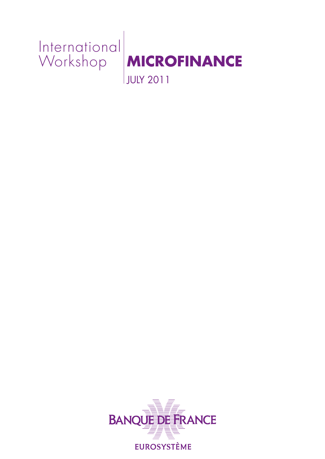



JULY 2011

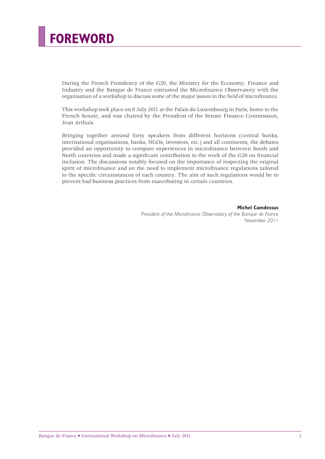# **FOREWORD**

During the French Presidency of the G20, the Ministry for the Economy, Finance and Industry and the Banque de France entrusted the Microfinance Observatory with the organisation of a workshop to discuss some of the major issues in the field of microfinance.

This workshop took place on 8 July 2011 at the Palais du Luxembourg in Paris, home to the French Senate, and was chaired by the President of the Senate Finance Commission, Jean Arthuis.

Bringing together around forty speakers from different horizons (central banks, international organisations, banks, NGOs, investors, etc.) and all continents, the debates provided an opportunity to compare experiences in microfinance between South and North countries and made a significant contribution to the work of the G20 on financial inclusion. The discussions notably focused on the importance of respecting the original spirit of microfinance and on the need to implement microfinance regulations tailored to the specific circumstances of each country. The aim of such regulations would be to prevent bad business practices from exacerbating in certain countries.

> **Michel Camdessus** President of the Microfinance Observatory of the Banque de France *November 2011*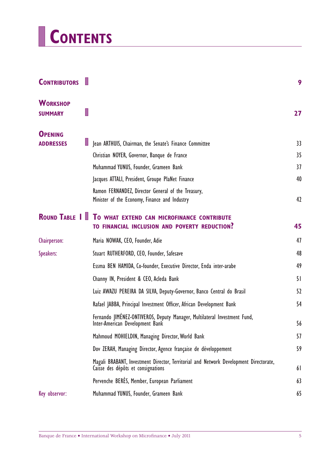# **CONTENTS**

 $\equiv$ 

| <b>CONTRIBUTORS</b>               |                                                                                                                             | 9  |
|-----------------------------------|-----------------------------------------------------------------------------------------------------------------------------|----|
| <b>WORKSHOP</b><br><b>SUMMARY</b> |                                                                                                                             | 27 |
| <b>OPENING</b>                    |                                                                                                                             |    |
| <b>ADDRESSES</b>                  | Jean ARTHUIS, Chairman, the Senate's Finance Committee                                                                      | 33 |
|                                   | Christian NOYER, Governor, Banque de France                                                                                 | 35 |
|                                   | Muhammad YUNUS, Founder, Grameen Bank                                                                                       | 37 |
|                                   | Jacques ATTALI, President, Groupe PlaNet Finance                                                                            | 40 |
|                                   | Ramon FERNANDEZ, Director General of the Treasury,<br>Minister of the Economy, Finance and Industry                         | 42 |
| <b>ROUND TABLE I</b>              | TO WHAT EXTEND CAN MICROFINANCE CONTRIBUTE<br>TO FINANCIAL INCLUSION AND POVERTY REDUCTION?                                 | 45 |
| Chairperson:                      | Maria NOWAK, CEO, Founder, Adie                                                                                             | 47 |
| Speakers:                         | Stuart RUTHERFORD, CEO, Founder, Safesave                                                                                   | 48 |
|                                   | Essma BEN HAMIDA, Co-founder, Executive Director, Enda inter-arabe                                                          | 49 |
|                                   | Channy IN, President & CEO, Acleda Bank                                                                                     | 51 |
|                                   | Luiz AWAZU PEREIRA DA SILVA, Deputy-Governor, Banco Central do Brasil                                                       | 52 |
|                                   | Rafael JABBA, Principal Investment Officer, African Development Bank                                                        | 54 |
|                                   | Fernando JIMÉNEZ-ONTIVEROS, Deputy Manager, Multilateral Investment Fund,<br>Inter-American Development Bank                | 56 |
|                                   | Mahmoud MOHIELDIN, Managing Director, World Bank                                                                            | 57 |
|                                   | Dov ZERAH, Managing Director, Agence française de développement                                                             | 59 |
|                                   | Magali BRABANT, Investment Director, Territorial and Network Development Directorate,<br>Caisse des dépôts et consignations | 61 |
|                                   | Pervenche BERES, Member, European Parliament                                                                                | 63 |
| Key observor:                     | Muhammad YUNUS, Founder, Grameen Bank                                                                                       | 65 |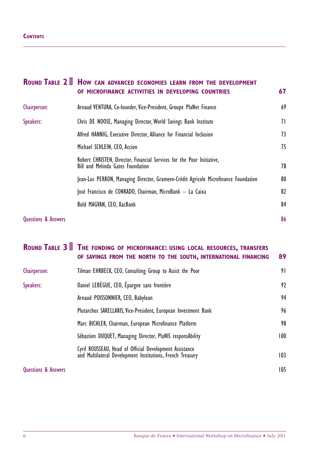#### **CONTENTS**

|                                | ROUND TABLE 2 <b>HOW CAN ADVANCED ECONOMIES LEARN FROM THE DEVELOPMENT</b><br>OF MICROFINANCE ACTIVITIES IN DEVELOPING COUNTRIES | 67 |
|--------------------------------|----------------------------------------------------------------------------------------------------------------------------------|----|
| Chairperson:                   | Arnaud VENTURA, Co-founder, Vice-President, Groupe PlaNet Finance                                                                | 69 |
| Speakers:                      | Chris DE NOOSE, Managing Director, World Savings Bank Institute                                                                  | 71 |
|                                | Alfred HANNIG, Executive Director, Alliance for Financial Inclusion                                                              | 73 |
|                                | Michael SCHLEIN, CEO, Accion                                                                                                     | 75 |
|                                | Robert CHRISTEN, Director, Financial Services for the Poor Initiative,<br>Bill and Melinda Gates Foundation                      | 78 |
|                                | Jean-Luc PERRON, Managing Director, Grameen-Crédit Agricole Microfinance Foundation                                              | 80 |
|                                | José Francisco de CONRADO, Chairman, MicroBank — La Caixa                                                                        | 82 |
|                                | Bold MAGVAN, CEO, XacBank                                                                                                        | 84 |
| <b>Questions &amp; Answers</b> |                                                                                                                                  | 86 |

## **ROUND TABLE 3 THE FUNDING OF MICROFINANCE: USING LOCAL RESOURCES, TRANSFERS OF SAVINGS FROM THE NORTH TO THE SOUTH, INTERNATIONAL FINANCING 89** Chairperson: Tilman EHRBECK, CEO, Consulting Group to Assist the Poor 91 Speakers: Daniel LEBÈGUE, CEO, Épargne sans frontière en contra la proposa de la partide de la partide de la p Arnaud POISSONNIER, CEO, Babyloan 94 Plutarchos SAKELLARIS, Vice-President, European Investment Bank 96 Marc BICHLER, Chairman, European Microfinance Platform 98 Sébastien DUQUET, Managing Director, PlaNIS responsAbility 100 Cyril ROUSSEAU, Head of Official Development Assistance and Multilateral Development Institutions, French Treasury 103 Questions & Answers 105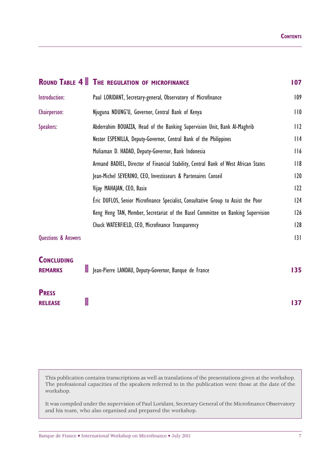|                                     | <b>ROUND TABLE 4 THE REGULATION OF MICROFINANCE</b>                                 | 107 |
|-------------------------------------|-------------------------------------------------------------------------------------|-----|
| Introduction:                       | Paul LORIDANT, Secretary-general, Observatory of Microfinance                       | 109 |
| Chairperson:                        | Njuguna NDUNG'U, Governor, Central Bank of Kenya                                    | 110 |
| Speakers:                           | Abderrahim BOUAZZA, Head of the Banking Supervision Unit, Bank Al-Maghrib           | 112 |
|                                     | Nestor ESPENILLA, Deputy-Governor, Central Bank of the Philippines                  | 114 |
|                                     | Muliaman D. HADAD, Deputy-Governor, Bank Indonesia                                  | 116 |
|                                     | Armand BADIEL, Director of Financial Stability, Central Bank of West African States | 118 |
|                                     | Jean-Michel SEVERINO, CEO, Investisseurs & Partenaires Conseil                      | 120 |
|                                     | Vijay MAHAJAN, CEO, Basix                                                           | 122 |
|                                     | Éric DUFLOS, Senior Microfinance Specialist, Consultative Group to Assist the Poor  | 124 |
|                                     | Keng Heng TAN, Member, Secretariat of the Basel Committee on Banking Supervision    | 126 |
|                                     | Chuck WATERFIELD, CEO, Microfinance Transparency                                    | 128 |
| <b>Questions &amp; Answers</b>      |                                                                                     | 3   |
| <b>CONCLUDING</b><br><b>REMARKS</b> | $\Box$<br>Jean-Pierre LANDAU, Deputy-Governor, Banque de France                     | 135 |
| <b>PRESS</b><br><b>RELEASE</b>      | L                                                                                   | 137 |

This publication contains transcriptions as well as translations of the presentations given at the workshop. The professional capacities of the speakers referred to in the publication were those at the date of the workshop.

It was compiled under the supervision of Paul Loridant, Secretary General of the Microfinance Observatory and his team, who also organised and prepared the workshop.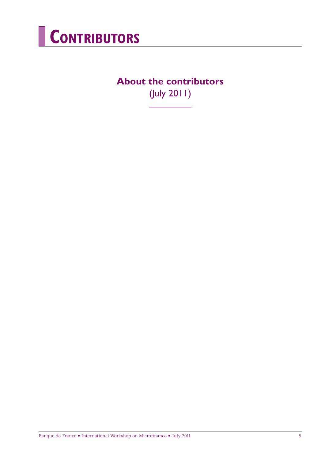

## **About the contributors** (July 2011)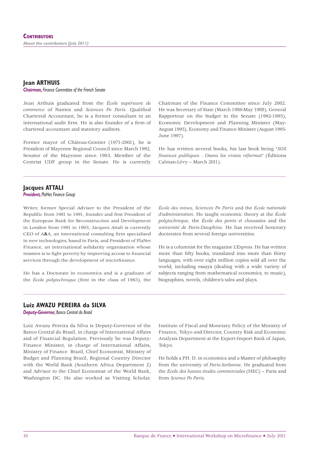## **Jean ARTHUIS**

*Chairman, Finance Committee of the French Senate*

Jean Arthuis graduated from the *École supérieure de commerce* of Nantes and *Sciences Po Paris*. Qualified Chartered Accountant, he is a former consultant in an international audit firm. He is also founder of a firm of chartered accountant and statutory auditors.

Former mayor of Château-Gontier (1971-2001), he is President of Mayenne Regional Council since March 1992, Senator of the Mayenne since 1983, Member of the Centrist UDF group in the Senate. He is currently

Chairman of the Finance Committee since July 2002. He was Secretary of State (March 1986-May 1988), General Rapporteur on the budget to the Senate (1992-1995), Economic Development and Planning Minister (May-August 1995), Economy and Finance Minister (August 1995- June 1997).

He has written several books, his last book being "*SOS fi nances publiques : Osons les vraies réformes*" (Éditions Calman-Lévy – March 2011).

#### **Jacques ATTALI**

*President, PlaNet Finance Group*

Writer, former Special Adviser to the President of the Republic from 1981 to 1991, founder and first President of the European Bank for Reconstruction and Development in London from 1991 to 1993, Jacques Attali is currently CEO of A&A, an international consulting firm specialised in new technologies, based in Paris, and President of PlaNet Finance, an international solidarity organisation whose mission is to fight poverty by improving access to financial services through the development of microfinance.

He has a Doctorate in economics and is a graduate of the *École polytechnique* (first in the class of 1963), the

*École des mines*, *Sciences Po Paris* and the *École nationale d'administration*. He taught economic theory at the *École polytechnique*, the *École des ponts et chaussées* and the *université de Paris-Dauphine*. He has received honorary doctorates from several foreign universities.

He is a columnist for the magazine *L'Express*. He has written more than fifty books, translated into more than thirty languages, with over eight million copies sold all over the world, including essays (dealing with a wide variety of subjects ranging from mathematical economics, to music), biographies, novels, children's tales and plays.

#### **Luiz AWAZU PEREIRA da SILVA**

*Deputy-Governor, Banco Central do Brasil*

Luiz Awazu Pereira da Silva is Deputy-Governor of the Banco Central do Brasil, in charge of International Affairs and of Financial Regulation. Previously he was Deputy-Finance Minister, in charge of International Affairs, Ministry of Finance Brazil, Chief Economist, Ministry of Budget and Planning Brazil, Regional Country Director with the World Bank (Southern Africa Department 2) and Advisor to the Chief Economist of the World Bank, Washington DC. He also worked as Visiting Scholar,

Institute of Fiscal and Monetary Policy of the Ministry of Finance, Tokyo and Director, Country Risk and Economic Analysis Department at the Export-Import Bank of Japan, Tokyo.

He holds a PH. D. in economics and a Master of philosophy from the university of *Paris-Sorbonne*. He graduated from the *École des hautes études commerciales* (HEC) – Paris and from *Science Po Paris*.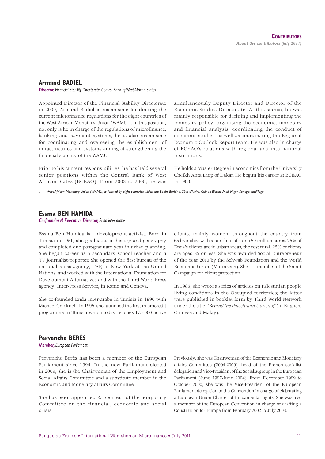#### **Armand BADIEL**

*Director, Financial Stability Directorate, Central Bank of West African States*

Appointed Director of the Financial Stability Directorate in 2009, Armand Badiel is responsible for drafting the current microfinance regulations for the eight countries of the West African Monetary Union (WAMU<sup>1</sup>). In this position, not only is he in charge of the regulations of microfinance, banking and payment systems, he is also responsible for coordinating and overseeing the establishment of infrastructures and systems aiming at strengthening the financial stability of the WAMU.

simultaneously Deputy Director and Director of the Economic Studies Directorate. At this stance, he was mainly responsible for defining and implementing the monetary policy, organising the economic, monetary and financial analysis, coordinating the conduct of economic studies, as well as coordinating the Regional Economic Outlook Report team. He was also in charge of BCEAO's relations with regional and international institutions.

Prior to his current responsibilities, he has held several senior positions within the Central Bank of West African States (BCEAO). From 2003 to 2008, he was

He holds a Master Degree in economics from the University Cheikh Anta Diop of Dakar. He begun his career at BCEAO in 1988.

*1 West African Monetary Union (WAMU) is formed by eight countries which are Benin, Burkina, Côte d'Ivoire, Guinea-Bissau, Mali, Niger, Senegal and Togo.*

#### **Essma BEN HAMIDA** *Co-founder & Executive Director, Enda inter-arabe*

Essma Ben Hamida is a development activist. Born in Tunisia in 1951, she graduated in history and geography and completed one post-graduate year in urban planning. She began career as a secondary school teacher and a TV journalist/reporter. She opened the first bureau of the national press agency, TAP, in New York at the United Nations, and worked with the International Foundation for Development Alternatives and with the Third World Press agency, Inter-Press Service, in Rome and Geneva.

She co-founded Enda inter-arabe in Tunisia in 1990 with Michael Cracknell. In 1995, she launched the first microcredit programme in Tunisia which today reaches 175 000 active

clients, mainly women, throughout the country from 65 branches with a portfolio of some 50 million euros. 75% of Enda's clients are in urban areas, the rest rural. 25% of clients are aged 35 or less. She was awarded Social Entrepreneur of the Year 2010 by the Schwab Foundation and the World Economic Forum (Marrakech). She is a member of the Smart Campaign for client protection.

In 1986, she wrote a series of articles on Palestinian people living conditions in the Occupied territories; the latter were published in booklet form by Third World Network under the title: *"Behind the Palestinian Uprising"* (in English, Chinese and Malay).

#### **Pervenche BERÈS**

*Member, European Parliament*

Pervenche Berès has been a member of the European Parliament since 1994. In the new Parliament elected in 2009, she is the Chairwoman of the Employment and Social Affairs Committee and a substitute member in the Economic and Monetary affairs Committee.

She has been appointed Rapporteur of the temporary Committee on the financial, economic and social crisis.

Previously, she was Chairwoman of the Economic and Monetary affairs Committee (2004-2009), head of the French socialist delegation and Vice-President of the Socialist group in the European Parliament (June 1997-June 2004). From December 1999 to October 2000, she was the Vice-President of the European Parliament delegation to the Convention in charge of elaborating a European Union Charter of fundamental rights. She was also a member of the European Convention in charge of drafting a Constitution for Europe from February 2002 to July 2003.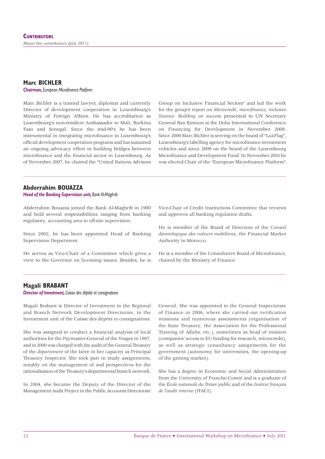### **Marc BICHLER**

**Chairman, European Microfinance Platform** 

Marc Bichler is a trained lawyer, diplomat and currently Director of development cooperation in Luxembourg's Ministry of Foreign Affairs. He has accreditation as Luxembourg's non-resident Ambassador to Mali, Burkina Faso and Senegal. Since the mid-90's he has been instrumental in integrating microfinance in Luxembourg's official development cooperation programs and has sustained an ongoing advocacy effort in building bridges between microfinance and the financial sector in Luxembourg. As of November 2007, he chaired the "United Nations Advisors

Group on Inclusive Financial Sectors" and led the work for the group's report on *Microcredit*, microfinance, inclusive finance: Building on success presented to UN Secretary General Ban Kimoon at the Doha International Conference on Financing for Development in November 2008. Since 2006 Marc Bichler is serving on the board of "LuxFlag", Luxembourg's labelling agency for microfinance investment vehicles and since 2009 on the board of the Luxembourg Microfinance and Development Fund. In November 2010 he was elected Chair of the "European Microfinance Platform".

#### **Abderrahim BOUAZZA**

*Head of the Banking Supervision unit, Bank Al-Maghrib*

Abderrahim Bouazza joined the Bank Al-Maghrib in 1980 and held several responsibilities ranging from banking regulatory, accounting area to off-site supervision.

Since 2002, he has been appointed Head of Banking Supervision Department.

He serves as Vice-Chair of a Committee which gives a view to the Governor on licensing issues. Besides, he is

Vice-Chair of Credit Institutions Committee that reviews and approves all banking regulation drafts.

He is member of the Board of Directors of the *Conseil déontologique des valeurs mobilières*, the Financial Market Authority in Morocco.

He is a member of the Consultative Board of Microfinance, chaired by the Ministry of Finance.

#### **Magali BRABANT**

*Director of Investment, Caisse des dépôts et consignations*

Magali Brabant is Director of Investment in the Regional and Branch Network Development Directorate, in the Investment unit of the Caisse des dépôts et consignations.

She was assigned to conduct a financial analysis of local authorities for the Paymaster-General of the Vosges in 1997, and in 2000 was charged with the audit of the General Treasury of the *département* of the Isère in her capacity as Principal Treasury Inspector. She took part in study assignments, notably on the management of and perspectives for the rationalisation of the Treasury's departmental branch network.

In 2004, she became the Deputy of the Director of the Management Audit Project in the Public Accounts Directorate

General. She was appointed to the General Inspectorate of Finance in 2006, where she carried out verification missions and numerous assessments (organisation of the State Treasury, the Association for the Professional Training of Adults, etc.), sometimes as head of mission (companies' access to EU funding for research, microcredit), as well as strategic consultancy assignments for the government (autonomy for universities, the opening-up of the gaming market).

She has a degree in Economic and Social Administration from the University of Franche-Comté and is a graduate of the *École nationale du Trésor public* and of the *Institut français de l'audit interne* (IFACI).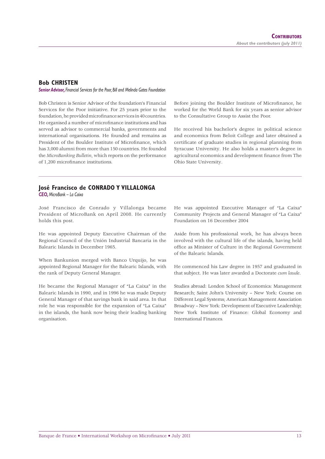#### **Bob CHRISTEN**

*Senior Advisor, Financial Services for the Poor, Bill and Melinda Gates Foundation*

Bob Christen is Senior Advisor of the foundation's Financial Services for the Poor initiative. For 25 years prior to the foundation, he provided microfinance services in 40 countries. He organised a number of microfinance institutions and has served as advisor to commercial banks, governments and international organisations. He founded and remains as President of the Boulder Institute of Microfinance, which has 3,000 alumni from more than 150 countries. He founded the *MicroBanking Bulletin*, which reports on the performance of 1,200 microfinance institutions.

Before joining the Boulder Institute of Microfinance, he worked for the World Bank for six years as senior advisor to the Consultative Group to Assist the Poor.

He received his bachelor's degree in political science and economics from Beloit College and later obtained a certificate of graduate studies in regional planning from Syracuse University. He also holds a master's degree in agricultural economics and development finance from The Ohio State University.

## **José Francisco de CONRADO Y VILLALONGA**

*CEO, MicroBank – La Caixa*

José Francisco de Conrado y Villalonga became President of MicroBank on April 2008. He currently holds this post.

He was appointed Deputy Executive Chairman of the Regional Council of the Unión Industrial Bancaria in the Balearic Islands in December 1965.

When Bankunion merged with Banco Urquijo, he was appointed Regional Manager for the Balearic Islands, with the rank of Deputy General Manager.

He became the Regional Manager of "La Caixa" in the Balearic Islands in 1990, and in 1996 he was made Deputy General Manager of that savings bank in said area. In that role he was responsible for the expansion of "La Caixa" in the islands, the bank now being their leading banking organisation.

He was appointed Executive Manager of "La Caixa" Community Projects and General Manager of "La Caixa" Foundation on 16 December 2004

Aside from his professional work, he has always been involved with the cultural life of the islands, having held office as Minister of Culture in the Regional Government of the Balearic Islands.

He commenced his Law degree in 1957 and graduated in that subject. He was later awarded a Doctorate *cum laude*.

Studies abroad: London School of Economics: Management Research; Saint John's University – New York: Course on Different Legal Systems; American Management Association Broadway – New York: Development of Executive Leadership; New York Institute of Finance: Global Economy and International Finances*.*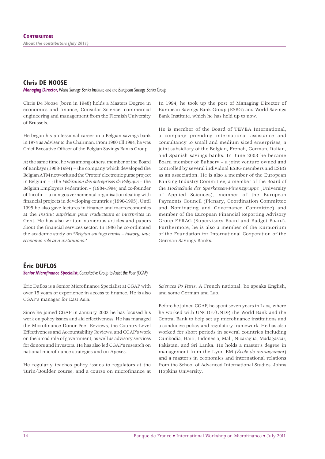#### **Chris DE NOOSE**

#### *Managing Director, World Savings Banks Institute and the European Savings Banks Group*

Chris De Noose (born in 1948) holds a Masters Degree in economics and finance, Consular Science, commercial engineering and management from the Flemish University of Brussels.

He began his professional career in a Belgian savings bank in 1974 as Adviser to the Chairman. From 1980 till 1994, he was Chief Executive Officer of the Belgian Savings Banks Group.

At the same time, he was among others, member of the Board of Banksys (1983-1994) – the company which developed the Belgian ATM network and the 'Proton' electronic purse project in Belgium – ; the *Fédération des entreprises de Belgique* – the Belgian Employers Federation – (1984-1994) and co-founder of Incofin – a non-gouvernemental organisation dealing with financial projects in developing countries (1990-1995). Until 1995 he also gave lectures in finance and macroeconomics at the *Institut supérieur pour traducteurs et interprètes* in Gent. He has also written numerous articles and papers about the financial services sector. In 1986 he co-ordinated the academic study on "*Belgian savings banks – history, law, economic role and institutions*."

In 1994, he took up the post of Managing Director of European Savings Bank Group (ESBG) and World Savings Bank Institute, which he has held up to now.

He is member of the Board of TEVEA International, a company providing international assistance and consultancy to small and medium sized enterprises, a joint subsidiary of the Belgian, French, German, Italian, and Spanish savings banks. In June 2003 he became Board member of Eufiserv - a joint venture owned and controlled by several individual ESBG members and ESBG as an association. He is also a member of the European Banking Industry Committee, a member of the Board of the *Hochschule der Sparkassen-Finanzgruppe* (University of Applied Sciences), member of the European Payments Council (Plenary, Coordination Committee and Nominating and Governance Committee) and member of the European Financial Reporting Advisory Group EFRAG (Supervisory Board and Budget Board). Furthermore, he is also a member of the Kuratorium of the Foundation for International Cooperation of the German Savings Banks.

#### **Éric DUFLOS**

#### **Senior Microfinance Specialist, Consultative Group to Assist the Poor (CGAP)**

Éric Duflos is a Senior Microfinance Specialist at CGAP with over 15 years of experience in access to finance. He is also CGAP's manager for East Asia.

Since he joined CGAP in January 2003 he has focused his work on policy issues and aid effectiveness. He has managed the Microfinance Donor Peer Reviews, the Country-Level Effectiveness and Accountability Reviews, and CGAP's work on the broad role of government, as well as advisory services for donors and investors. He has also led CGAP's research on national microfinance strategies and on Apexes.

He regularly teaches policy issues to regulators at the Turin/Boulder course, and a course on microfinance at

*Sciences Po Paris*. A French national, he speaks English, and some German and Lao.

Before he joined CGAP, he spent seven years in Laos, where he worked with UNCDF/UNDP, the World Bank and the Central Bank to help set up microfinance institutions and a conducive policy and regulatory framework. He has also worked for short periods in several countries including Cambodia, Haïti, Indonesia, Mali, Nicaragua, Madagascar, Pakistan, and Sri Lanka. He holds a master's degree in management from the Lyon EM (*École de management*) and a master's in economics and international relations from the School of Advanced International Studies, Johns Hopkins University.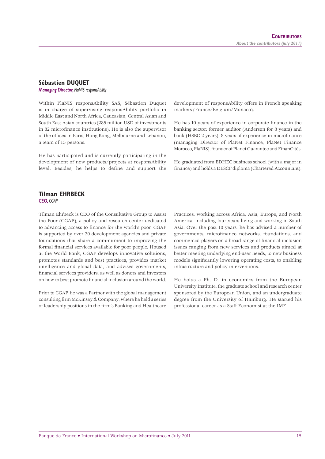## **Sébastien DUQUET**

*Managing Director, PlaNIS responsAbility*

Within PlaNIS responsAbility SAS, Sébastien Duquet is in charge of supervising responsAbility portfolio in Middle East and North Africa, Caucasian, Central Asian and South East Asian countries (285 million USD of investments in 82 microfinance institutions). He is also the supervisor of the offices in Paris, Hong Kong, Melbourne and Lebanon, a team of 15 persons.

He has participated and is currently participating in the development of new products/projects at responsAbility level. Besides, he helps to define and support the development of responsAbility offers in French speaking markets (France/Belgium/Monaco).

He has 10 years of experience in corporate finance in the banking sector: former auditor (Andersen for 8 years) and bank (HSBC 2 years), 8 years of experience in microfinance (managing Director of PlaNet Finance, PlaNet Finance Morocco, PlaNIS), founder of Planet Guarantee and FinanCités.

He graduated from EDHEC business school (with a major in finance) and holds a DESCF diploma (Chartered Accountant).

#### **Tilman EHRBECK** *CEO, CGAP*

Tilman Ehrbeck is CEO of the Consultative Group to Assist the Poor (CGAP), a policy and research center dedicated to advancing access to finance for the world's poor. CGAP is supported by over 30 development agencies and private foundations that share a commitment to improving the formal financial services available for poor people. Housed at the World Bank, CGAP develops innovative solutions, promotes standards and best practices, provides market intelligence and global data, and advises governments, financial services providers, as well as donors and investors on how to best promote financial inclusion around the world.

Prior to CGAP, he was a Partner with the global management consulting firm McKinsey  $&$  Company, where he held a series of leadership positions in the firm's Banking and Healthcare

Practices, working across Africa, Asia, Europe, and North America, including four years living and working in South Asia. Over the past 10 years, he has advised a number of governments, microfinance networks, foundations, and commercial players on a broad range of financial inclusion issues ranging from new services and products aimed at better meeting underlying end-user needs, to new business models significantly lowering operating costs, to enabling infrastructure and policy interventions.

He holds a Ph. D. in economics from the European University Institute, the graduate school and research center sponsored by the European Union, and an undergraduate degree from the University of Hamburg. He started his professional career as a Staff Economist at the IMF.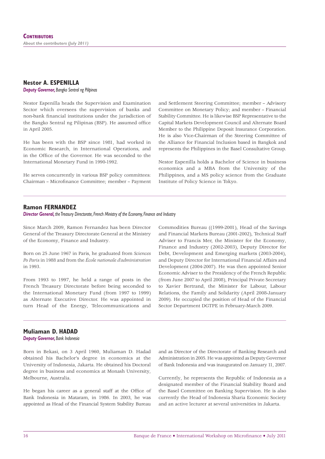## **Nestor A. ESPENILLA**

*Deputy Governor, Bangko Sentral ng Pilipinas*

Nestor Espenilla heads the Supervision and Examination Sector which oversees the supervision of banks and non-bank financial institutions under the jurisdiction of the Bangko Sentral ng Pilipinas (BSP). He assumed office in April 2005.

He has been with the BSP since 1981, had worked in Economic Research, in International Operations, and in the Office of the Governor. He was seconded to the International Monetary Fund in 1990-1992.

He serves concurrently in various BSP policy committees: Chairman - Microfinance Committee; member - Payment and Settlement Steering Committee; member – Advisory Committee on Monetary Policy; and member – Financial Stability Committee. He is likewise BSP Representative to the Capital Markets Development Council and Alternate Board Member to the Philippine Deposit Insurance Corporation. He is also Vice-Chairman of the Steering Committee of the Alliance for Financial Inclusion based in Bangkok and represents the Philippines in the Basel Consultative Group.

Nestor Espenilla holds a Bachelor of Science in business economics and a MBA from the University of the Philippines, and a MS policy science from the Graduate Institute of Policy Science in Tokyo.

#### **Ramon FERNANDEZ**

*Director General, the Treasury Directorate, French Ministry of the Economy, Finance and Industry*

Since March 2009, Ramon Fernandez has been Director General of the Treasury Directorate General at the Ministry of the Economy, Finance and Industry.

Born on 25 June 1967 in Paris, he graduated from *Sciences Po Paris* in 1988 and from the *École nationale d'administration* in 1993.

From 1993 to 1997, he held a range of posts in the French Treasury Directorate before being seconded to the International Monetary Fund (from 1997 to 1999) as Alternate Executive Director. He was appointed in turn Head of the Energy, Telecommunications and

Commodities Bureau ((1999-2001), Head of the Savings and Financial Markets Bureau (2001-2002), Technical Staff Adviser to Francis Mer, the Minister for the Economy, Finance and Industry (2002-2003), Deputy Director for Debt, Development and Emerging markets (2003-2004), and Deputy Director for International Financial Affairs and Development (2004-2007). He was then appointed Senior Economic Adviser to the Presidency of the French Republic (from June 2007 to April 2008), Principal Private Secretary to Xavier Bertrand, the Minister for Labour, Labour Relations, the Family and Solidarity (April 2008-January 2009). He occupied the position of Head of the Financial Sector Department DGTPE in February-March 2009.

#### **Muliaman D. HADAD**

*Deputy Governor, Bank Indonesia*

Born in Bekasi, on 3 April 1960, Muliaman D. Hadad obtained his Bachelor's degree in economics at the University of Indonesia, Jakarta. He obtained his Doctoral degree in business and economics at Monash University, Melbourne, Australia.

He began his career as a general staff at the Office of Bank Indonesia in Mataram, in 1986. In 2003, he was appointed as Head of the Financial System Stability Bureau

and as Director of the Directorate of Banking Research and Administration in 2005. He was appointed as Deputy Governor of Bank Indonesia and was inaugurated on January 11, 2007.

Currently, he represents the Republic of Indonesia as a designated member of the Financial Stability Board and the Basel Committee on Banking Supervision. He is also currently the Head of Indonesia Sharia Economic Society and an active lecturer at several universities in Jakarta.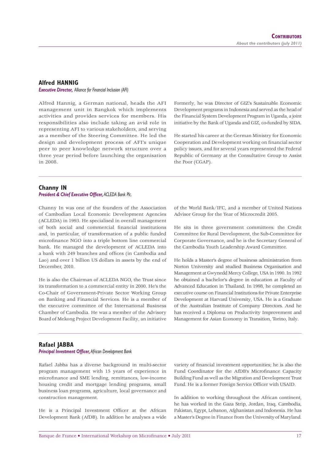#### **Alfred HANNIG**

*Executive Director, Alliance for Financial Inclusion (AFI)*

Alfred Hannig, a German national, heads the AFI management unit in Bangkok which implements activities and provides services for members. His responsibilities also include taking an avid role in representing AFI to various stakeholders, and serving as a member of the Steering Committee. He led the design and development process of AFI's unique peer to peer knowledge network structure over a three year period before launching the organisation in 2008.

Formerly, he was Director of GIZ's Sustainable Economic Development programs in Indonesia and served as the head of the Financial System Development Program in Uganda, a joint initiative by the Bank of Uganda and GIZ, co-funded by SIDA.

He started his career at the German Ministry for Economic Cooperation and Development working on financial sector policy issues, and for several years represented the Federal Republic of Germany at the Consultative Group to Assist the Poor (CGAP).

#### **Channy IN**

#### **President & Chief Executive Officer, ACLEDA Bank Plc.**

Channy In was one of the founders of the Association of Cambodian Local Economic Development Agencies (ACLEDA) in 1993. He specialised in overall management of both social and commercial financial institutions and, in particular, of transformation of a public funded microfinance NGO into a triple bottom line commercial bank. He managed the development of ACLEDA into a bank with 249 branches and offices (in Cambodia and Lao) and over 1 billion US dollars in assets by the end of December, 2010.

He is also the Chairman of ACLEDA NGO, the Trust since its transformation to a commercial entity in 2000. He's the Co-Chair of Government-Private Sector Working Group on Banking and Financial Services. He is a member of the executive committee of the International Business Chamber of Cambodia. He was a member of the Advisory Board of Mekong Project Development Facility, an initiative

of the World Bank/IFC, and a member of United Nations Advisor Group for the Year of Microcredit 2005.

He sits in three government committees: the Credit Committee for Rural Development, the Sub-Committee for Corporate Governance, and he is the Secretary General of the Cambodia Youth Leadership Award Committee.

He holds a Master's degree of business administration from Norton University and studied Business Organisation and Management at Gwynedd Mercy College, USA in 1990. In 1992 he obtained a bachelor's degree in education at Faculty of Advanced Education in Thailand. In 1998, he completed an executive course on Financial Institutions for Private Enterprise Development at Harvard University, USA. He is a Graduate of the Australian Institute of Company Directors. And he has received a Diploma on Productivity Improvement and Management for Asian Economy in Transition, Torino, Italy.

#### **Rafael JABBA**

#### **Principal Investment Officer, African Development Bank**

Rafael Jabba has a diverse background in multi-sector program management with 15 years of experience in microfinance and SME lending, remittances, low-income housing credit and mortgage lending programs, small business loan programs, agriculture, local governance and construction management.

He is a Principal Investment Officer at the African Development Bank (AfDB). In addition he analyses a wide variety of financial investment opportunities; he is also the Fund Coordinator for the AfDB's Microfinance Capacity Building Fund as well as the Migration and Development Trust Fund. He is a former Foreign Service Officer with USAID.

In addition to working throughout the African continent, he has worked in the Gaza Strip, Jordan, Iraq, Cambodia, Pakistan, Egypt, Lebanon, Afghanistan and Indonesia. He has a Master's Degree in Finance from the University of Maryland.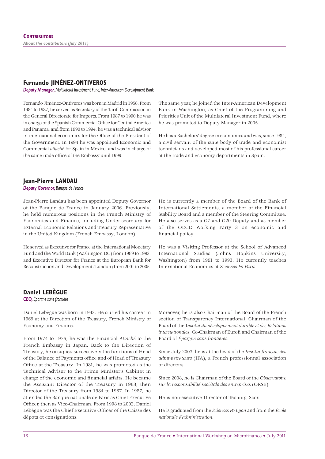#### **Fernando JIMÉNEZ-ONTIVEROS**

*Deputy Manager, Multilateral Investment Fund, Inter-American Development Bank*

Fernando Jiménez-Ontiveros was born in Madrid in 1958. From 1984 to 1987, he served as Secretary of the Tariff Commission in the General Directorate for Imports. From 1987 to 1990 he was in charge of the Spanish Commercial Office for Central America and Panama, and from 1990 to 1994, he was a technical advisor in international economics for the Office of the President of the Government. In 1994 he was appointed Economic and Commercial *attaché* for Spain in Mexico, and was in charge of the same trade office of the Embassy until 1999.

The same year, he joined the Inter-American Development Bank in Washington, as Chief of the Programming and Priorities Unit of the Multilateral Investment Fund, where he was promoted to Deputy Manager in 2005.

He has a Bachelors' degree in economics and was, since 1984, a civil servant of the state body of trade and economist technicians and developed most of his professional career at the trade and economy departments in Spain.

#### **Jean-Pierre LANDAU**

*Deputy Governor, Banque de France*

Jean-Pierre Landau has been appointed Deputy Governor of the Banque de France in January 2006. Previously, he held numerous positions in the French Ministry of Economics and Finance, including Under-secretary for External Economic Relations and Treasury Representative in the United Kingdom (French Embassy, London).

He served as Executive for France at the International Monetary Fund and the World Bank (Washington DC) from 1989 to 1993, and Executive Director for France at the European Bank for Reconstruction and Development (London) from 2001 to 2005.

He is currently a member of the Board of the Bank of International Settlements, a member of the Financial Stability Board and a member of the Steering Committee. He also serves as a G7 and G20 Deputy and as member of the OECD Working Party 3 on economic and financial policy.

He was a Visiting Professor at the School of Advanced International Studies (Johns Hopkins University, Washington) from 1991 to 1993. He currently teaches International Economics at *Sciences Po Paris.*

#### **Daniel LEBÈGUE**

*CEO, Épargne sans frontière*

Daniel Lebègue was born in 1943. He started his carreer in 1969 at the Direction of the Treasury, French Ministry of Economy and Finance.

From 1974 to 1976, he was the Financial *Attaché* to the French Embassy in Japan. Back to the Direction of Treasury, he occupied successively the functions of Head of the Balance of Payments office and of Head of Treasury Office at the Treasury. In 1981, he was promoted as the Technical Adviser to the Prime Minister's Cabinet in charge of the economic and financial affairs. He became the Assistant Director of the Treasury in 1983, then Director of the Treasury from 1984 to 1987. In 1987, he attended the Banque nationale de Paris as Chief Executive Officer, then as Vice-Chairman. From 1998 to 2002, Daniel Lebègue was the Chief Executive Officer of the Caisse des dépots et consignations.

Moreover, he is also Chairman of the Board of the French section of Transparency International, Chairman of the Board of the I*nstitut du développement durable et des Relations internationales*, Co-Chairman of Eurofi and Chairman of the Board of *Épargne sans frontières*.

Since July 2003, he is at the head of the *Institut français des administrateurs* (IFA), a French professionnal association of directors.

Since 2008, he is Chairman of the Board of the *Observatoire sur la responsabilité sociétale des entreprises* (ORSE).

He is non-executive Director of Technip, Scor.

He is graduated from the *Sciences Po Lyon* and from the *École nationale d'administration*.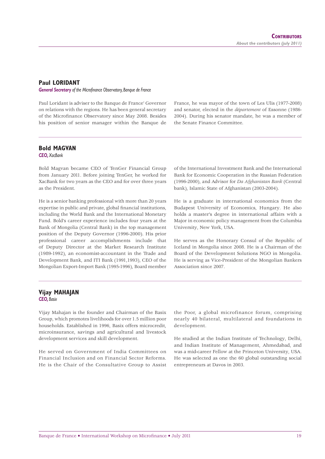#### **Paul LORIDANT**

*General Secretary of the Microfinance Observatory, Banque de France* 

Paul Loridant is adviser to the Banque de France' Governor on relations with the regions. He has been general secretary of the Microfinance Observatory since May 2008. Besides his position of senior manager within the Banque de France, he was mayor of the town of Les Ulis (1977-2008) and senator, elected in the *département* of Essonne (1986- 2004). During his senator mandate, he was a member of the Senate Finance Committee.

### **Bold MAGVAN**

*CEO, XacBank*

Bold Magvan became CEO of TenGer Financial Group from January 2011. Before joining TenGer, he worked for XacBank for two years as the CEO and for over three years as the President.

He is a senior banking professional with more than 20 years expertise in public and private, global financial institutions, including the World Bank and the International Monetary Fund. Bold's career experience includes four years at the Bank of Mongolia (Central Bank) in the top management position of the Deputy Governor (1996-2000). His prior professional career accomplishments include that of Deputy Director at the Market Research Institute (1989-1992), an economist-accountant in the Trade and Development Bank, and ITI Bank (1991,1993), CEO of the Mongolian Export-Import Bank (1995-1996), Board member

of the International Investment Bank and the International Bank for Economic Cooperation in the Russian Federation (1996-2000), and Advisor for *Da Afghanistan Bank* (Central bank), Islamic State of Afghanistan (2003-2004).

He is a graduate in international economics from the Budapest University of Economics, Hungary. He also holds a master's degree in international affairs with a Major in economic policy management from the Columbia University, New York, USA.

He serves as the Honorary Consul of the Republic of Iceland in Mongolia since 2008. He is a Chairman of the Board of the Development Solutions NGO in Mongolia. He is serving as Vice-President of the Mongolian Bankers Association since 2007.

#### **Vijay MAHAJAN** *CEO, Basix*

Vijay Mahajan is the founder and Chairman of the Basix Group, which promotes livelihoods for over 1.5 million poor households. Established in 1996, Basix offers microcredit, microinsurance, savings and agricultural and livestock development services and skill development.

He served on Government of India Committees on Financial Inclusion and on Financial Sector Reforms. He is the Chair of the Consultative Group to Assist the Poor, a global microfinance forum, comprising nearly 40 bilateral, multilateral and foundations in development.

He studied at the Indian Institute of Technology, Delhi, and Indian Institute of Management, Ahmedabad, and was a mid-career Fellow at the Princeton University, USA. He was selected as one the 60 global outstanding social entrepreneurs at Davos in 2003.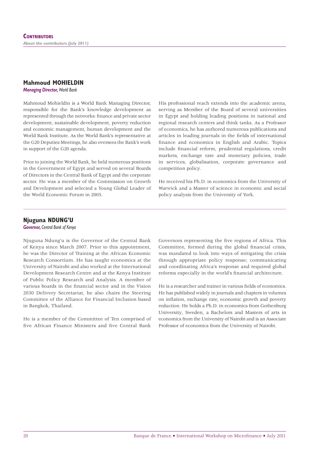#### **Mahmoud MOHIELDIN**

*Managing Director, World Bank*

Mahmoud Mohieldin is a World Bank Managing Director, responsible for the Bank's knowledge development as represented through the networks: finance and private sector development, sustainable development, poverty reduction and economic management, human development and the World Bank Institute. As the World Bank's representative at the G20 Deputies Meetings, he also oversees the Bank's work in support of the G20 agenda.

Prior to joining the World Bank, he held numerous positions in the Government of Egypt and served on several Boards of Directors in the Central Bank of Egypt and the corporate sector. He was a member of the Commission on Growth and Development and selected a Young Global Leader of the World Economic Forum in 2005.

His professional reach extends into the academic arena, serving as Member of the Board of several universities in Egypt and holding leading positions in national and regional research centers and think tanks. As a Professor of economics, he has authored numerous publications and articles in leading journals in the fields of international finance and economics in English and Arabic. Topics include financial reform, prudential regulations, credit markets, exchange rate and monetary policies, trade in services, globalisation, corporate governance and competition policy.

He received his Ph.D. in economics from the University of Warwick and a Master of science in economic and social policy analysis from the University of York.

#### **Njuguna NDUNG'U**

*Governor, Central Bank of Kenya*

Njuguna Ndung'u is the Governor of the Central Bank of Kenya since March 2007. Prior to this appointment, he was the Director of Training at the African Economic Research Consortium. He has taught economics at the University of Nairobi and also worked at the International Development Research Centre and at the Kenya Institute of Public Policy Research and Analysis. A member of various boards in the financial sector and in the Vision 2030 Delivery Secretariat, he also chairs the Steering Committee of the Alliance for Financial Inclusion based in Bangkok, Thailand.

He is a member of the Committee of Ten comprised of five African Finance Ministers and five Central Bank

Governors representing the five regions of Africa. This Committee, formed during the global financial crisis, was mandated to look into ways of mitigating the crisis through appropriate policy response; communicating and coordinating Africa's response and required global reforms especially in the world's financial architecture.

He is a researcher and trainer in various fields of economics. He has published widely in journals and chapters in volumes on inflation, exchange rate, economic growth and poverty reduction. He holds a Ph.D. in economics from Gothenburg University, Sweden, a Bachelors and Masters of arts in economics from the University of Nairobi and is an Associate Professor of economics from the University of Nairobi.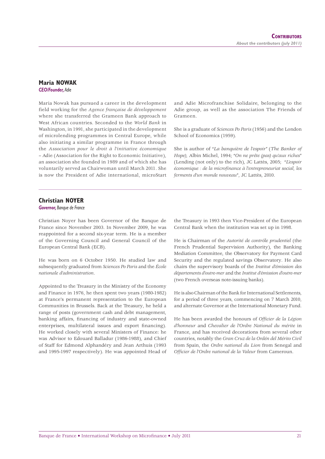#### **Maria NOWAK**

*CEO/Founder, Adie*

Maria Nowak has pursued a career in the development field working for the *Agence française de développement* where she transferred the Grameen Bank approach to West African countries. Seconded to the *World Bank* in Washington, in 1991, she participated in the development of microlending programmes in Central Europe, while also initiating a similar programme in France through the *Association pour le droit à l'initiative économique* – Adie (Association for the Right to Economic Initiative), an association she founded in 1989 and of which she has voluntarily served as Chairwoman until March 2011. She is now the President of Adie international, microStart and Adie Microfranchise Solidaire, belonging to the Adie group, as well as the association The Friends of Grameen.

She is a graduate of *Sciences Po Paris* (1956) and the London School of Economics (1959).

She is author of "*La banquière de l'espoir"* (*The Banker of Hope),* Albin Michel, 1994; "*On ne prête (pas) qu'aux riches*" (Lending (not only) to the rich), JC Lattès, 2005; "*L'espoir économique : de la microfi nance à l'entrepreneuriat social, les ferments d'un monde nouveau*", JC Lattès, 2010.

## **Christian NOYER**

*Governor, Banque de France*

Christian Noyer has been Governor of the Banque de France since November 2003. In November 2009, he was reappointed for a second six-year term. He is a member of the Governing Council and General Council of the European Central Bank (ECB).

He was born on 6 October 1950. He studied law and subsequently graduated from *Sciences Po Paris* and the *École nationale d'administration*.

Appointed to the Treasury in the Ministry of the Economy and Finance in 1976, he then spent two years (1980-1982) at France's permanent representation to the European Communities in Brussels. Back at the Treasury, he held a range of posts (government cash and debt management, banking affairs, financing of industry and state-owned enterprises, multilateral issues and export financing). He worked closely with several Ministers of Finance: he was Advisor to Edouard Balladur (1986-1988), and Chief of Staff for Edmond Alphandéry and Jean Arthuis (1993 and 1995-1997 respectively). He was appointed Head of

the Treasury in 1993 then Vice-President of the European Central Bank when the institution was set up in 1998.

He is Chairman of the *Autorité de contrôle prudentiel* (the French Prudential Supervision Authority), the Banking Mediation Committee, the Observatory for Payment Card Security and the regulated savings Observatory. He also chairs the supervisory boards of the *Institut d'émission des départements d'outre-mer* and the *Institut d'émission d'outre-mer*  (two French overseas note-issuing banks).

He is also Chairman of the Bank for International Settlements, for a period of three years, commencing on 7 March 2010, and alternate Governor at the International Monetary Fund.

He has been awarded the honours of *Officier de la Légion d'honneur* and *Chevalier de l'Ordre National du mérite* in France, and has received decorations from several other countries, notably the *Gran Cruz de la Ordén del Mérito Civil* from Spain, the *Ordre national du Lion* from Senegal and *Offi cier de l'Ordre national de la Valeur* from Cameroun.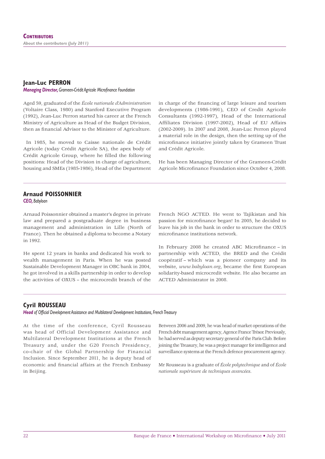#### **Jean-Luc PERRON** *Managing Director, Grameen-Crédit Agricole Microfinance Foundation*

Aged 59, graduated of the *École nationale d'Administration*  (Voltaire Class, 1980) and Stanford Executive Program (1992), Jean-Luc Perron started his career at the French Ministry of Agriculture as Head of the Budget Division, then as financial Advisor to the Minister of Agriculture.

 In 1985, he moved to Caisse nationale de Crédit Agricole (today Crédit Agricole SA), the apex body of Crédit Agricole Group, where he filled the following positions: Head of the Division in charge of agriculture, housing and SMEs (1985-1986), Head of the Department

in charge of the financing of large leisure and tourism developments (1986-1991), CEO of Credit Agricole Consultants (1992-1997), Head of the International Affiliates Division (1997-2002), Head of EU Affairs (2002-2009). In 2007 and 2008, Jean-Luc Perron played a material role in the design, then the setting up of the microfinance initiative jointly taken by Grameen Trust and Crédit Agricole.

He has been Managing Director of the Grameen-Crédit Agricole Microfinance Foundation since October 4, 2008.

#### **Arnaud POISSONNIER**

*CEO, Babyloan*

Arnaud Poissonnier obtained a master's degree in private law and prepared a postgraduate degree in business management and administration in Lille (North of France). Then he obtained a diploma to become a Notary in 1992.

He spent 12 years in banks and dedicated his work to wealth management in Paris. When he was posted Sustainable Development Manager in OBC bank in 2004, he got involved in a skills partnership in order to develop the activities of OXUS – the microcredit branch of the

French NGO ACTED. He went to Tajikistan and his passion for microfinance began! In 2005, he decided to leave his job in the bank in order to structure the OXUS microfinance institutions network

In February 2008 he created ABC Microfinance - in partnership with ACTED, the BRED and the Crédit coopératif – which was a pioneer company and its website, *www.babyloan.org*, became the first European solidarity-based microcredit website. He also became an ACTED Administrator in 2008.

#### **Cyril ROUSSEAU**

Head of Official Development Assistance and Multilateral Development Institutions, French Treasury

At the time of the conference, Cyril Rousseau was head of Official Development Assistance and Multilateral Development Institutions at the French Treasury and, under the G20 French Presidency, co-chair of the Global Partnership for Financial Inclusion. Since September 2011, he is deputy head of economic and financial affairs at the French Embassy in Beijing.

Between 2006 and 2009, he was head of market operations of the French debt management agency, Agence France Trésor. Previously, he had served as deputy secretary general of the Paris Club. Before joining the Treasury, he was a project manager for intelligence and surveillance systems at the French defence procurement agency.

Mr Rousseau is a graduate of *École polytechnique* and of *École nationale supérieure de techniques avancées*.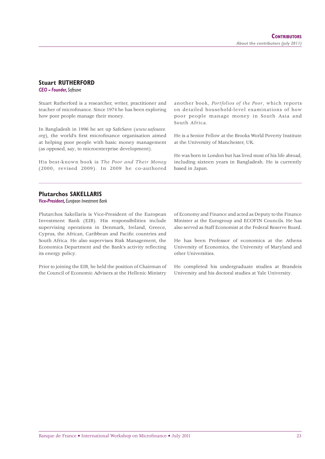#### **Stuart RUTHERFORD**

*CEO – Founder, Safesave*

Stuart Rutherford is a researcher, writer, practitioner and teacher of microfinance. Since 1974 he has been exploring how poor people manage their money.

In Bangladesh in 1996 he set up SafeSave (*www.safesave. org*), the world's first microfinance organisation aimed at helping poor people with basic money management (as opposed, say, to microenterprise development).

His best-known book is *The Poor and Their Money* (2000, revised 2009). In 2009 he co-authored

another book, *Portfolios of the Poor*, which reports on detailed household-level examinations of how poor people manage money in South Asia and South Africa.

He is a Senior Fellow at the Brooks World Poverty Institute at the University of Manchester, UK.

He was born in London but has lived most of his life abroad, including sixteen years in Bangladesh. He is currently based in Japan.

#### **Plutarchos SAKELLARIS**

*Vice-President, European Investment Bank*

Plutarchos Sakellaris is Vice-President of the European Investment Bank (EIB). His responsibilities include supervising operations in Denmark, Ireland, Greece, Cyprus, the African, Caribbean and Pacific countries and South Africa. He also supervises Risk Management, the Economics Department and the Bank's activity reflecting its energy policy.

Prior to joining the EIB, he held the position of Chairman of the Council of Economic Advisers at the Hellenic Ministry

of Economy and Finance and acted as Deputy to the Finance Minister at the Eurogroup and ECOFIN Councils. He has also served as Staff Economist at the Federal Reserve Board.

He has been Professor of economics at the Athens University of Economics, the University of Maryland and other Universities.

He completed his undergraduate studies at Brandeis University and his doctoral studies at Yale University.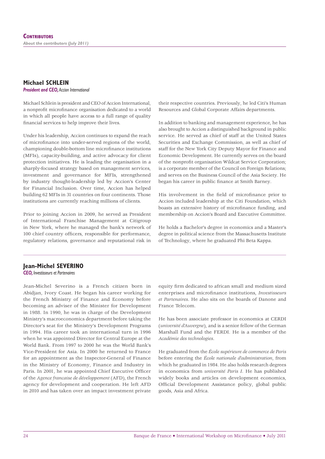### **Michael SCHLEIN**

*President and CEO, Accion International*

Michael Schlein is president and CEO of Accion International, a nonprofit microfinance organisation dedicated to a world in which all people have access to a full range of quality financial services to help improve their lives.

Under his leadership, Accion continues to expand the reach of microfinance into under-served regions of the world, championing double-bottom line microfinance institutions (MFIs), capacity-building, and active advocacy for client protection initiatives. He is leading the organisation in a sharply-focused strategy based on management services, investment and governance for MFIs, strengthened by industry thought-leadership led by Accion's Center for Financial Inclusion. Over time, Accion has helped building 62 MFIs in 31 countries on four continents. Those institutions are currently reaching millions of clients.

Prior to joining Accion in 2009, he served as President of International Franchise Management at Citigroup in New York, where he managed the bank's network of 100 chief country officers, responsible for performance, regulatory relations, governance and reputational risk in

their respective countries. Previously, he led Citi's Human Resources and Global Corporate Affairs departments.

In addition to banking and management experience, he has also brought to Accion a distinguished background in public service. He served as chief of staff at the United States Securities and Exchange Commission, as well as chief of staff for the New York City Deputy Mayor for Finance and Economic Development. He currently serves on the board of the nonprofit organisation Wildcat Service Corporation; is a corporate member of the Council on Foreign Relations; and serves on the Business Council of the Asia Society. He began his career in public finance at Smith Barney.

His involvement in the field of microfinance prior to Accion included leadership at the Citi Foundation, which boasts an extensive history of microfinance funding, and membership on Accion's Board and Executive Committee.

He holds a Bachelor's degree in economics and a Master's degree in political science from the Massachusetts Institute of Technology, where he graduated Phi Beta Kappa.

#### **Jean-Michel SEVERINO**

*CEO, Investisseurs et Partenaires*

Jean-Michel Severino is a French citizen born in Abidjan, Ivory Coast. He began his career working for the French Ministry of Finance and Economy before becoming an adviser of the Minister for Development in 1988. In 1990, he was in charge of the Development Ministry's macroeconomics department before taking the Director's seat for the Ministry's Development Programs in 1994. His career took an international turn in 1996 when he was appointed Director for Central Europe at the World Bank. From 1997 to 2000 he was the World Bank's Vice-President for Asia. In 2000 he returned to France for an appointment as the Inspector-General of Finance in the Ministry of Economy, Finance and Industry in Paris. In 2001, he was appointed Chief Executive Officer of the *Agence francaise de développement* (AFD), the French agency for development and cooperation. He left AFD in 2010 and has taken over an impact investment private

equity firm dedicated to african small and medium sized enterprises and microfinance institutions, *Investisseurs et Partenaires*. He also sits on the boards of Danone and France Telecom.

He has been associate professor in economics at CERDI (*université d'Auvergne*), and is a senior fellow of the German Marshall Fund and the FERDI. He is a member of the *Académie des technologies*.

He graduated from the *École supérieure de commerce de Paris* before entering the *École nationale d'administration*, from which he graduated in 1984. He also holds research degrees in economics from *université Paris I*. He has published widely books and articles on development economics, Official Development Assistance policy, global public goods, Asia and Africa.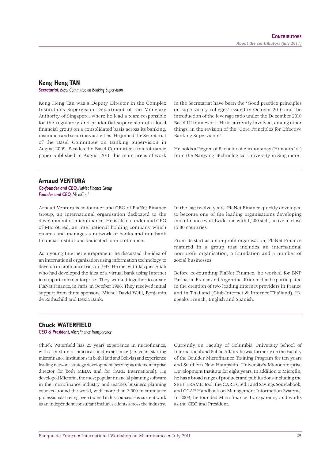#### **Keng Heng TAN**

*Secretariat, Basel Committee on Banking Supervision*

Keng Heng Tan was a Deputy Director in the Complex Institutions Supervision Department of the Monetary Authority of Singapore, where he lead a team responsible for the regulatory and prudential supervision of a local financial group on a consolidated basis across its banking, insurance and securities activities. He joined the Secretariat of the Basel Committee on Banking Supervision in August 2009. Besides the Basel Committee's microfinance paper published in August 2010, his main areas of work in the Secretariat have been the "Good practice principles on supervisory colleges" issued in October 2010 and the introduction of the leverage ratio under the December 2010 Basel III framework. He is currently involved, among other things, in the revision of the "Core Principles for Effective Banking Supervision".

He holds a Degree of Bachelor of Accountancy (Honours 1st) from the Nanyang Technological University in Singapore.

#### **Arnaud VENTURA**

*Co-founder and CEO, PlaNet Finance Group Founder and CEO, MicroCred*

Arnaud Ventura is co-founder and CEO of PlaNet Finance Group, an international organisation dedicated to the development of microfinance. He is also founder and CEO of MicroCred, an international holding company which creates and manages a network of banks and non-bank financial institutions dedicated to microfinance.

As a young Internet entrepreneur, he discussed the idea of an international organisation using information technology to develop microfinance back in 1997. He met with Jacques Attali who had developed the idea of a virtual bank using Internet to support microenterprise. They worked together to create PlaNet Finance, in Paris, in October 1998. They received initial support from three sponsors: Michel David Weill, Benjamin de Rothschild and Dexia Bank.

In the last twelve years, PlaNet Finance quickly developed to become one of the leading organisations developing microfinance worldwide and with 1,200 staff, active in close to 80 countries.

From its start as a non-profit organisation, PlaNet Finance matured in a group that includes an international non-profit organisation, a foundation and a number of social businesses.

Before co-founding PlaNet Finance, he worked for BNP Paribas in France and Argentina. Prior to that he participated in the creation of two leading Internet providers in France and in Thailand (Club-Internet & Internet Thaïland). He speaks French, English and Spanish.

#### **Chuck WATERFIELD**

**CEO & President, Microfinance Transparency** 

Chuck Waterfield has 25 years experience in microfinance, with a mixture of practical field experience (six years starting microfinance institutions in both Haiti and Bolivia) and experience leading network strategy development (serving as microenterprise director for both MEDA and for CARE International). He developed Microfin, the most popular financial planning software in the microfinance industry and teaches business planning courses around the world, with more than 3,000 microfinance professionals having been trained in his courses. His current work as an independent consultant includes clients across the industry. Currently on Faculty of Columbia University School of International and Public Affairs, he was formerly on the Faculty of the Boulder Microfinance Training Program for ten years and Southern New Hampshire University's Microenterprise Development Institute for eight years. In addition to Microfin, he has a broad range of products and publications including the SEEP FRAME Tool, the CARE Credit and Savings Sourcebook, and CGAP Handbook on Management Information Systems. In 2008, he founded Microfinance Transparency and works as the CEO and President.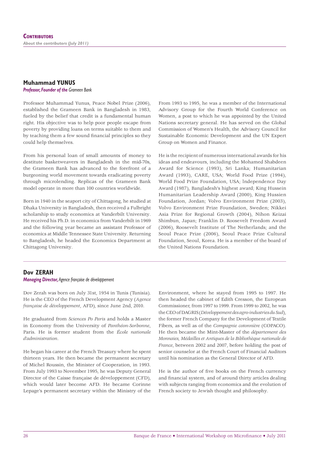#### **Muhammad YUNUS**

*Professor, Founder of the Grameen Bank*

Professor Muhammad Yunus, Peace Nobel Prize (2006), established the Grameen Bank in Bangladesh in 1983, fueled by the belief that credit is a fundamental human right. His objective was to help poor people escape from poverty by providing loans on terms suitable to them and by teaching them a few sound financial principles so they could help themselves.

From his personal loan of small amounts of money to destitute basketweavers in Bangladesh in the mid-70s, the Grameen Bank has advanced to the forefront of a burgeoning world movement towards eradicating poverty through microlending. Replicas of the Grameen Bank model operate in more than 100 countries worldwide.

Born in 1940 in the seaport city of Chittagong, he studied at Dhaka University in Bangladesh, then received a Fulbright scholarship to study economics at Vanderbilt University. He received his Ph.D. in economics from Vanderbilt in 1969 and the following year became an assistant Professor of economics at Middle Tennessee State University. Returning to Bangladesh, he headed the Economics Department at Chittagong University.

From 1993 to 1995, he was a member of the International Advisory Group for the Fourth World Conference on Women, a post to which he was appointed by the United Nations secretary general. He has served on the Global Commission of Women's Health, the Advisory Council for Sustainable Economic Development and the UN Expert Group on Women and Finance.

He is the recipient of numerous international awards for his ideas and endeavours, including the Mohamed Shabdeen Award for Science (1993), Sri Lanka; Humanitarian Award (1993), CARE, USA; World Food Prize (1994), World Food Prize Foundation, USA; lndependence Day Award (1987), Bangladesh's highest award; King Hussein Humanitarian Leadership Award (2000), King Hussien Foundation, Jordan; Volvo Environment Prize (2003), Volvo Environment Prize Foundation, Sweden; Nikkei Asia Prize for Regional Growth (2004), Nihon Keizai Shimbun, Japan; Franklin D. Roosevelt Freedom Award (2006), Roosevelt Institute of The Netherlands; and the Seoul Peace Prize (2006), Seoul Peace Prize Cultural Foundation, Seoul, Korea. He is a member of the board of the United Nations Foundation.

#### **Dov ZERAH**

#### *Managing Director, Agence française de développement*

Dov Zerah was born on July 31st, 1954 in Tunis (Tunisia). He is the CEO of the French Development Agency (*Agence française de développement*, AFD), since June 2nd, 2010.

He graduated from *Sciences Po Paris* and holds a Master in Economy from the University of *Panthéon-Sorbonne*, Paris. He is former student from the *École nationale d'administration*.

He began his career at the French Treasury where he spent thirteen years. He then became the permanent secretary of Michel Roussin, the Minister of Cooperation, in 1993. From July 1993 to November 1995, he was Deputy General Director of the Caisse française de développement (CFD), which would later become AFD. He became Corinne Lepage's permanent secretary within the Ministry of the

Environment, where he stayed from 1995 to 1997. He then headed the cabinet of Edith Cresson, the European Commissioner, from 1997 to 1999. From 1999 to 2002, he was the CEO of DAGRIS (*Développement des agro-industries du Sud*), the former French Company for the Development of Textile Fibers, as well as of the *Compagnie cotonnière* (COPACO). He then became the Mint-Master of the *département des Monnaies, Médailles et Antiques de la Bibliothèque nationale de France*, between 2002 and 2007, before holding the post of senior counselor at the French Court of Financial Auditors until his nomination as the General Director of AFD.

He is the author of five books on the French currency and financial system, and of around thirty articles dealing with subjects ranging from economics and the evolution of French society to Jewish thought and philosophy.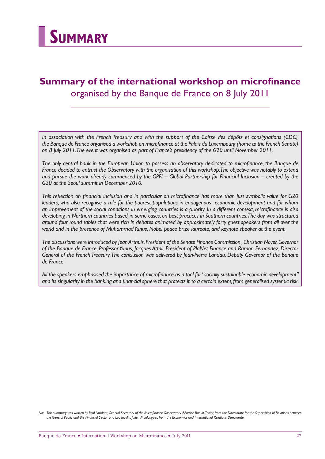

## **Summary of the international workshop on microfinance** organised by the Banque de France on 8 July 2011

*In association with the French Treasury and with the support of the Caisse des dépôts et consignations (CDC), the Banque de France organised a workshop on microfinance at the Palais du Luxembourg (home to the French Senate) on 8 July 2011. The event was organised as part of France's presidency of the G20 until November 2011.*

The only central bank in the European Union to possess an observatory dedicated to microfinance, the Banque de *France decided to entrust the Observatory with the organisation of this workshop. The objective was notably to extend and pursue the work already commenced by the GPFI – Global Partnership for Financial Inclusion – created by the G20 at the Seoul summit in December 2010.*

This reflection on financial inclusion and in particular on microfinance has more than just symbolic value for G20 *leaders, who also recognise a role for the poorest populations in endogenous economic development and for whom* an improvement of the social conditions in emerging countries is a priority. In a different context, microfinance is also *developing in Northern countries based, in some cases, on best practices in Southern countries. The day was structured around four round tables that were rich in debates animated by approximately forty guest speakers from all over the world and in the presence of Muhammad Yunus, Nobel peace prize laureate, and keynote speaker at the event.*

*The discussions were introduced by Jean Arthuis, President of the Senate Finance Commission , Christian Noyer, Governor of the Banque de France, Professor Yunus, Jacques Attali, President of PlaNet Finance and Ramon Fernandez, Director General of the French Treasury. The conclusion was delivered by Jean-Pierre Landau, Deputy Governor of the Banque de France.*

All the speakers emphasised the importance of microfinance as a tool for "socially sustainable economic development" and its singularity in the banking and financial sphere that protects it, to a certain extent, from generalised systemic risk.

*Nb*: This summary was written by Paul Loridant, General Secretary of the Microfinance Observatory, Béatrice Raoult-Texier, from the Directorate for the Supervision of Relations between *the General Public and the Financial Sector and Luc Jacolin, Julien Moulonguet, from the Economics and International Relations Directorate.*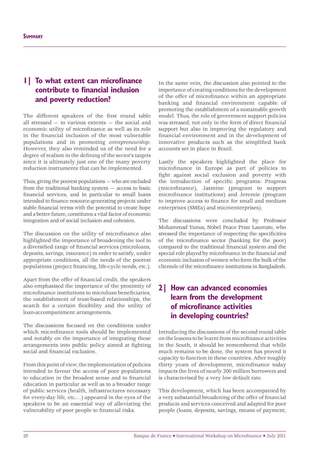## **1| To what extent can microfinance contribute to financial inclusion and poverty reduction?**

The different speakers of the first round table all stressed — to various extents — the social and economic utility of microfinance as well as its role in the financial inclusion of the most vulnerable populations and in promoting *entrepreneurship*. However, they also reminded us of the need for a degree of realism in the defining of the sector's targets since it is ultimately just one of the many poverty reduction instruments that can be implemented.

Thus, giving the poorest populations — who are excluded from the traditional banking system — access to basic financial services, and in particular to small loans intended to finance resource-generating projects under stable financial terms with the potential to create hope and a better future, constitutes a vital factor of economic integration and of social inclusion and cohesion.

The discussion on the utility of microfinance also highlighted the importance of broadening the tool to a diversified range of financial services (microloans, deposits, savings, insurance) in order to satisfy, under appropriate conditions, all the needs of the poorest populations (project financing, life-cycle needs, etc.).

Apart from the offer of financial credit, the speakers also emphasised the importance of the proximity of microfinance institutions to microloan beneficiaries the establishment of trust-based relationships, the search for a certain flexibility and the utility of loan-accompaniment arrangements.

The discussions focused on the conditions under which microfinance tools should be implemented and notably on the importance of integrating these arrangements into public policy aimed at fighting social and financial exclusion.

From this point of view, the implementation of policies intended to favour the access of poor populations to education in the broadest sense and to financial education in particular as well as to a broader range of public services (health, infrastructures necessary for every-day life, etc.…) appeared in the eyes of the speakers to be an essential way of alleviating the vulnerability of poor people to financial risks.

In the same vein, the discussion also pointed to the importance of creating conditions for the development of the offer of microfinance within an appropriate banking and financial environment capable of promoting the establishment of a sustainable growth model. Thus, the role of government support policies was stressed, not only in the form of direct financial support but also in improving the regulatory and financial environment and in the development of innovative products such as the simplified bank accounts set in place in Brazil.

Lastly the speakers highlighted the place for microfinance in Europe as part of policies to fight against social exclusion and poverty with the introduction of specific programs: Progress (microfinance), Jasmine (program to support microfinance institutions) and Jeremie (program to improve access to finance for small and medium enterprises (SMEs) and microenterprises).

The discussions were concluded by Professor Mohammad Yunus, Nobel Peace Prize Laureate, who stressed the importance of respecting the specificities of the microfinance sector (banking for the poor) compared to the traditional financial system and the special role played by microfinance in the financial and economic inclusion of women who form the bulk of the clientele of the microfinance institutions in Bangladesh.

## **2| How can advanced economies learn from the development of microfinance activities in developing countries?**

Introducing the discussions of the second round table on the lessons to be learnt from microfinance activities in the South, it should be remembered that while much remains to be done, the system has proved it capacity to function in these countries. After roughly thirty years of development, microfinance today impacts the lives of nearly 200 million borrowers and is characterised by a very low default rate.

This development, which has been accompanied by a very substantial broadening of the offer of financial products and services conceived and adapted for poor people (loans, deposits, savings, means of payment,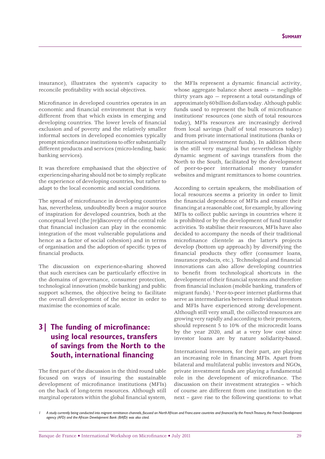insurance), illustrates the system's capacity to reconcile profitability with social objectives.

Microfinance in developed countries operates in an economic and financial environment that is very different from that which exists in emerging and developing countries. The lower levels of financial exclusion and of poverty and the relatively smaller informal sectors in developed economies typically prompt microfinance institutions to offer substantially different products and services (micro-lending, basic banking services).

It was therefore emphasised that the objective of experiencing-sharing should not be to simply replicate the experience of developing countries, but rather to adapt to the local economic and social conditions.

The spread of microfinance in developing countries has, nevertheless, undoubtedly been a major source of inspiration for developed countries, both at the conceptual level (the [re]discovery of the central role that financial inclusion can play in the economic integration of the most vulnerable populations and hence as a factor of social cohesion) and in terms of organisation and the adoption of specific types of financial products.

The discussion on experience-sharing showed that such exercises can be particularly effective in the domains of governance, consumer protection, technological innovation (mobile banking) and public support schemes, the objective being to facilitate the overall development of the sector in order to maximise the economies of scale.

## **3** The funding of microfinance: **using local resources, transfers of savings from the North to the South, international financing**

The first part of the discussion in the third round table focused on ways of insuring the sustainable development of microfinance institutions (MFIs) on the back of long-term resources. Although still marginal operators within the global financial system,

the MFIs represent a dynamic financial activity, whose aggregate balance sheet assets — negligible thirty years ago — represent a total outstandings of approximately 60 billion dollars today. Although public funds used to represent the bulk of microfinance institutions' resources (one sixth of total resources today), MFIs resources are increasingly derived from local savings (half of total resources today) and from private international institutions (banks or international investment funds). In addition there is the still very marginal but nevertheless highly dynamic segment of savings transfers from the North to the South, facilitated by the development of peer-to-peer international money transfer websites and migrant remittances to home countries.

According to certain speakers, the mobilisation of local resources seems a priority in order to limit the financial dependence of MFIs and ensure their financing at a reasonable cost, for example, by allowing MFIs to collect public savings in countries where it is prohibited or by the development of fund transfer activities. To stabilise their resources, MFIs have also decided to accompany the needs of their traditional microfinance clientele as the latter's projects develop (bottom up approach) by diversifying the financial products they offer (consumer loans, insurance products, etc.). Technological and financial innovations can also allow developing countries to benefit from technological shortcuts in the development of their financial systems and therefore from financial inclusion (mobile banking, transfers of migrant funds). <sup>1</sup> Peer-to-peer internet platforms that serve as intermediaries between individual investors and MFIs have experienced strong development. Although still very small, the collected resources are growing very rapidly and according to their promoters, should represent 5 to 10% of the microcredit loans by the year 2020, and at a very low cost since investor loans are by nature solidarity-based.

International investors, for their part, are playing an increasing role in financing MFIs. Apart from bilateral and multilateral public investors and NGOs, private investment funds are playing a fundamental role in the development of microfinance. The discussion on their investment strategies – which of course are different from one institution to the next – gave rise to the following questions: to what

A study currently being conducted into migrant remittance channels, focused on North African and Franc-zone countries and financed by the French Treasury, the French Development *agency (AFD) and the African Development Bank (BAfD) was also cited.*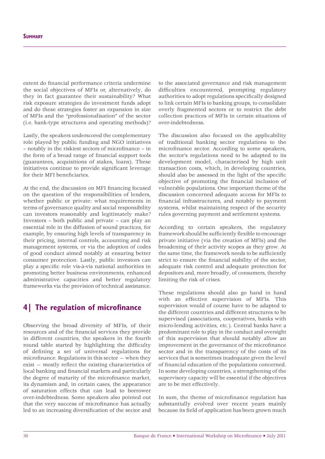extent do financial performance criteria undermine the social objectives of MFIs or, alternatively, do they in fact guarantee their sustainability? What risk exposure strategies do investment funds adopt and do these strategies foster an expansion in size of MFIs and the "professionalisation" of the sector (i.e. bank-type structures and operating methods)?

Lastly, the speakers underscored the complementary role played by public funding and NGO initiatives – notably in the riskiest sectors of microfinance – in the form of a broad range of financial support tools (guarantees, acquisitions of stakes, loans). These initiatives continue to provide significant leverage for their MFI beneficiaries.

At the end, the discussion on MFI financing focused on the question of the responsibilities of lenders, whether public or private: what requirements in terms of governance quality and social responsibility can investors reasonably and legitimately make? Investors – both public and private – can play an essential role in the diffusion of sound practices, for example, by ensuring high levels of transparency in their pricing, internal controls, accounting and risk management systems, or via the adoption of codes of good conduct aimed notably at ensuring better consumer protection. Lastly, public investors can play a specific role vis-à-vis national authorities in promoting better business environments, enhanced administrative capacities and better regulatory frameworks via the provision of technical assistance.

## **4** The regulation of microfinance

Observing the broad diversity of MFIs, of their resources and of the financial services they provide in different countries, the speakers in the fourth round table started by highlighting the difficulty of defining a set of universal regulations for microfinance. Regulations in this sector  $-$  when they  $exist$  — mostly reflect the existing characteristics of local banking and financial markets and particularly the degree of maturity of the microfinance market, its dynamism and, in certain cases, the appearance of saturation effects that can lead to borrower over-indebtedness. Some speakers also pointed out that the very success of microfinance has actually led to an increasing diversification of the sector and

to the associated governance and risk management difficulties encountered, prompting regulatory authorities to adopt regulations specifically designed to link certain MFIs to banking groups, to consolidate overly fragmented sectors or to restrict the debt collection practices of MFIs in certain situations of over-indebtedness.

The discussion also focused on the applicability of traditional banking sector regulations to the microfinance sector. According to some speakers, the sector's regulations need to be adapted to its development model, characterised by high unit transaction costs, which, in developing countries, should also be assessed in the light of the specific objective of promoting the financial inclusion of vulnerable populations. One important theme of the discussion concerned adequate access for MFIs to financial infrastructures, and notably to payment systems, whilst maintaining respect of the security rules governing payment and settlement systems.

According to certain speakers, the regulatory framework should be sufficiently flexible to encourage private initiative (via the creation of MFIs) and the broadening of their activity scopes as they grow. At the same time, the framework needs to be sufficiently strict to ensure the financial stability of the sector, adequate risk control and adequate protection for depositors and, more broadly, of consumers, thereby limiting the risk of crises.

These regulations should also go hand in hand with an effective supervision of MFIs. This supervision would of course have to be adapted to the different countries and different structures to be supervised (associations, cooperatives, banks with micro-lending activities, etc.). Central banks have a predominant role to play in the conduct and oversight of this supervision that should notably allow an improvement in the governance of the microfinance sector and in the transparency of the costs of its services that is sometimes inadequate given the level of financial education of the populations concerned. In some developing countries, a strengthening of the supervisory capacity will be essential if the objectives are to be met effectively.

In sum, the theme of microfinance regulation has substantially evolved over recent years mainly because its field of application has been grown much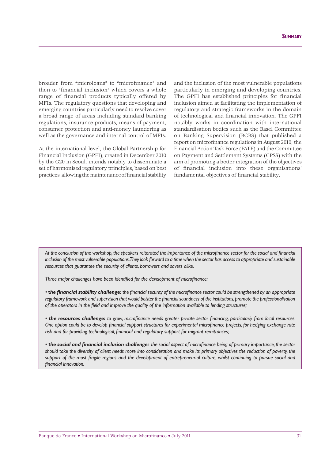broader from "microloans" to "microfinance" and then to "financial inclusion" which covers a whole range of financial products typically offered by MFIs. The regulatory questions that developing and emerging countries particularly need to resolve cover a broad range of areas including standard banking regulations, insurance products, means of payment, consumer protection and anti-money laundering as well as the governance and internal control of MFIs.

At the international level, the Global Partnership for Financial Inclusion (GPFI), created in December 2010 by the G20 in Seoul, intends notably to disseminate a set of harmonised regulatory principles, based on best practices, allowing the maintenance of financial stability

and the inclusion of the most vulnerable populations particularly in emerging and developing countries. The GPFI has established principles for financial inclusion aimed at facilitating the implementation of regulatory and strategic frameworks in the domain of technological and financial innovation. The GPFI notably works in coordination with international standardisation bodies such as the Basel Committee on Banking Supervision (BCBS) that published a report on microfinance regulations in August 2010, the Financial Action Task Force (FATF) and the Committee on Payment and Settlement Systems (CPSS) with the aim of promoting a better integration of the objectives of financial inclusion into these organisations' fundamental objectives of financial stability.

At the conclusion of the workshop, the speakers reiterated the importance of the microfinance sector for the social and financial *inclusion of the most vulnerable populations. They look forward to a time when the sector has access to appropriate and sustainable resources that guarantee the security of clients, borrowers and savers alike.*

*Three major challenges have been identified for the development of microfinance:* 

• **the financial stability challenge:** the financial security of the microfinance sector could be strengthened by an appropriate regulatory framework and supervision that would bolster the financial soundness of the institutions, promote the professionalisation *of the operators in the field and improve the quality of the information available to lending structures;* 

• *the resources challenge:* to grow, microfinance needs greater private sector financing, particularly from local resources. One option could be to develop financial support structures for experimental microfinance projects, for hedging exchange rate risk and for providing technological, financial and regulatory support for migrant remittances;

• *the social and financial inclusion challenge: the social aspect of microfinance being of primary importance, the sector should take the diversity of client needs more into consideration and make its primary objectives the reduction of poverty, the support of the most fragile regions and the development of entrepreneurial culture, whilst continuing to pursue social and fi nancial innovation.*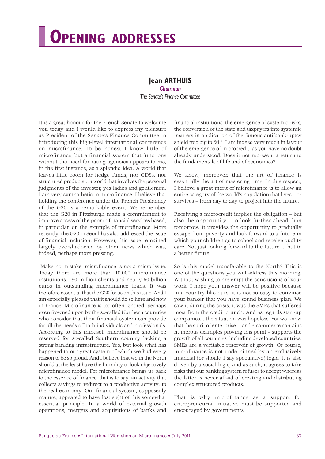# **OPENING ADDRESSES**

## **Jean ARTHUIS**

*Chairman The Senate's Finance Committee*

It is a great honour for the French Senate to welcome you today and I would like to express my pleasure as President of the Senate's Finance Committee in introducing this high-level international conference on microfinance. To be honest I know little of microfinance, but a financial system that functions without the need for rating agencies appears to me, in the first instance, as a splendid idea. A world that leaves little room for hedge funds, nor CDSs, nor structured products… a world that involves the personal judgments of the investor, yes ladies and gentlemen, I am very sympathetic to microfinance. I believe that holding the conference under the French Presidency of the G20 is a remarkable event. We remember that the G20 in Pittsburgh made a commitment to improve access of the poor to financial services based, in particular, on the example of microfinance. More recently, the G20 in Seoul has also addressed the issue of financial inclusion. However, this issue remained largely overshadowed by other news which was, indeed, perhaps more pressing.

Make no mistake, microfinance is not a micro issue. Today there are more than 10,000 microfinance institutions, 190 million clients and nearly 60 billion euros in outstanding microfinance loans. It was therefore essential that the G20 focus on this issue. And I am especially pleased that it should do so here and now in France. Microfinance is too often ignored, perhaps even frowned upon by the so-called Northern countries who consider that their financial system can provide for all the needs of both individuals and professionals. According to this mindset, microfinance should be reserved for so-called Southern country lacking a strong banking infrastructure. Yes, but look what has happened to our great system of which we had every reason to be so proud. And I believe that we in the North should at the least have the humility to look objectively microfinance model. For microfinance brings us back to the essence of finance, that is to say, an activity that collects savings to redirect to a productive activity, to the real economy. Our financial system, supposedly mature, appeared to have lost sight of this somewhat essential principle. In a world of external growth operations, mergers and acquisitions of banks and financial institutions, the emergence of systemic risks, the conversion of the state and taxpayers into systemic insurers in application of the famous anti-bankruptcy shield "too big to fail", I am indeed very much in favour of the emergence of microcredit, as you have no doubt already understood. Does it not represent a return to the fundamentals of life and of economics?

We know, moreover, that the art of finance is essentially the art of mastering time. In this respect, I believe a great merit of microfinance is to allow an entire category of the world's population that lives – or survives – from day to day to project into the future.

Receiving a microcredit implies the obligation – but also the opportunity – to look further ahead than tomorrow. It provides the opportunity to gradually escape from poverty and look forward to a future in which your children go to school and receive quality care. Not just looking forward to the future ... but to a better future.

So is this model transferable to the North? This is one of the questions you will address this morning. Without wishing to pre-empt the conclusions of your work, I hope your answer will be positive because in a country like ours, it is not so easy to convince your banker that you have sound business plan. We saw it during the crisis, it was the SMEs that suffered most from the credit crunch. And as regards start-up companies... the situation was hopeless. Yet we know that the spirit of enterprise – and e-commerce contains numerous examples proving this point – supports the growth of all countries, including developed countries. SMEs are a veritable reservoir of growth. Of course, microfinance is not underpinned by an exclusively financial (or should I say speculative) logic. It is also driven by a social logic, and as such, it agrees to take risks that our banking system refuses to accept whereas the latter is never afraid of creating and distributing complex structured products.

That is why microfinance as a support for entrepreneurial initiative must be supported and encouraged by governments.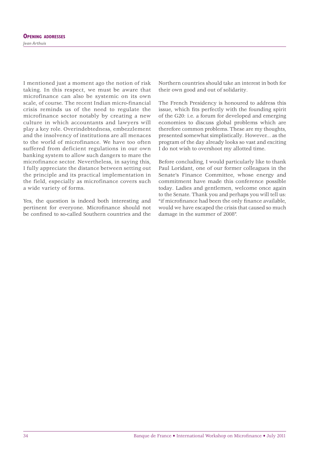I mentioned just a moment ago the notion of risk taking. In this respect, we must be aware that microfinance can also be systemic on its own scale, of course. The recent Indian micro-financial crisis reminds us of the need to regulate the microfinance sector notably by creating a new culture in which accountants and lawyers will play a key role. Overindebtedness, embezzlement and the insolvency of institutions are all menaces to the world of microfinance. We have too often suffered from deficient regulations in our own banking system to allow such dangers to mare the microfinance sector. Nevertheless, in saying this, I fully appreciate the distance between setting out the principle and its practical implementation in the field, especially as microfinance covers such a wide variety of forms.

Yes, the question is indeed both interesting and pertinent for everyone. Microfinance should not be confined to so-called Southern countries and the Northern countries should take an interest in both for their own good and out of solidarity.

The French Presidency is honoured to address this issue, which fits perfectly with the founding spirit of the G20: i.e. a forum for developed and emerging economies to discuss global problems which are therefore common problems. These are my thoughts, presented somewhat simplistically. However... as the program of the day already looks so vast and exciting I do not wish to overshoot my allotted time.

Before concluding, I would particularly like to thank Paul Loridant, one of our former colleagues in the Senate's Finance Committee, whose energy and commitment have made this conference possible today. Ladies and gentlemen, welcome once again to the Senate. Thank you and perhaps you will tell us: "if microfinance had been the only finance available, would we have escaped the crisis that caused so much damage in the summer of 2008".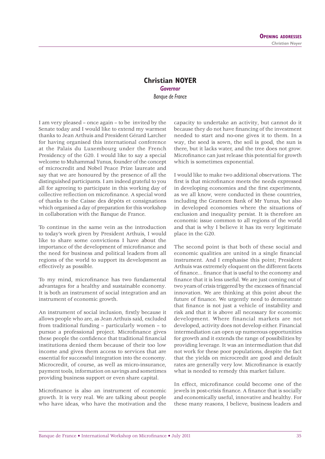#### **Christian NOYER** *Governor Banque de France*

I am very pleased – once again – to be invited by the Senate today and I would like to extend my warmest thanks to Jean Arthuis and President Gérard Larcher for having organised this international conference at the Palais du Luxembourg under the French Presidency of the G20. I would like to say a special welcome to Muhammad Yunus, founder of the concept of microcredit and Nobel Peace Prize laureate and say that we are honoured by the presence of all the distinguished participants. I am indeed grateful to you all for agreeing to participate in this working day of collective reflection on microfinance. A special word of thanks to the Caisse des dépôts et consignations which organised a day of preparation for this workshop in collaboration with the Banque de France.

To continue in the same vein as the introduction to today's work given by President Arthuis, I would like to share some convictions I have about the importance of the development of microfinance and the need for business and political leaders from all regions of the world to support its development as effectively as possible.

To my mind, microfinance has two fundamental advantages for a healthy and sustainable economy. It is both an instrument of social integration and an instrument of economic growth.

An instrument of social inclusion, firstly because it allows people who are, as Jean Arthuis said, excluded from traditional funding – particularly women – to pursue a professional project. Microfinance gives these people the confidence that traditional financial institutions denied them because of their too low income and gives them access to services that are essential for successful integration into the economy. Microcredit, of course, as well as micro-insurance, payment tools, information on savings and sometimes providing business support or even share capital.

Microfinance is also an instrument of economic growth. It is very real. We are talking about people who have ideas, who have the motivation and the capacity to undertake an activity, but cannot do it because they do not have financing of the investment needed to start and no-one gives it to them. In a way, the seed is sown, the soil is good, the sun is there, but it lacks water, and the tree does not grow. Microfinance can just release this potential for growth which is sometimes exponential.

I would like to make two additional observations. The first is that microfinance meets the needs expressed in developing economies and the first experiments, as we all know, were conducted in these countries, including the Grameen Bank of Mr Yunus, but also in developed economies where the situations of exclusion and inequality persist. It is therefore an economic issue common to all regions of the world and that is why I believe it has its very legitimate place in the G20.

The second point is that both of these social and economic qualities are united in a single financial instrument. And I emphasise this point; President Arthuis was extremely eloquent on the different facets of finance... finance that is useful to the economy and finance that it is less useful. We are just coming out of two years of crisis triggered by the excesses of financial innovation. We are thinking at this point about the future of finance. We urgently need to demonstrate that finance is not just a vehicle of instability and risk and that it is above all necessary for economic development. Where financial markets are not developed, activity does not develop either. Financial intermediation can open up numerous opportunities for growth and it extends the range of possibilities by providing leverage. It was an intermediation that did not work for these poor populations, despite the fact that the yields on microcredit are good and default rates are generally very low. Microfinance is exactly what is needed to remedy this market failure.

In effect, microfinance could become one of the jewels in post-crisis finance. A finance that is socially and economically useful, innovative and healthy. For these many reasons, I believe, business leaders and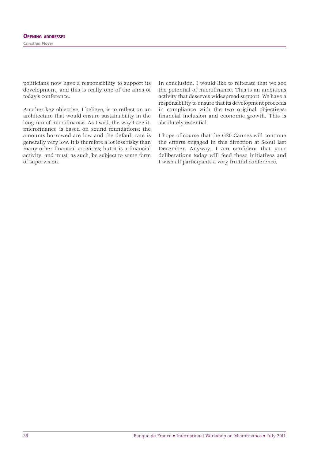politicians now have a responsibility to support its development, and this is really one of the aims of today's conference.

Another key objective, I believe, is to reflect on an architecture that would ensure sustainability in the long run of microfinance. As I said, the way I see it, microfinance is based on sound foundations: the amounts borrowed are low and the default rate is generally very low. It is therefore a lot less risky than many other financial activities; but it is a financial activity, and must, as such, be subject to some form of supervision.

In conclusion, I would like to reiterate that we see the potential of microfinance. This is an ambitious activity that deserves widespread support. We have a responsibility to ensure that its development proceeds in compliance with the two original objectives: financial inclusion and economic growth. This is absolutely essential.

I hope of course that the G20 Cannes will continue the efforts engaged in this direction at Seoul last December. Anyway, I am confident that your deliberations today will feed these initiatives and I wish all participants a very fruitful conference.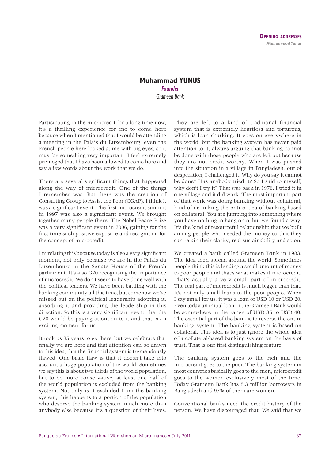### **Muhammad YUNUS** *Founder Grameen Bank*

Participating in the microcredit for a long time now, it's a thrilling experience for me to come here because when I mentioned that I would be attending a meeting in the Palais du Luxembourg, even the French people here looked at me with big eyes, so it must be something very important. I feel extremely privileged that I have been allowed to come here and say a few words about the work that we do.

There are several significant things that happened along the way of microcredit. One of the things I remember was that there was the creation of Consulting Group to Assist the Poor (CGAP). I think it was a significant event. The first microcredit summit in 1997 was also a significant event. We brought together many people there. The Nobel Peace Prize was a very significant event in 2006, gaining for the first time such positive exposure and recognition for the concept of microcredit.

I'm relating this because today is also a very significant moment, not only because we are in the Palais du Luxembourg in the Senate House of the French parliament. It's also G20 recognising the importance of microcredit. We don't seem to have done well with the political leaders. We have been battling with the banking community all this time, but somehow we've missed out on the political leadership adopting it, absorbing it and providing the leadership in this direction. So this is a very significant event, that the G20 would be paying attention to it and that is an exciting moment for us.

It took us 35 years to get here, but we celebrate that finally we are here and that attention can be drawn to this idea, that the financial system is tremendously flawed. One basic flaw is that it doesn't take into account a huge population of the world. Sometimes we say this is about two thirds of the world population, but to be more conservative, at least one half of the world population is excluded from the banking system. Not only is it excluded from the banking system, this happens to a portion of the population who deserve the banking system much more than anybody else because it's a question of their lives.

They are left to a kind of traditional financial system that is extremely heartless and torturous, which is loan sharking. It goes on everywhere in the world, but the banking system has never paid attention to it, always arguing that banking cannot be done with those people who are left out because they are not credit worthy. When I was pushed into the situation in a village in Bangladesh, out of desperation, I challenged it. Why do you say it cannot be done? Has anybody tried it? So I said to myself, why don't I try it? That was back in 1976. I tried it in one village and it did work. The most important part of that work was doing banking without collateral, kind of de-linking the entire idea of banking based on collateral. You are jumping into something where you have nothing to hang onto, but we found a way. It's the kind of resourceful relationship that we built among people who needed the money so that they can retain their clarity, real sustainability and so on.

We created a bank called Grameen Bank in 1983. The idea then spread around the world. Sometimes people think this is lending a small amount of money to poor people and that's what makes it microcredit. That's actually a very small part of microcredit. The real part of microcredit is much bigger than that. It's not only small loans to the poor people. When I say small for us, it was a loan of USD 10 or USD 20. Even today an initial loan in the Grameen Bank would be somewhere in the range of USD 35 to USD 40. The essential part of the bank is to reverse the entire banking system. The banking system is based on collateral. This idea is to just ignore the whole idea of a collateral-based banking system on the basis of trust. That is our first distinguishing feature.

The banking system goes to the rich and the microcredit goes to the poor. The banking system in most countries basically goes to the men; microcredit goes to the women exclusively most of the time. Today Grameen Bank has 8.3 million borrowers in Bangladesh and 97% of them are women.

Conventional banks need the credit history of the person. We have discouraged that. We said that we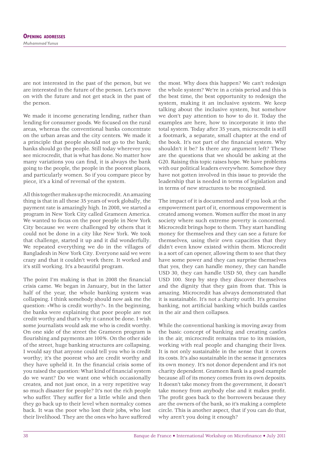are not interested in the past of the person, but we are interested in the future of the person. Let's move on with the future and not get stuck in the past of the person.

We made it income generating lending, rather than lending for consumer goods. We focused on the rural areas, whereas the conventional banks concentrate on the urban areas and the city centers. We made it a principle that people should not go to the bank; banks should go the people. Still today wherever you see microcredit, that is what has done. No matter how many variations you can find, it is always the bank going to the people, the people in the poorest places, and particularly women. So if you compare piece by piece, it's a kind of reversal of the system.

All this together makes up the microcredit. An amazing thing is that in all these 35 years of work globally, the payment rate is amazingly high. In 2008, we started a program in New York City called Grameen America. We wanted to focus on the poor people in New York City because we were challenged by others that it could not be done in a city like New York. We took that challenge, started it up and it did wonderfully. We repeated everything we do in the villages of Bangladesh in New York City. Everyone said we were crazy and that it couldn't work there. It worked and it's still working. It's a beautiful program.

The point I'm making is that in 2008 the financial crisis came. We began in January, but in the latter half of the year, the whole banking system was collapsing. I think somebody should now ask me the question: «Who is credit worthy?». In the beginning, the banks were explaining that poor people are not credit worthy and that's why it cannot be done. I wish some journalists would ask me who is credit worthy. On one side of the street the Grameen program is flourishing and payments are 100%. On the other side of the street, huge banking structures are collapsing. I would say that anyone could tell you who is credit worthy; it's the poorest who are credit worthy and they have upheld it. In the financial crisis some of you raised the question: What kind of financial system do we want? Do we want one which occasionally creates, and not just once, in a very repetitive way so much disaster for people? It's not the rich people who suffer. They suffer for a little while and then they go back up to their level when normalcy comes back. It was the poor who lost their jobs, who lost their livelihood. They are the ones who have suffered

the most. Why does this happen? We can't redesign the whole system? We're in a crisis period and this is the best time, the best opportunity to redesign the system, making it an inclusive system. We keep talking about the inclusive system, but somehow we don't pay attention to how to do it. Today the examples are here, how to incorporate it into the total system. Today after 35 years, microcredit is still a footmark, a separate, small chapter at the end of the book. It's not part of the financial system. Why shouldn't it be? Is there any argument left? These are the questions that we should be asking at the G20. Raising this topic raises hope. We have problems with our political leaders everywhere. Somehow they have not gotten involved in this issue to provide the leadership that is needed in terms of legislation and in terms of new structures to be recognised.

The impact of it is documented and if you look at the empowerment part of it, enormous empowerment is created among women. Women suffer the most in any society where such extreme poverty is concerned. Microcredit brings hope to them. They start handling money for themselves and they can see a future for themselves, using their own capacities that they didn't even know existed within them. Microcredit is a sort of can opener, allowing them to see that they have some power and they can surprise themselves that yes, they can handle money, they can handle USD 30, they can handle USD 50, they can handle USD 100. Step by step they discover themselves and the dignity that they gain from that. This is amazing. Microcredit has always demonstrated that it is sustainable. It's not a charity outfit. It's genuine banking, not artificial banking which builds castles in the air and then collapses.

While the conventional banking is moving away from the basic concept of banking and creating castles in the air, microcredit remains true to its mission, working with real people and changing their lives. It is not only sustainable in the sense that it covers its costs. It's also sustainable in the sense it generates its own money. It's not donor dependent and it's not charity dependent. Grameen Bank is a good example because all of its money comes from its own deposits. It doesn't take money from the government, it doesn't take money from anybody else and it makes profit. The profit goes back to the borrowers because they are the owners of the bank, so it's making a complete circle. This is another aspect, that if you can do that, why aren't you doing it enough?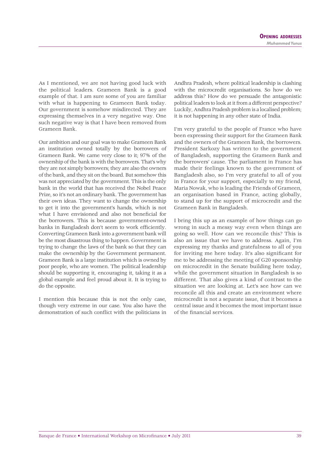As I mentioned, we are not having good luck with the political leaders. Grameen Bank is a good example of that. I am sure some of you are familiar with what is happening to Grameen Bank today. Our government is somehow misdirected. They are expressing themselves in a very negative way. One such negative way is that I have been removed from Grameen Bank.

Our ambition and our goal was to make Grameen Bank an institution owned totally by the borrowers of Grameen Bank. We came very close to it; 97% of the ownership of the bank is with the borrowers. That's why they are not simply borrowers; they are also the owners of the bank, and they sit on the board. But somehow this was not appreciated by the government. This is the only bank in the world that has received the Nobel Peace Prize, so it's not an ordinary bank. The government has their own ideas. They want to change the ownership to get it into the government's hands, which is not what I have envisioned and also not beneficial for the borrowers. This is because government-owned banks in Bangladesh don't seem to work efficiently. Converting Grameen Bank into a government bank will be the most disastrous thing to happen. Government is trying to change the laws of the bank so that they can make the ownership by the Government permanent. Grameen Bank is a large institution which is owned by poor people, who are women. The political leadership should be supporting it, encouraging it, taking it as a global example and feel proud about it. It is trying to do the opposite.

I mention this because this is not the only case, though very extreme in our case. You also have the demonstration of such conflict with the politicians in

Andhra Pradesh, where political leadership is clashing with the microcredit organisations. So how do we address this? How do we persuade the antagonistic political leaders to look at it from a different perspective? Luckily, Andhra Pradesh problem is a localised problem; it is not happening in any other state of India.

I'm very grateful to the people of France who have been expressing their support for the Grameen Bank and the owners of the Grameen Bank, the borrowers. President Sarkozy has written to the government of Bangladesh, supporting the Grameen Bank and the borrowers' cause. The parliament in France has made their feelings known to the government of Bangladesh also, so I'm very grateful to all of you in France for your support, especially to my friend, Maria Nowak, who is leading the Friends of Grameen, an organisation based in France, acting globally, to stand up for the support of microcredit and the Grameen Bank in Bangladesh.

I bring this up as an example of how things can go wrong in such a messy way even when things are going so well. How can we reconcile this? This is also an issue that we have to address. Again, I'm expressing my thanks and gratefulness to all of you for inviting me here today. It's also significant for me to be addressing the meeting of G20 sponsorship on microcredit in the Senate building here today, while the government situation in Bangladesh is so different. That also gives a kind of contrast to the situation we are looking at. Let's see how can we reconcile all this and create an environment where microcredit is not a separate issue, that it becomes a central issue and it becomes the most important issue of the financial services.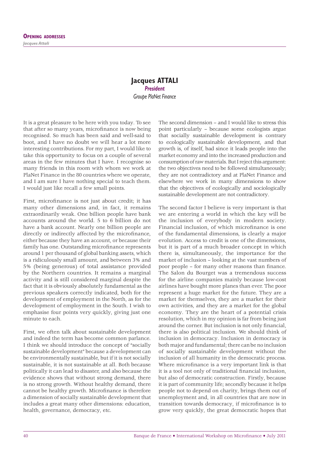#### **Jacques ATTALI** *President Groupe PlaNet Finance*

It is a great pleasure to be here with you today. To see that after so many years, microfinance is now being recognised. So much has been said and well-said to boot, and I have no doubt we will hear a lot more interesting contributions. For my part, I would like to take this opportunity to focus on a couple of several areas in the few minutes that I have. I recognise so many friends in this room with whom we work at PlaNet Finance in the 80 countries where we operate, and I am sure I have nothing special to teach them. I would just like recall a few small points.

First, microfinance is not just about credit; it has many other dimensions and, in fact, it remains extraordinarily weak. One billion people have bank accounts around the world. 5 to 6 billion do not have a bank account. Nearly one billion people are directly or indirectly affected by the microfinance, either because they have an account, or because their family has one. Outstanding microfinance represents around 1 per thousand of global banking assets, which is a ridiculously small amount, and between 3% and 5% (being generous) of total assistance provided by the Northern countries. It remains a marginal activity and is still considered marginal despite the fact that it is obviously absolutely fundamental as the previous speakers correctly indicated, both for the development of employment in the North, as for the development of employment in the South. I wish to emphasise four points very quickly, giving just one minute to each.

First, we often talk about sustainable development and indeed the term has become common parlance. I think we should introduce the concept of "socially sustainable development" because a development can be environmentally sustainable, but if it is not socially sustainable, it is not sustainable at all. Both because politically it can lead to disaster, and also because the evidence shows that without strong demand, there is no strong growth. Without healthy demand, there cannot be healthy growth. Microfinance is therefore a dimension of socially sustainable development that includes a great many other dimensions: education, health, governance, democracy, etc.

The second dimension – and I would like to stress this point particularly – because some ecologists argue that socially sustainable development is contrary to ecologically sustainable development, and that growth is, of itself, bad since it leads people into the market economy and into the increased production and consumption of raw materials. But I reject this argument: the two objectives need to be followed simultaneously; they are not contradictory and at PlaNet Finance and elsewhere we work in many dimensions to show that the objectives of ecologically and sociologically sustainable development are not contradictory.

The second factor I believe is very important is that we are entering a world in which the key will be the inclusion of everybody in modern society. Financial inclusion, of which microfinance is one of the fundamental dimensions, is clearly a major evolution. Access to credit is one of the dimensions, but it is part of a much broader concept in which there is, simultaneously, the importance for the market of inclusion – looking at the vast numbers of poor people – for many other reasons than finance. The Salon du Bourget was a tremendous success for the airline companies mainly because low-cost airlines have bought more planes than ever. The poor represent a huge market for the future. They are a market for themselves, they are a market for their own activities, and they are a market for the global economy. They are the heart of a potential crisis resolution, which in my opinion is far from being just around the corner. But inclusion is not only financial, there is also political inclusion. We should think of inclusion in democracy. Inclusion in democracy is both major and fundamental; there can be no inclusion of socially sustainable development without the inclusion of all humanity in the democratic process. Where microfinance is a very important link is that it is a tool not only of traditional financial inclusion, but also of democratic construction. Firstly, because it is part of community life; secondly because it helps people not to depend on charity, brings them out of unemployment and, in all countries that are now in transition towards democracy, if microfinance is to grow very quickly, the great democratic hopes that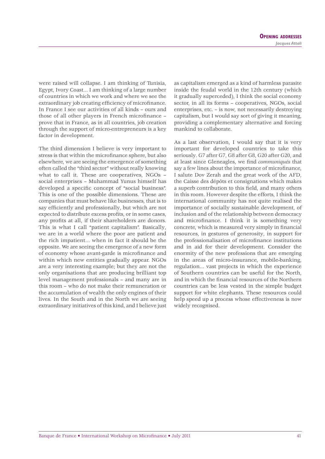were raised will collapse. I am thinking of Tunisia, Egypt, Ivory Coast... I am thinking of a large number of countries in which we work and where we see the extraordinary job creating efficiency of microfinance. In France I see our activities of all kinds – ours and those of all other players in French microfinance prove that in France, as in all countries, job creation through the support of micro-entrepreneurs is a key factor in development.

The third dimension I believe is very important to stress is that within the microfinance sphere, but also elsewhere, we are seeing the emergence of something often called the "third sector" without really knowing what to call it. These are cooperatives, NGOs – social enterprises – Muhammad Yunus himself has developed a specific concept of "social business". This is one of the possible dimensions. These are companies that must behave like businesses, that is to say efficiently and professionally, but which are not expected to distribute excess profits, or in some cases, any profits at all, if their shareholders are donors. This is what I call "patient capitalism". Basically, we are in a world where the poor are patient and the rich impatient... when in fact it should be the opposite. We are seeing the emergence of a new form of economy whose avant-garde is microfinance and within which new entities gradually appear. NGOs are a very interesting example; but they are not the only organisations that are producing brilliant top level management professionals – and many are in this room – who do not make their remuneration or the accumulation of wealth the only engines of their lives. In the South and in the North we are seeing extraordinary initiatives of this kind, and I believe just

as capitalism emerged as a kind of harmless parasite inside the feudal world in the 12th century (which it gradually superceded), I think the social economy sector, in all its forms – cooperatives, NGOs, social enterprises, etc. – is now, not necessarily destroying capitalism, but I would say sort of giving it meaning, providing a complementary alternative and forcing mankind to collaborate.

As a last observation, I would say that it is very important for developed countries to take this seriously. G7 after G7, G8 after G8, G20 after G20, and at least since Gleneagles, we find *communiqués* that say a few lines about the importance of microfinance, I salute Dov Zerah and the great work of the AFD, the Caisse des dépôts et consignations which makes a superb contribution to this field, and many others in this room. However despite the efforts, I think the international community has not quite realised the importance of socially sustainable development, of inclusion and of the relationship between democracy and microfinance. I think it is something very concrete, which is measured very simply in financial resources, in gestures of generosity, in support for the professionalisation of microfinance institutions and in aid for their development. Consider the enormity of the new professions that are emerging in the areas of micro-insurance, mobile-banking, regulation... vast projects in which the experience of Southern countries can be useful for the North, and in which the financial resources of the Northern countries can be less vested in the simple budget support for white elephants. These resources could help speed up a process whose effectiveness is now widely recognised.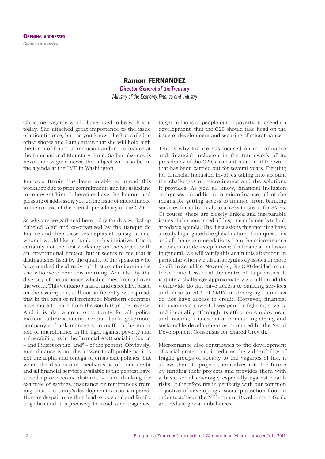### **Ramon FERNANDEZ** *Director General of the Treasury Ministry of the Economy, Finance and Industry*

Christine Lagarde would have liked to be with you today. She attached great importance to the issue of microfinance, but, as you know, she has sailed to other shores and I am certain that she will hold high the torch of financial inclusion and microfinance at the International Monetary Fund. So her absence is nevertheless good news, the subject will also be on the agenda at the IMF in Washington.

François Baroin has been unable to attend this workshop due to prior commitments and has asked me to represent him. I therefore have the honour and pleasure of addressing you on the issue of microfinance in the context of the French presidency of the G20.

So why are we gathered here today for this workshop "labeled G20" and co-organised by the Banque de France and the Caisse des depôts et consignations, whom I would like to thank for this initiative. This is certainly not the first workshop on the subject with an international impact, but it seems to me that it distinguishes itself by the quality of the speakers who have marked the already rich history of microfinance and who were here this morning. And also by the diversity of the audience which comes from all over the world. This workshop is also, and especially, based on the assumption, still not sufficiently widespread, that in the area of microfinance Northern countries have more to learn from the South than the reverse. And it is also a great opportunity for all, policy makers, administrators, central bank governors, company or bank managers, to reaffirm the major role of microfinance in the fight against poverty and vulnerability, as in the financial AND social inclusion – and I insist on the "and" – of the poorest. Obviously, microfinance is not the answer to all problems, it is not the alpha and omega of crisis exit policies, but when the distribution mechanisms of microcredit and all financial services available to the poorest have seized up or become distorted – I am thinking for example of savings, insurance or remittances from migrants – a country's development can be hampered. Human despair may then lead to personal and family tragedies and it is precisely to avoid such tragedies,

to get millions of people out of poverty, to speed up development, that the G20 should take head on the issue of development and securing of microfinance.

This is why France has focused on microfinance and financial inclusion in the framework of its presidency of the G20, as a continuation of the work that has been carried out for several years. Fighting for financial inclusion involves taking into account the challenges of microfinance and the solutions it provides. As you all know, financial inclusion comprises, in addition to microfinance, all of the means for getting access to finance, from banking services for individuals to access to credit for SMEs. Of course, these are closely linked and inseparable issues. To be convinced of this, one only needs to look at today's agenda. The discussions this morning have already highlighted the global nature of our questions and all the recommendations from the microfinance sector constitute a step forward for financial inclusion in general. We will verify this again this afternoon in particular when we discuss regulatory issues in more detail. In Seoul last November, the G20 decided to put these critical issues at the centre of its priorities. It is quite a challenge: approximately 2.5 billion adults worldwide do not have access to banking services and close to 70% of SMEs in emerging countries do not have access to credit. However, financial inclusion is a powerful weapon for fighting poverty and inequality. Through its effect on employment and income, it is essential to ensuring strong and sustainable development as promoted by the Seoul Development Consensus for Shared Growth.

Microfinance also contributes to the development of social protection, it reduces the vulnerability of fragile groups of society to the vagaries of life, it allows them to project themselves into the future by funding their projects and provides them with a basic social coverage, especially against health risks. It therefore fits in perfectly with our common objective of developing a social protection floor in order to achieve the Millennium Development Goals and reduce global imbalances.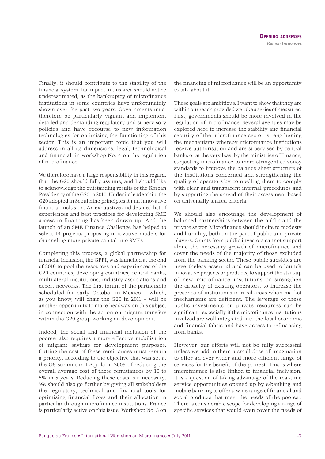Finally, it should contribute to the stability of the financial system. Its impact in this area should not be underestimated, as the bankruptcy of microfinance institutions in some countries have unfortunately shown over the past two years. Governments must therefore be particularly vigilant and implement detailed and demanding regulatory and supervisory policies and have recourse to new information technologies for optimising the functioning of this sector. This is an important topic that you will address in all its dimensions, legal, technological and financial, in workshop No. 4 on the regulation of microfi nance.

We therefore have a large responsibility in this regard, that the G20 should fully assume, and I should like to acknowledge the outstanding results of the Korean Presidency of the G20 in 2010. Under its leadership, the G20 adopted in Seoul nine principles for an innovative financial inclusion. An exhaustive and detailed list of experiences and best practices for developing SME access to financing has been drawn up. And the launch of an SME Finance Challenge has helped to select 14 projects proposing innovative models for channeling more private capital into SMEs

Completing this process, a global partnership for financial inclusion, the GPFI, was launched at the end of 2010 to pool the resources and experiences of the G20 countries, developing countries, central banks, multilateral institutions, industry associations and expert networks. The first forum of the partnership scheduled for early October in Mexico – which, as you know, will chair the G20 in 2011 – will be another opportunity to make headway on this subject in connection with the action on migrant transfers within the G20 group working on development.

Indeed, the social and financial inclusion of the poorest also requires a more effective mobilisation of migrant savings for development purposes. Cutting the cost of these remittances must remain a priority, according to the objective that was set at the G8 summit in L'Aquila in 2009 of reducing the overall average cost of these remittances by 10 to 5% in 5 years. Reducing these costs is a necessity. We should also go further by giving all stakeholders the regulatory, technical and financial tools for optimising financial flows and their allocation in particular through microfinance institutions. France is particularly active on this issue. Workshop No. 3 on the financing of microfinance will be an opportunity to talk about it.

These goals are ambitious. I want to show that they are within our reach provided we take a series of measures. First, governments should be more involved in the regulation of microfinance. Several avenues may be explored here to increase the stability and financial security of the microfinance sector: strengthening the mechanisms whereby microfinance institutions receive authorisation and are supervised by central banks or at the very least by the ministries of Finance, subjecting microfinance to more stringent solvency standards to improve the balance sheet structure of the institutions concerned and strengthening the quality of operators by compelling them to comply with clear and transparent internal procedures and by supporting the spread of their assessment based on universally shared criteria.

We should also encourage the development of balanced partnerships between the public and the private sector. Microfinance should incite to modesty and humility, both on the part of public and private players. Grants from public investors cannot support alone the necessary growth of microfinance and cover the needs of the majority of those excluded from the banking sector. These public subsidies are nevertheless essential and can be used to launch innovative projects or products, to support the start-up of new microfinance institutions or strengthen the capacity of existing operators, to increase the presence of institutions in rural areas when market mechanisms are deficient. The leverage of these public investments on private resources can be significant, especially if the microfinance institutions involved are well integrated into the local economic and financial fabric and have access to refinancing from banks.

However, our efforts will not be fully successful unless we add to them a small dose of imagination to offer an ever wider and more efficient range of services for the benefit of the poorest. This is where microfinance is also linked to financial inclusion: it is a question of taking advantage of the real-time service opportunities opened up by e-banking and mobile banking to offer a wide range of financial and social products that meet the needs of the poorest. There is considerable scope for developing a range of specific services that would even cover the needs of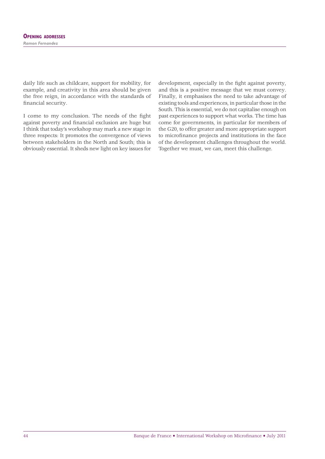daily life such as childcare, support for mobility, for example, and creativity in this area should be given the free reign, in accordance with the standards of financial security.

I come to my conclusion. The needs of the fight against poverty and financial exclusion are huge but I think that today's workshop may mark a new stage in three respects: It promotes the convergence of views between stakeholders in the North and South; this is obviously essential. It sheds new light on key issues for

development, especially in the fight against poverty, and this is a positive message that we must convey. Finally, it emphasises the need to take advantage of existing tools and experiences, in particular those in the South. This is essential, we do not capitalise enough on past experiences to support what works. The time has come for governments, in particular for members of the G20, to offer greater and more appropriate support to microfinance projects and institutions in the face of the development challenges throughout the world. Together we must, we can, meet this challenge.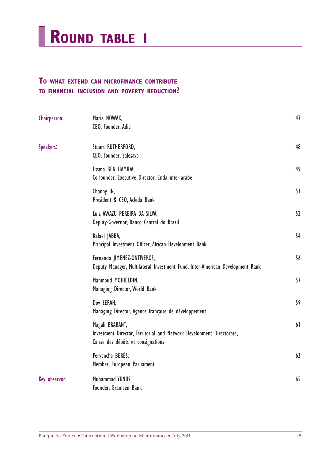

# **TO WHAT EXTEND CAN MICROFINANCE CONTRIBUTE TO FINANCIAL INCLUSION AND POVERTY REDUCTION?**

| Chairperson:  | Maria NOWAK,<br>CEO, Founder, Adie                                                                                             | 47 |
|---------------|--------------------------------------------------------------------------------------------------------------------------------|----|
| Speakers:     | Stuart RUTHERFORD,<br>CEO, Founder, Safesave                                                                                   | 48 |
|               | Essma BEN HAMIDA,<br>Co-founder, Executive Director, Enda inter-arabe                                                          | 49 |
|               | Channy IN,<br>President & CEO, Acleda Bank                                                                                     | 51 |
|               | Luiz AWAZU PEREIRA DA SILVA,<br>Deputy-Governor, Banco Central do Brazil                                                       | 52 |
|               | Rafael JABBA,<br>Principal Investment Officer, African Development Bank                                                        | 54 |
|               | Fernando JIMÉNEZ-ONTIVEROS,<br>Deputy Manager, Multilateral Investment Fund, Inter-American Development Bank                   | 56 |
|               | Mahmoud MOHIELDIN,<br>Managing Director, World Bank                                                                            | 57 |
|               | Dov ZERAH,<br>Managing Director, Agence française de développement                                                             | 59 |
|               | Magali BRABANT,<br>Investment Director, Territorial and Network Development Directorate,<br>Caisse des dépôts et consignations | 61 |
|               | Pervenche BERES,<br>Member, European Parliament                                                                                | 63 |
| Key observor: | Muhammad YUNUS,<br>Founder, Grameen Bank                                                                                       | 65 |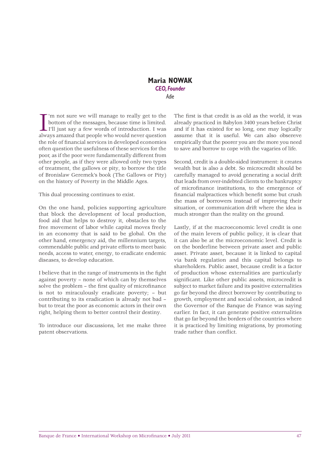#### **Maria NOWAK** *CEO, Founder Adie*

I'm not sure we will manage to really get to the bottom of the messages, because time is limited.<br>I'll just say a few words of introduction. I was always amazed that people who would never question 'm not sure we will manage to really get to the bottom of the messages, because time is limited. I'll just say a few words of introduction. I was the role of financial services in developed economies often question the usefulness of these services for the poor, as if the poor were fundamentally different from other people, as if they were allowed only two types of treatment, the gallows or pity, to borrow the title of Bronislaw Geremek's book (The Gallows or Pity) on the history of Poverty in the Middle Ages.

This dual processing continues to exist.

On the one hand, policies supporting agriculture that block the development of local production, food aid that helps to destroy it, obstacles to the free movement of labor while capital moves freely in an economy that is said to be global. On the other hand, emergency aid, the millennium targets, commendable public and private efforts to meet basic needs, access to water, energy, to eradicate endemic diseases, to develop education.

I believe that in the range of instruments in the fight against poverty – none of which can by themselves solve the problem  $-$  the first quality of microfinance is not to miraculously eradicate poverty; – but contributing to its eradication is already not bad – but to treat the poor as economic actors in their own right, helping them to better control their destiny.

To introduce our discussions, let me make three patent observations.

The first is that credit is as old as the world, it was already practiced in Babylon 3400 years before Christ and if it has existed for so long, one may logically assume that it is useful. We can also obsereve empirically that the poorer you are the more you need to save and borrow to cope with the vagaries of life.

Second, credit is a double-sided instrument: it creates wealth but is also a debt. So microcredit should be carefully managed to avoid generating a social drift that leads from over-indebted clients to the bankruptcy of microfinance institutions, to the emergence of financial malpractices which benefit some but crush the mass of borrowers instead of improving their situation, or communication drift where the idea is much stronger than the reality on the ground.

Lastly, if at the macroeconomic level credit is one of the main levers of public policy, it is clear that it can also be at the microeconomic level. Credit is on the borderline between private asset and public asset. Private asset, because it is linked to capital via bank regulation and this capital belongs to shareholders. Public asset, because credit is a factor of production whose externalities are particularly significant. Like other public assets, microcredit is subject to market failure and its positive externalities go far beyond the direct borrower by contributing to growth, employment and social cohesion, as indeed the Governor of the Banque de France was saying earlier. In fact, it can generate positive externalities that go far beyond the borders of the countries where it is practiced by limiting migrations, by promoting trade rather than conflict.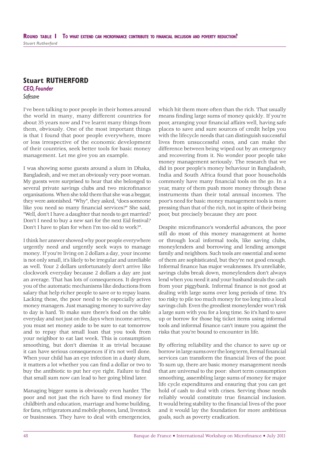## **Stuart RUTHERFORD** *CEO, Founder Safesave*

I've been talking to poor people in their homes around the world in many, many different countries for about 35 years now and I've learnt many things from them, obviously. One of the most important things is that I found that poor people everywhere, more or less irrespective of the economic development of their countries, seek better tools for basic money management. Let me give you an example.

I was showing some guests around a slum in Dhaka, Bangladesh, and we met an obviously very poor woman. My guests were surprised to hear that she belonged to several private savings clubs and two microfinance organisations. When she told them that she was a beggar, they were astonished. "Why", they asked, "does someone like you need so many financial services?" She said, "Well, don't I have a daughter that needs to get married? Don't I need to buy a new sari for the next Eid festival? Don't I have to plan for when I'm too old to work?".

I think her answer showed why poor people everywhere urgently need and urgently seek ways to manage money. If you're living on 2 dollars a day, your income is not only small, it's likely to be irregular and unreliable as well. Your 2 dollars unfortunately don't arrive like clockwork everyday because 2 dollars a day are just an average. That has lots of consequences. It deprives you of the automatic mechanisms like deductions from salary that help richer people to save or to repay loans. Lacking these, the poor need to be especially active money managers. Just managing money to survive day to day is hard. To make sure there's food on the table everyday and not just on the days when income arrives, you must set money aside to be sure to eat tomorrow and to repay that small loan that you took from your neighbor to eat last week. This is consumption smoothing, but don't dismiss it as trivial because it can have serious consequences if it's not well done. When your child has an eye infection in a dusty slum, it matters a lot whether you can find a dollar or two to buy the antibiotic to put her eye right. Failure to find that small sum now can lead to her going blind later.

Managing bigger sums is obviously even harder. The poor and not just the rich have to find money for childbirth and education, marriage and home building, for fans, refrigerators and mobile phones, land, livestock or businesses. They have to deal with emergencies,

which hit them more often than the rich. That usually means finding large sums of money quickly. If you're poor, arranging your financial affairs well, having safe places to save and sure sources of credit helps you with the lifecycle needs that can distinguish successful lives from unsuccessful ones, and can make the difference between being wiped out by an emergency and recovering from it. No wonder poor people take money management seriously. The research that we did in poor people's money behaviour in Bangladesh, India and South Africa found that poor households commonly have many financial tools on the go. In a year, many of them push more money through these instruments than their total annual incomes. The poor's need for basic money management tools is more pressing than that of the rich, not in spite of their being poor, but precisely because they are poor.

Despite microfinance's wonderful advances, the poor still do most of this money management at home or through local informal tools, like saving clubs, moneylenders and borrowing and lending amongst family and neighbors. Such tools are essential and some of them are sophisticated, but they're not good enough. Informal finance has major weaknesses. It's unreliable, savings clubs break down, moneylenders don't always lend when you need it and your husband steals the cash from your piggybank. Informal finance is not good at dealing with large sums over long periods of time. It's too risky to pile too much money for too long into a local savings club. Even the greediest moneylender won't risk a large sum with you for a long time. So it's hard to save up or borrow for those big ticket items using informal tools and informal finance can't insure you against the risks that you're bound to encounter in life.

By offering reliability and the chance to save up or borrow in large sums over the long term, formal financial services can transform the financial lives of the poor. To sum up, there are basic money management needs that are universal to the poor: short term consumption smoothing, assembling large sums of money for major life cycle expenditures and ensuring that you can get hold of cash to deal with crises. Serving those needs reliably would constitute true financial inclusion. It would bring stability to the financial lives of the poor and it would lay the foundation for more ambitious goals, such as poverty eradication.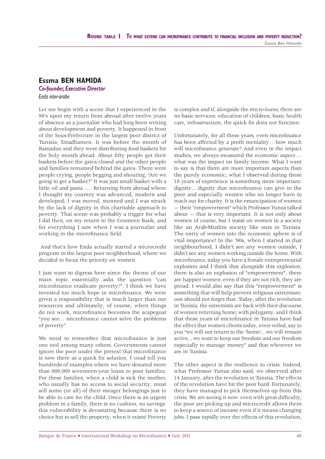# **Essma BEN HAMIDA**

#### *Co-founder, Executive Director Enda inter-arabe*

Let me begin with a scene that I experienced in the 90's upon my return from abroad after twelve years of absence as a journalist who had long been writing about development and poverty. It happened in front of the Sous-Préfecture in the largest poor district of Tunisia, Ettadhamen. It was before the month of Ramadan and they were distributing food baskets for the holy month ahead. About fifty people got their baskets before the gates closed and the other people and families remained behind the gates. There were people crying, people begging and shouting, "Are we going to get a basket?" It was just small basket with a little oil and pasta ... . Returning from abroad where I thought my country was advanced, modern and developed, I was moved, stunned and I was struck by the lack of dignity in this charitable approach to poverty. That scene was probably a trigger for what I did then, on my return to the Grameen Bank, and for everything I saw when I was a journalist and working in the microfinance field.

 And that's how Enda actually started a microcredit program in the largest poor neighborhood, where we decided to focus the priority on women.

I just want to digress here since the theme of our main topic essentially asks the question "can microfinance eradicate poverty?". I think we have invested too much hope in microfinance. We were given a responsibility that is much larger than our resources and ultimately, of course, when things do not work, microfinance becomes the scapegoat "you see... microfinance cannot solve the problems of poverty".

We need to remember that microfinance is just one tool among many others. Governments cannot ignore the poor under the pretext that microfinance is now there as a quick fix solution. I coud tell you hundreds of examples where we have donated more than 800,000 seventeen-year loans to poor families. For these families, when a child is sick the mother, who usually has no access to social security, must sell some (or all) of their meager belongings just to be able to care for the child. Once there is an urgent problem in a family, there is no cushion, no savings: this vulnerability is devastating because there is no choice but to sell the property, when it exists! Poverty is complex and if, alongside the micro-loans, there are no basic services: education of children, basic health care, infrastructure, the quick fix does not function.

Unfortunately, for all these years, even microfinance has been affected by a profit mentality... how much will microfinance generate? And even in the impact studies, we always measured the economic aspect … what was the impact on family income. What I want to say is that there are more important aspects than the purely economic; what I observed during these 16 years of experience is something more important: dignity... dignity that microfinance can give to the poor and especially women who no longer have to reach out for charity. It is the emancipation of women — their "empowerment" which Professor Yunus talked about — that is very important. It is not only about women of course, but I insist on women in a society like an Arab-Muslim society like ours in Tunisia. The entry of women into the economic sphere is of vital importance! In the '90s, when I started in that neighbourhood, I didn't see any women outside, I didn't see any women working outside the home. With microfinance, today you have a female entrepreneurial explosion and I think that alongside this explosion, there is also an explosion of "empowerment", there are happier women: even if they are not rich, they are proud. I would also say that this "empowerment" is something that will help prevent religious extremism: one should not forget that. Today, after the revolution in Tunisia, the extremists are back with their discourse of women returning home, with polygamy, and I think that these years of microfinance in Tunisia have had the effect that women clients today, even veiled, say to you "we will not return to the 'home'... we will remain active... we want to keep our freedom and our freedom especially to manage money" and that wherever we are in Tunisia.

The other aspect is the resilience to crisis. Indeed, what Professor Yunus also said, we observed after 14 January, after the revolution in Tunisia. The effects of the revolution have hit the poor hard. Fortunately, they have managed to pick themselves up from this crisis. We are seeing it now: even with great difficulty, the poor are picking up and microcredit allows them to keep a source of income even if it means changing jobs. I pass rapidly over the effects of this revolution,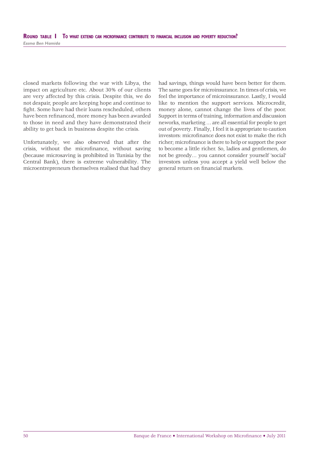closed markets following the war with Libya, the impact on agriculture etc. About 30% of our clients are very affected by this crisis. Despite this, we do not despair, people are keeping hope and continue to fight. Some have had their loans rescheduled, others have been refinanced, more money has been awarded to those in need and they have demonstrated their ability to get back in business despite the crisis.

Unfortunately, we also observed that after the crisis, without the microfinance, without saving (because microsaving is prohibited in Tunisia by the Central Bank), there is extreme vulnerability. The microentrepreneurs themselves realised that had they had savings, things would have been better for them. The same goes for microinsurance. In times of crisis, we feel the importance of microinsurance. Lastly, I would like to mention the support services. Microcredit, money alone, cannot change the lives of the poor. Support in terms of training, information and discussion neworks, marketing … are all essential for people to get out of poverty. Finally, I feel it is appropriate to caution investors: microfinance does not exist to make the rich richer; microfinance is there to help or support the poor to become a little richer. So, ladies and gentlemen, do not be greedy… you cannot consider yourself 'social' investors unless you accept a yield well below the general return on financial markets.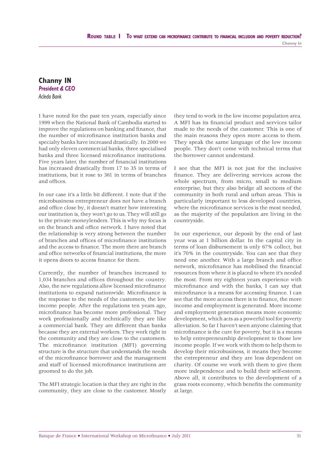#### **Channy IN** *President & CEO Acleda Bank*

I have noted for the past ten years, especially since 1999 when the National Bank of Cambodia started to improve the regulations on banking and finance, that the number of microfinance institution banks and specialty banks have increased drastically. In 2000 we had only eleven commercial banks, three specialised banks and three licensed microfinance institutions. Five years later, the number of financial institutions has increased drastically from 17 to 35 in terms of institutions, but it rose to 361 in terms of branches and offices

In our case it's a little bit different. I note that if the microbusiness entrepreneur does not have a branch and office close by, it doesn't matter how interesting our institution is, they won't go to us. They will still go to the private moneylenders. This is why my focus is on the branch and office network. I have noted that the relationship is very strong between the number of branches and offices of microfinance institutions and the access to finance. The more there are branch and office networks of financial institutions, the more it opens doors to access finance for them.

Currently, the number of branches increased to 1,034 branches and offices throughout the country. Also, the new regulations allow licensed microfinance institutions to expand nationwide. Microfinance is the response to the needs of the customers, the low income people. After the regulations ten years ago, microfinance has become more professional. They work professionally and technically they are like a commercial bank. They are different than banks because they are external workers. They work right in the community and they are close to the customers. The microfinance institution (MFI) governing structure is the structure that understands the needs of the microfinance borrower and the management and staff of licensed microfinance institutions are groomed to do the job.

The MFI strategic location is that they are right in the community, they are close to the customer. Mostly

they tend to work in the low income population area. A MFI has its financial product and services tailor made to the needs of the customer. This is one of the main reasons they open more access to them. They speak the same language of the low income people. They don't come with technical terms that the borrower cannot understand.

I see that the MFI is not just for the inclusive finance. They are delivering services across the whole spectrum, from micro, small to medium enterprise, but they also bridge all sections of the community in both rural and urban areas. This is particularly important to less developed countries, where the microfinance services is the most needed, as the majority of the population are living in the countryside.

In our experience, our deposit by the end of last year was at 1 billion dollar. In the capital city in terms of loan disbursement is only 67% collect, but it's 70% in the countryside. You can see that they need one another. With a large branch and office network, microfinance has mobilised the financial resources from where it is placed to where it's needed the most. From my eighteen years experience with microfinance and with the banks, I can say that microfinance is a means for accessing finance. I can see that the more access there is to finance, the more income and employment is generated. More income and employment generation means more economic development, which acts as a powerful tool for poverty alleviation. So far I haven't seen anyone claiming that microfinance is the cure for poverty, but it is a means to help entrepreneurship development to those low income people. If we work with them to help them to develop their microbusiness, it means they become the entrepreneur and they are less dependent on charity. Of course we work with them to give them more independence and to build their self-esteem. Above all, it contributes to the development of a grass roots economy, which benefits the community at large.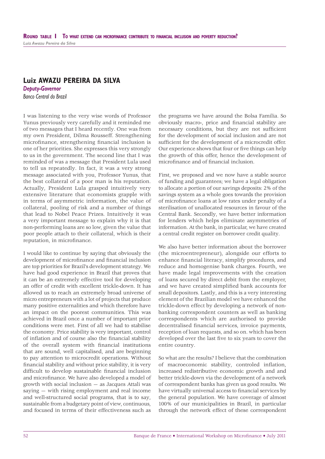## **Luiz AWAZU PEREIRA DA SILVA**

*Deputy-Governor Banco Central do Brazil*

I was listening to the very wise words of Professor Yunus previously very carefully and it reminded me of two messages that I heard recently. One was from my own President, Dilma Rousseff. Strengthening microfinance, strengthening financial inclusion is one of her priorities. She expresses this very strongly to us in the government. The second line that I was reminded of was a message that President Lula used to tell us repeatedly. In fact, it was a very strong message associated with you, Professor Yunus, that the best collateral of a poor man is his reputation. Actually, President Lula grasped intuitively very extensive literature that economists grapple with in terms of asymmetric information, the value of collateral, pooling of risk and a number of things that lead to Nobel Peace Prizes. Intuitively it was a very important message to explain why it is that non-performing loans are so low, given the value that poor people attach to their collateral, which is their reputation, in microfinance.

I would like to continue by saying that obviously the development of microfinance and financial inclusion are top priorities for Brazil's development strategy. We have had good experience in Brazil that proves that it can be an extremely effective tool for developing an offer of credit with excellent trickle-down. It has allowed us to reach an extremely broad universe of micro entrepreneurs with a lot of projects that produce many positive externalities and which therefore have an impact on the poorest communities. This was achieved in Brazil once a number of important prior conditions were met. First of all we had to stabilise the economy. Price stability is very important, control of inflation and of course also the financial stability of the overall system with financial institutions that are sound, well capitalised, and are beginning to pay attention to microcredit operations. Without financial stability and without price stability, it is very difficult to develop sustainable financial inclusion and microfinance. We have also developed a model of growth with social inclusion — as Jacques Attali was saying — with rising employment and real income and well-structured social programs, that is to say, sustainable from a budgetary point of view, continuous, and focused in terms of their effectiveness such as

the programs we have around the Bolsa Familia. So obviously macro-, price and financial stability are necessary conditions, but they are not sufficient for the development of social inclusion and are not sufficient for the development of a microcredit offer. Our experience shows that four or five things can help the growth of this offer, hence the development of microfinance and of financial inclusion.

First, we proposed and we now have a stable source of funding and guarantees; we have a legal obligation to allocate a portion of our savings deposits: 2% of the savings system as a whole goes towards the provision of microfinance loans at low rates under penalty of a sterilisation of unallocated resources in favour of the Central Bank. Secondly, we have better information for lenders which helps eliminate asymmetries of information. At the bank, in particular, we have created a central credit register on borrower credit quality.

We also have better information about the borrower (the microentrepreneur), alongside our efforts to enhance financial literacy, simplify procedures, and reduce and homogenise bank charges. Fourth, we have made legal improvements with the creation of loans secured by direct debit from the employer, and we have created simplified bank accounts for small depositors. Lastly, and this is a very interesting element of the Brazilian model we have enhanced the trickle-down effect by developing a network of nonbanking correspondent counters as well as banking correspondents which are authorised to provide decentralised financial services, invoice payments, reception of loan requests, and so on. which has been developed over the last five to six years to cover the entire country.

So what are the results? I believe that the combination of macroeconomic stability, controled inflation, increased redistributive economic growth and and better trickle-down via the development of a network of correspondent banks has given us good results. We have virtually universal access to financial services by the general population. We have coverage of almost 100% of our municipalities in Brazil, in particular through the network effect of these correspondent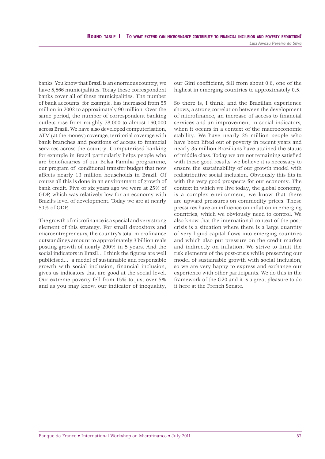banks. You know that Brazil is an enormous country; we have 5,566 municipalities. Today these correspondent banks cover all of these municipalities. The number of bank accounts, for example, has increased from 55 million in 2002 to approximately 90 million. Over the same period, the number of correspondent banking outlets rose from roughly 78,000 to almost 160,000 across Brazil. We have also developed computerisation, ATM (at the money) coverage, territorial coverage with bank branches and positions of access to financial services across the country. Computerised banking for example in Brazil particularly helps people who are beneficiaries of our Bolsa Familia programme, our program of conditional transfer budget that now affects nearly 13 million households in Brazil. Of course all this is done in an environment of growth of bank credit. Five or six years ago we were at 25% of GDP, which was relatively low for an economy with Brazil's level of development. Today we are at nearly 50% of GDP.

The growth of microfinance is a special and very strong element of this strategy. For small depositors and microentrepreneurs, the country's total microfinance outstandings amount to approximately 3 billion reals posting growth of nearly 200% in 5 years. And the social indicators in Brazil... I think the figures are well publicised… a model of sustainable and responsible growth with social inclusion, financial inclusion, gives us indicators that are good at the social level. Our extreme poverty fell from 15% to just over 5% and as you may know, our indicator of inequality,

our Gini coefficient, fell from about 0.6, one of the highest in emerging countries to approximately 0.5.

So there is, I think, and the Brazilian experience shows, a strong correlation between the development of microfinance, an increase of access to financial services and an improvement in social indicators, when it occurs in a context of the macroeconomic stability. We have nearly 25 million people who have been lifted out of poverty in recent years and nearly 35 million Brazilians have attained the status of middle class. Today we are not remaining satisfied with these good results, we believe it is necessary to ensure the sustainability of our growth model with redistributive social inclusion. Obviously this fits in with the very good prospects for our economy. The context in which we live today, the global economy, is a complex environment, we know that there are upward pressures on commodity prices. These pressures have an influence on inflation in emerging countries, which we obviously need to control. We also know that the international context of the postcrisis is a situation where there is a large quantity of very liquid capital flows into emerging countries and which also put pressure on the credit market and indirectly on inflation. We strive to limit the risk elements of the post-crisis while preserving our model of sustainable growth with social inclusion, so we are very happy to express and exchange our experience with other participants. We do this in the framework of the G20 and it is a great pleasure to do it here at the French Senate.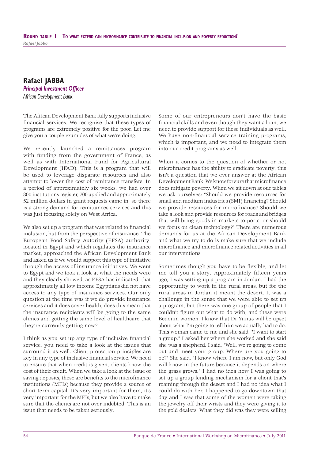## **Rafael JABBA Principal Investment Officer** *African Development Bank*

The African Development Bank fully supports inclusive financial services. We recognise that these types of programs are extremely positive for the poor. Let me give you a couple examples of what we're doing.

We recently launched a remittances program with funding from the government of France, as well as with International Fund for Agricultural Development (IFAD). This is a program that will be used to leverage disparate resources and also attempt to lower the cost of remittance transfers. In a period of approximately six weeks, we had over 800 institutions register, 700 applied and approximately 52 million dollars in grant requests came in, so there is a strong demand for remittances services and this was just focusing solely on West Africa.

We also set up a program that was related to financial inclusion, but from the perspective of insurance. The European Food Safety Autority (EFSA) authority, located in Egypt and which regulates the insurance market, approached the African Development Bank and asked us if we would support this type of initiative through the access of insurance initiatives. We went to Egypt and we took a look at what the needs were and they clearly showed, as EFSA has indicated, that approximately all low income Egyptians did not have access to any type of insurance services. Our only question at the time was if we do provide insurance services and it does cover health, does this mean that the insurance recipients will be going to the same clinics and getting the same level of healthcare that they're currently getting now?

I think as you set up any type of inclusive financial service, you need to take a look at the issues that surround it as well. Client protection principles are key in any type of inclusive financial service. We need to ensure that when credit is given, clients know the cost of their credit. When we take a look at the issue of saving deposits, these are benefits to the microfinance institutions (MFIs) because they provide a source of short term capital. It's very important for them, it's very important for the MFIs, but we also have to make sure that the clients are not over indebted. This is an issue that needs to be taken seriously.

Some of our entrepreneurs don't have the basic financial skills and even though they want a loan, we need to provide support for these individuals as well. We have non-financial service training programs, which is important, and we need to integrate them into our credit programs as well.

When it comes to the question of whether or not microfinance has the ability to eradicate poverty, this isn't a question that we ever answer at the African Development Bank. We know for sure that microfinance does mitigate poverty. When we sit down at our tables we ask ourselves: "Should we provide resources for small and medium industries (SMI) financing? Should we provide resources for microfinance? Should we take a look and provide resources for roads and bridges that will bring goods in markets to ports, or should we focus on clean technology?" There are numerous demands for us at the African Development Bank and what we try to do is make sure that we include microfinance and microfinance related activities in all our interventions.

Sometimes though you have to be flexible, and let me tell you a story. Approximately fifteen years ago, I was setting up a program in Jordan. I had the opportunity to work in the rural areas, but for the rural areas in Jordan it meant the desert. It was a challenge in the sense that we were able to set up a program, but there was one group of people that I couldn't figure out what to do with, and these were Bedouin women. I know that Dr Yunus will be upset about what I'm going to tell him we actually had to do. This woman came to me and she said, "I want to start a group." I asked her where she worked and she said she was a shepherd. I said, "Well, we're going to come out and meet your group. Where are you going to be?" She said, "I know where I am now, but only God will know in the future because it depends on where the grass grows." I had no idea how I was going to set up a group lending mechanism for a client that's roaming through the desert and I had no idea what I could do with her. I happened to go downtown that day and I saw that some of the women were taking the jewelry off their wrists and they were giving it to the gold dealers. What they did was they were selling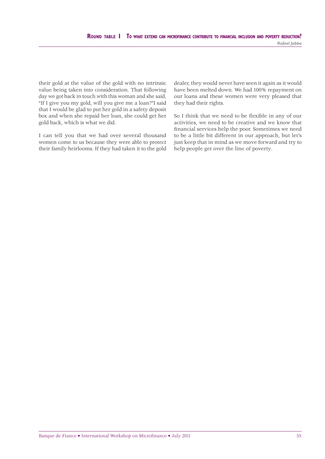their gold at the value of the gold with no intrinsic value being taken into consideration. That following day we got back in touch with this woman and she said, "If I give you my gold, will you give me a loan?"I said that I would be glad to put her gold in a safety deposit box and when she repaid her loan, she could get her gold back, which is what we did.

I can tell you that we had over several thousand women come to us because they were able to protect their family heirlooms. If they had taken it to the gold

dealer, they would never have seen it again as it would have been melted down. We had 100% repayment on our loans and these women were very pleased that they had their rights.

So I think that we need to be flexible in any of our activities, we need to be creative and we know that financial services help the poor. Sometimes we need to be a little bit different in our approach, but let's just keep that in mind as we move forward and try to help people get over the line of poverty.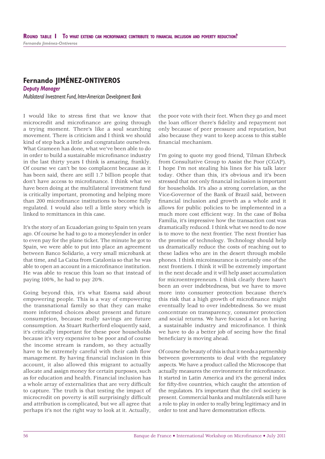# **Fernando JIMÉNEZ-ONTIVEROS**

*Deputy Manager Multilateral Investment Fund, Inter-American Development Bank*

I would like to stress first that we know that microcredit and microfinance are going through a trying moment. There's like a soul searching movement. There is criticism and I think we should kind of step back a little and congratulate ourselves. What Grameen has done, what we've been able to do in order to build a sustainable microfinance industry in the last thirty years I think is amazing, frankly. Of course we can't be too complacent because as it has been said, there are still 1.7 billion people that don't have access to microfinance. I think what we have been doing at the multilateral investment fund is critically important, promoting and helping more than 200 microfinance institutions to become fully regulated. I would also tell a little story which is linked to remittances in this case.

It's the story of an Ecuadorian going to Spain ten years ago. Of course he had to go to a moneylender in order to even pay for the plane ticket. The minute he got to Spain, we were able to put into place an agreement between Banco Solidario, a very small microbank at that time, and La Caixa from Catalonia so that he was able to open an account in a microfinance institution. He was able to rescue this loan so that instead of paying 100%, he had to pay 20%.

Going beyond this, it's what Essma said about empowering people. This is a way of empowering the transnational family so that they can make more informed choices about present and future consumption, because really savings are future consumption. As Stuart Rutherford eloquently said, it's critically important for these poor households because it's very expensive to be poor and of course the income stream is random, so they actually have to be extremely careful with their cash flow management. By having financial inclusion in this account, it also allowed this migrant to actually allocate and assign money for certain purposes, such as for education and health. Financial inclusion has a whole array of externalities that are very difficult to capture. The truth is that testing the impact of microcredit on poverty is still surprisingly difficult and attribution is complicated, but we all agree that perhaps it's not the right way to look at it. Actually,

the poor vote with their feet. When they go and meet the loan officer there's fidelity and repayment not only because of peer pressure and reputation, but also because they want to keep access to this stable fi nancial mechanism.

I'm going to quote my good friend, Tilman Ehrbeck from Consultative Group to Assist the Poor (CGAP). I hope I'm not stealing his lines for his talk later today. Other than this, it's obvious and it's been stressed that not only financial inclusion is important for households. It's also a strong correlation, as the Vice-Governor of the Bank of Brazil said, between financial inclusion and growth as a whole and it allows for public policies to be implemented in a much more cost efficient way. In the case of Bolsa Familia, it's impressive how the transaction cost was dramatically reduced. I think what we need to do now is to move to the next frontier. The next frontier has the promise of technology. Technology should help us dramatically reduce the costs of reaching out to these ladies who are in the desert through mobile phones. I think microinsurance is certainly one of the next frontiers. I think it will be extremely important in the next decade and it will help asset accumulation for microentrepreneurs. I think clearly there hasn't been an over indebtedness, but we have to move more into consumer protection because there's this risk that a high growth of microfinance might eventually lead to over indebtedness. So we must concentrate on transparency, consumer protection and social returns. We have focused a lot on having a sustainable industry and microfinance. I think we have to do a better job of seeing how the final beneficiary is moving ahead.

Of course the beauty of this is that it needs a partnership between governments to deal with the regulatory aspects. We have a product called the Microscope that actually measures the environment for microfinance. It started in Latin America and it's the general index for fifty-five countries, which caught the attention of the regulators. It's important that the civil society is present. Commercial banks and multilaterals still have a role to play in order to really bring legitimacy and in order to test and have demonstration effects.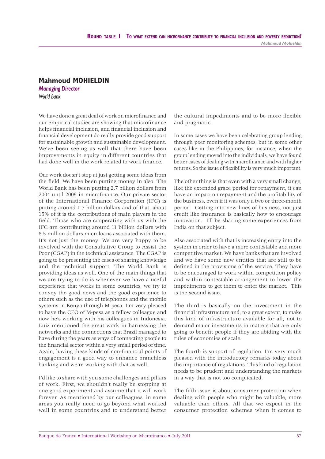#### **Mahmoud MOHIELDIN**

*Managing Director World Bank*

We have done a great deal of work on microfinance and our empirical studies are showing that microfinance helps financial inclusion, and financial inclusion and financial development do really provide good support for sustainable growth and sustainable development. We've been seeing as well that there have been improvements in equity in different countries that had done well in the work related to work finance.

Our work doesn't stop at just getting some ideas from the field. We have been putting money in also. The World Bank has been putting 2.7 billion dollars from 2004 until 2009 in microfinance. Our private sector of the International Finance Corporation (IFC) is putting around 1.7 billion dollars and of that, about 15% of it is the contributions of main players in the field. Those who are cooperating with us with the IFC are contributing around 11 billion dollars with 8.5 million dollars microloans associated with them. It's not just the money. We are very happy to be involved with the Consultative Group to Assist the Poor (CGAP) in the technical assistance. The CGAP is going to be presenting the cases of sharing knowledge and the technical support. The World Bank is providing ideas as well. One of the main things that we are trying to do is whenever we have a useful experience that works in some countries, we try to convey the good news and the good experience to others such as the use of telephones and the mobile systems in Kenya through M-pesa. I'm very pleased to have the CEO of M-pesa as a fellow colleague and now he's working with his colleagues in Indonesia. Luiz mentioned the great work in harnessing the networks and the connections that Brazil managed to have during the years as ways of connecting people to the financial sector within a very small period of time. Again, having these kinds of non-financial points of engagement is a good way to enhance branchless banking and we're working with that as well.

I'd like to share with you some challenges and pillars of work. First, we shouldn't really be stopping at one good experiment and assume that it will work forever. As mentioned by our colleagues, in some areas you really need to go beyond what worked well in some countries and to understand better

the cultural impediments and to be more flexible and pragmatic.

In some cases we have been celebrating group lending through peer monitoring schemes, but in some other cases like in the Philippines, for instance, when the group lending moved into the individuals, we have found better cases of dealing with microfinance and with higher returns. So the issue of flexibility is very much important.

The other thing is that even with a very small change, like the extended grace period for repayment, it can have an impact on repayment and the profitability of the business, even if it was only a two or three-month period. Getting into new lines of business, not just credit like insurance is basically how to encourage innovation. I'll be sharing some experiences from India on that subject.

Also associated with that is increasing entry into the system in order to have a more contestable and more competitive market. We have banks that are involved and we have some new entities that are still to be defined in the provisions of the service. They have to be encouraged to work within competition policy and within contestable arrangement to lower the impediments to get them to enter the market. This is the second issue.

The third is basically on the investment in the financial infrastructure and, to a great extent, to make this kind of infrastructure available for all, not to demand major investments in matters that are only going to benefit people if they are abiding with the rules of economies of scale.

The fourth is support of regulation. I'm very much pleased with the introductory remarks today about the importance of regulations. This kind of regulation needs to be prudent and understanding the markets in a way that is not too complicated.

The fifth issue is about consumer protection when dealing with people who might be valuable, more valuable than others. All that we expect in the consumer protection schemes when it comes to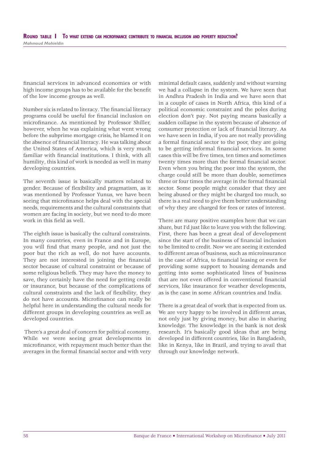financial services in advanced economies or with high income groups has to be available for the benefit of the low income groups as well.

Number six is related to literacy. The financial literacy programs could be useful for financial inclusion on microfinance. As mentioned by Professor Shiller, however, when he was explaining what went wrong before the subprime mortgage crisis, he blamed it on the absence of financial literacy. He was talking about the United States of America, which is very much familiar with financial institutions. I think, with all humility, this kind of work is needed as well in many developing countries.

The seventh issue is basically matters related to gender. Because of flexibility and pragmatism, as it was mentioned by Professor Yunus, we have been seeing that microfinance helps deal with the special needs, requirements and the cultural constraints that women are facing in society, but we need to do more work in this field as well.

The eighth issue is basically the cultural constraints. In many countries, even in France and in Europe, you will find that many people, and not just the poor but the rich as well, do not have accounts. They are not interested in joining the financial sector because of cultural constraint or because of some religious beliefs. They may have the money to save, they certainly have the need for getting credit or insurance, but because of the complications of cultural constraints and the lack of flexibility, they do not have accounts. Microfinance can really be helpful here in understanding the cultural needs for different groups in developing countries as well as developed countries.

 There's a great deal of concern for political economy. While we were seeing great developments in microfinance, with repayment much better than the averages in the formal financial sector and with very minimal default cases, suddenly and without warning we had a collapse in the system. We have seen that in Andhra Pradesh in India and we have seen that in a couple of cases in North Africa, this kind of a political economic constraint and the poles during election don't pay. Not paying means basically a sudden collapse in the system because of absence of consumer protection or lack of financial literary. As we have seen in India, if you are not really providing a formal financial sector to the poor, they are going to be getting informal financial services. In some cases this will be five times, ten times and sometimes twenty times more than the formal financial sector. Even when you bring the poor into the system, the charge could still be more than double, sometimes three or four times the average in the formal financial sector. Some people might consider that they are being abused or they might be charged too much, so there is a real need to give them better understanding of why they are charged for fees or rates of interest.

There are many positive examples here that we can share, but I'd just like to leave you with the following. First, there has been a great deal of development since the start of the business of financial inclusion to be limited to credit. Now we are seeing it extended to different areas of business, such as microinsurance in the case of Africa, to financial leasing or even for providing some support to housing demands and getting into some sophisticated lines of business that are not even offered in conventional financial services, like insurance for weather developments, as is the case in some African countries and India.

There is a great deal of work that is expected from us. We are very happy to be involved in different areas. not only just by giving money, but also in sharing knowledge. The knowledge in the bank is not desk research. It's basically good ideas that are being developed in different countries, like in Bangladesh, like in Kenya, like in Brazil, and trying to avail that through our knowledge network.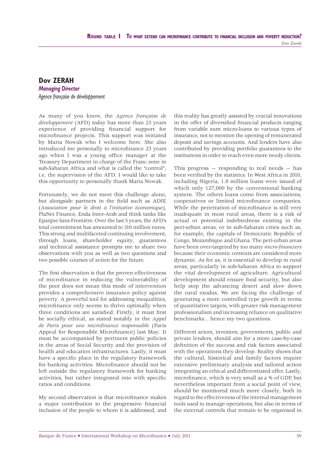#### **Dov ZERAH** *Managing Director Agence française de développement*

As many of you know, the *Agence française de développement* (AFD) today has more than 23 years experience of providing financial support for microfinance projects. This support was initiated by Maria Nowak who I welcome here. She also introduced me personally to microfinance 23 years ago when I was a young office manager at the Treasury Department in charge of the Franc zone in sub-Saharan Africa and what is called the "control", i.e. the supervision of the AFD. I would like to take this opportunity to personally thank Maria Nowak.

Fortunately, we do not meet this challenge alone, but alongside partners in the field such as ADIE (*Association pour le droit à l'initiative économique*), PlaNet Finance, Enda Inter-Arab and think tanks like Epargne Sans Frontière. Over the last 5 years, the AFD's total commitment has amounted to 310 million euros. This strong and multifaceted continuing involvement, through loans, shareholder equity, guarantees and technical assistance prompts me to share two observations with you as well as two questions and two possible courses of action for the future.

The first observation is that the proven effectiveness of microfinance in reducing the vulnerability of the poor does not mean this mode of intervention provides a comprehensive insurance policy against poverty. A powerful tool for addressing inequalities, microfinance only seems to thrive optimally when three conditions are satisfied. Firstly, it must first be socially ethical, as stated notably in the *Appel de Paris pour une microfinance responsable* (Paris Appeal for Responsible Microfinance) last May. It must be accompanied by pertinent public policies in the areas of Social Security and the provision of health and education infrastructures. Lastly, it must have a specific place in the regulatory framework for banking activities. Microfinance should not be left outside the regulatory framework for banking activities, but rather integrated into with specific ratios and conditions.

My second observation is that microfinance makes a major contribution to the progressive financial inclusion of the people to whom it is addressed, and this reality has greatly assisted by crucial innovations in the offer of diversified financial products ranging from variable sum micro-loans to various types of insurance, not to mention the opening of remunerated deposit and savings accounts. And lenders have also contributed by providing portfolio guarantees to the institutions in order to reach even more needy clients.

This progress  $-$  responding to real needs  $-$  has been verified by the statistics. In West Africa in 2010, including Nigeria, 1.8 million loans were issued of which only 127,000 by the conventional banking system. The others loans come from associations, cooperatives or limited microfinance companies. While the penetration of microfinance is still very inadequate in most rural areas, there is a risk of actual or potential indebtedness existing in the peri-urban areas, or in sub-Saharan cities such as, for example, the capitals of Democratic Republic of Congo, Mozambique and Ghana. The peri-urban areas have been over-targeted by too many *micro-financiers* because their economic contexts are considered more dynamic. As for us, it is essential to develop in rural areas, particularly in sub-Saharan Africa to support the vital development of agriculture. Agricultural development should ensure food security, but also help stop the advancing desert and slow down the rural exodus. We are facing the challenge of generating a more controlled type growth in terms of quantitative targets, with greater risk management professionalism and increasing reliance on qualitative benchmarks... hence my two questions.

Different actors, investors, governments, public and private lenders, should aim for a more case-by-case definition of the success and risk factors associated with the operations they develop. Reality shows that the cultural, historical and family factors require extensive preliminary analysis and tailored action integrating an ethical and differentiated offer. Lastly, microfinance, which is very small as a % of GDP, but nevertheless important from a social point of view, should be monitored much more closely, both in regard to the effectiveness of the internal management tools used to manage operations, but also in terms of the external controls that remain to be organised in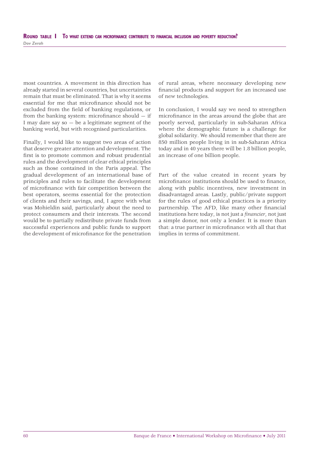most countries. A movement in this direction has already started in several countries, but uncertainties remain that must be eliminated. That is why it seems essential for me that microfinance should not be excluded from the field of banking regulations, or from the banking system: microfinance should  $-$  if I may dare say  $so - be$  a legitimate segment of the banking world, but with recognised particularities.

Finally, I would like to suggest two areas of action that deserve greater attention and development. The first is to promote common and robust prudential rules and the development of clear ethical principles such as those contained in the Paris appeal. The gradual development of an international base of principles and rules to facilitate the development of microfinance with fair competition between the best operators, seems essential for the protection of clients and their savings, and, I agree with what was Mohieldin said, particularly about the need to protect consumers and their interests. The second would be to partially redistribute private funds from successful experiences and public funds to support the development of microfinance for the penetration of rural areas, where necessary developing new financial products and support for an increased use of new technologies.

In conclusion, I would say we need to strengthen microfinance in the areas around the globe that are poorly served, particularly in sub-Saharan Africa where the demographic future is a challenge for global solidarity. We should remember that there are 850 million people living in in sub-Saharan Africa today and in 40 years there will be 1.8 billion people, an increase of one billion people.

Part of the value created in recent years by microfinance institutions should be used to finance, along with public incentives, new investment in disadvantaged areas. Lastly, public/private support for the rules of good ethical practices is a priority partnership. The AFD, like many other financial institutions here today, is not just a *financier*, not just a simple donor, not only a lender. It is more than that: a true partner in microfinance with all that that implies in terms of commitment.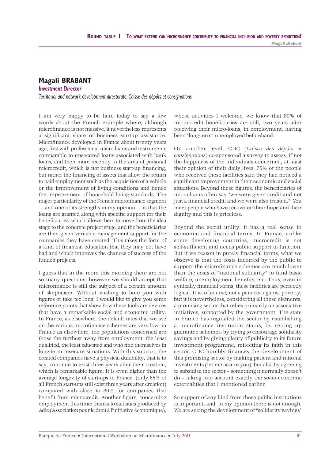#### **Magali BRABANT**

*Investment Director*

*Territorial and network development directorate, Caisse des dépôts et consignations*

I am very happy to be here today to say a few words about the French example where, although microfinance is not massive, it nevertheless represents a significant share of business startup assistance. Microfinance developed in France about twenty years ago, first with professional micro-loans and instruments comparable to unsecured loans associated with bank loans, and then more recently in the area of personal microcredit, which is not business start-up financing, but rather the financing of assets that allow the return to paid employment such as the acquisition of a vehicle or the improvement of living conditions and hence the improvement of household living standards. The major particularity of the French microfinance segment — and one of its strengths in my opinion — is that the loans are granted along with specific support for their beneficiaries, which allows them to move from the idea stage to the concrete project stage, and the beneficiaries are then given veritable management support for the companies they have created. This takes the form of a kind of financial education that they may not have had and which improves the chances of success of the funded projects.

I guess that in the room this morning there are not so many questions; however we should accept that microfinance is still the subject of a certain amount of skepticism. Without wishing to bore you with figures or take too long, I would like to give you some reference points that show how these tools are devices that have a remarkable social and economic utility. In France, as elsewhere, the default rates that we see on the various microfinance schemes are very low; in France as elsewhere, the populations concerned are those the furthest away from employment, the least qualified, the least educated and who find themselves in long-term insecure situations. With this support, the created companies have a physical durability, that is to say, continue to exist three years after their creation, which is remarkable figure: It is even higher than the average longevity of start-ups in France (only 65% of all French start-ups still exist three years after creation) compared with close to 80% for companies that benefit from microcredit. Another figure, concerning employment this time: thanks to statistics produced by Adie (Association pour le droit à l'initiative économique),

whose activities I welcome, we know that 80% of micro-credit beneficiaries are still, two years after receiving their micro-loans, in employment, having been "long-term" unemployed beforehand.

On another level, CDC (*Caisse des dépôts et consignations*) co-sponsored a survey to assess, if not the happiness of the individuals concerned, at least their opinion of their daily lives. 75% of the people who received these facilities said they had noticed a significant improvement in their economic and social situations. Beyond these figures, the beneficiaries of micro-loans often say "we were given credit and not just a financial credit, and we were also trusted." You meet people who have recovered their hope and their dignity and this is priceless.

Beyond the social utility, it has a real sense in economic and financial terms. In France, unlike some developing countries, microcredit is not self-sufficient and needs public support to function. But if we reason in purely financial terms, what we observe is that the costs incurred by the public to support the microfinance schemes are much lower than the costs of "national solidarity" to fund basic welfare, unemployment benefits, etc. Thus, even in cynically financial terms, these facilities are perfectly logical. It is, of course, not a panacea against poverty; but it is nevertheless, considering all these elements, a promising sector that relies primarily on associative initiatives, supported by the government. The state in France has regulated the sector by establishing a microfinance institution status, by setting up guarantee schemes, by trying to encourage solidarity savings and by giving plenty of publicity to its future investment programme, reflecting its faith in this sector. CDC humbly finances the development of this promising sector by making patient and rational investments (let me assure you), but also by agreeing to subsidise the sector – something it normally doesn't do – taking into account exactly the socio-economic externalities that I mentioned earlier.

So support of any kind from these public institutions is important, and, in my opinion there is not enough. We are seeing the development of "solidarity savings"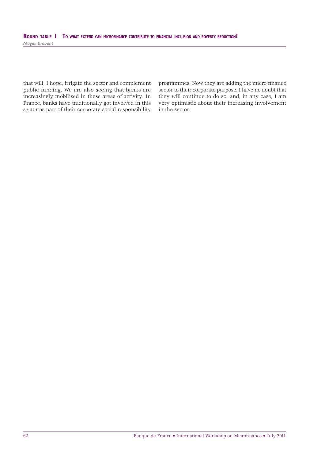that will, I hope, irrigate the sector and complement public funding. We are also seeing that banks are increasingly mobilised in these areas of activity. In France, banks have traditionally got involved in this sector as part of their corporate social responsibility programmes. Now they are adding the micro finance sector to their corporate purpose. I have no doubt that they will continue to do so, and, in any case, I am very optimistic about their increasing involvement in the sector.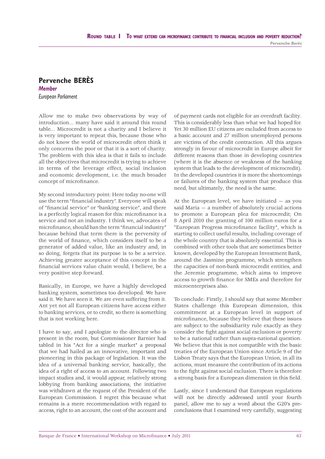#### **Pervenche BERÈS** *Member European Parliament*

Allow me to make two observations by way of introduction... many have said it around this round table... Microcredit is not a charity and I believe it is very important to repeat this, because those who do not know the world of microcredit often think it only concerns the poor or that it is a sort of charity. The problem with this idea is that it fails to include all the objectives that microcredit is trying to achieve in terms of the leverage effect, social inclusion and economic development, i.e. the much broader concept of microfinance.

My second introductory point: Here today no-one will use the term "financial industry". Everyone will speak of "financial service" or "banking service", and there is a perfectly logical reason for this: microfinance is a service and not an industry. I think we, advocates of microfinance, should ban the term "financial industry" because behind that term there is the perversity of the world of finance, which considers itself to be a generator of added value, like an industry and, in so doing, forgets that its purpose is to be a service. Achieving greater acceptance of this concept in the financial services value chain would. I believe, be a very positive step forward.

Basically, in Europe, we have a highly developed banking system, sometimes too developed. We have said it. We have seen it. We are even suffering from it. Ant yet not all European citizens have access either to banking services, or to credit, so there is something that is not working here.

I have to say, and I apologize to the director who is present in the room, but Commissioner Barnier had tabled in his "Act for a single market" a proposal that we had hailed as an innovative, important and pioneering in this package of legislation. It was the idea of a universal banking service, basically, the idea of a right of access to an account. Following two impact studies and, it would appear, relatively strong lobbying from banking associations, the initiative was withdrawn at the request of the President of the European Commission. I regret this because what remains is a mere recommendation with regard to access, right to an account, the cost of the account and

of payment cards not eligible for an overdraft facility. This is considerably less than what we had hoped for. Yet 30 million EU citizens are excluded from access to a basic account and 27 million unemployed persons are victims of the credit contraction. All this argues strongly in favour of microcredit in Europe albeit for different reasons than those in developing countries (where it is the absence or weakness of the banking system that leads to the development of microcredit). In the developed countries it is more the shortcomings or failures of the banking system that produce this need, but ultimately, the need is the same.

At the European level, we have initiated — as you said Maria — a number of absolutely crucial actions to promote a European plea for microcredit; On 8 April 2010 the granting of 100 million euros for a "European Progress microfinance facility", which is starting to collect useful results, including coverage of the whole country that is absolutely essential. This is combined with other tools that are sometimes better known, developed by the European Investment Bank, around the Jasmine programme, which strengthen the capacities of non-bank microcredit entities, and the Jeremie programme, which aims to improve access to growth finance for SMEs and therefore for microenterprises also.

To conclude: Firstly, I should say that some Member States challenge this European dimension, this commitment at a European level in support of microfinance, because they believe that these issues are subject to the subsidiarity rule exactly as they consider the fight against social exclusion or poverty to be a national rather than supra-national question. We believe that this is not compatible with the basic treaties of the European Union since Article 9 of the Lisbon Treaty says that the European Union, in all its actions, must measure the contribution of its actions to the fight against social exclusion. There is therefore a strong basis for a European dimension in this field.

Lastly, since I understand that European regulations will not be directly addressed until your fourth panel, allow me to say a word about the G20's preconclusions that I examined very carefully, suggesting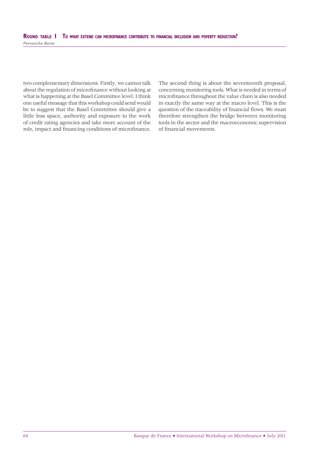two complementary dimensions. Firstly, we cannot talk about the regulation of microfinance without looking at what is happening at the Basel Committee level. I think one useful message that this workshop could send would be to suggest that the Basel Committee should give a little less space, authority and exposure to the work of credit rating agencies and take more account of the role, impact and financing conditions of microfinance.

The second thing is about the seventeenth proposal, concerning monitoring tools. What is needed in terms of microfinance throughout the value chain is also needed in exactly the same way at the macro level. This is the question of the traceability of financial flows. We must therefore strengthen the bridge between monitoring tools in the sector and the macroeconomic supervision of financial movements.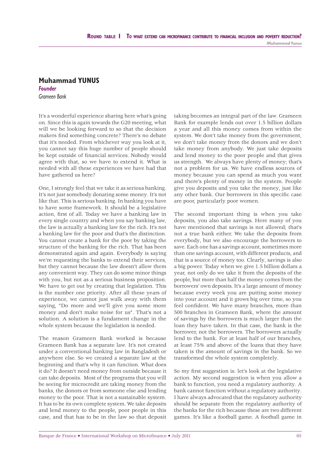## **Muhammad YUNUS** *Founder*

*Grameen Bank*

It's a wonderful experience sharing here what's going on. Since this is again towards the G20 meeting, what will we be looking forward to so that the decision makers find something concrete? There's no debate that it's needed. From whichever way you look at it, you cannot say this huge number of people should be kept outside of financial services. Nobody would agree with that, so we have to extend it. What is needed with all these experiences we have had that have gathered us here?

One, I strongly feel that we take it as serious banking. It's not just somebody donating some money. It's not like that. This is serious banking. In banking you have to have some framework. It should be a legislative action, first of all. Today we have a banking law in every single country and when you say banking law, the law is actually a banking law for the rich. It's not a banking law for the poor and that's the distinction. You cannot create a bank for the poor by taking the structure of the banking for the rich. That has been demonstrated again and again. Everybody is saying we're requesting the banks to extend their services, but they cannot because the law doesn't allow them any convenient way. They can do some minor things with you, but not as a serious business proposition. We have to get out by creating that legislation. This is the number one priority. After all these years of experience, we cannot just walk away with them saying, "Do more and we'll give you some more money and don't make noise for us". That's not a solution. A solution is a fundament change in the whole system because the legislation is needed.

The reason Grameen Bank worked is because Grameen Bank has a separate law. It's not created under a conventional banking law in Bangladesh or anywhere else. So we created a separate law at the beginning and that's why it can function. What does it do? It doesn't need money from outside because it can take deposits. Most of the programs that you will be seeing for microcredit are taking money from the banks, the donors or from someone else and lending money to the poor. That is not a sustainable system. It has to be its own complete system. We take deposits and lend money to the people, poor people in this case, and that has to be in the law so that deposit

taking becomes an integral part of the law. Grameen Bank for example lends out over 1.5 billion dollars a year and all this money comes from within the system. We don't take money from the government, we don't take money from the donors and we don't take money from anybody. We just take deposits and lend money to the poor people and that gives us strength. We always have plenty of money; that's not a problem for us. We have endless sources of money because you can spend as much you want and there's plenty of money in the system. People give you deposits and you take the money, just like any other bank. Our borrowers in this specific case are poor, particularly poor women.

The second important thing is when you take deposits, you also take savings. Here many of you have mentioned that savings is not allowed; that's not a true bank either. We take the deposits from everybody, but we also encourage the borrowers to save. Each one has a savings account, sometimes more than one savings account, with different products, and that is a source of money too. Clearly, savings is also a big power. Today when we give 1.5 billion dollars a year, not only do we take it from the deposits of the people, but more than half the money comes from the borrowers' own deposits. It's a large amount of money because every week you are putting some money into your account and it grows big over time, so you feel confident. We have many branches, more than 500 branches in Grameen Bank, where the amount of savings by the borrowers is much larger than the loan they have taken. In that case, the bank is the borrower, not the borrowers. The borrowers actually lend to the bank. For at least half of our branches, at least 75% and above of the loans that they have taken is the amount of savings in the bank. So we transformed the whole system completely.

So my first suggestion is: let's look at the legislative action. My second suggestion is when you allow a bank to function, you need a regulatory authority. A bank cannot function without a regulatory authority. I have always advocated that the regulatory authority should be separate from the regulatory authority of the banks for the rich because these are two different games. It's like a football game. A football game in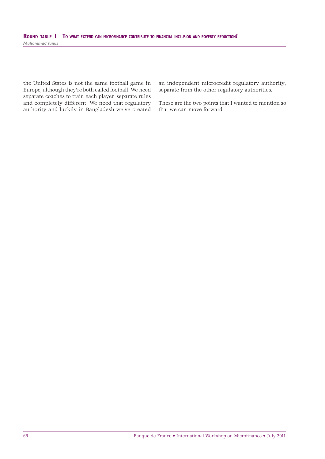the United States is not the same football game in Europe, although they're both called football. We need separate coaches to train each player, separate rules and completely different. We need that regulatory authority and luckily in Bangladesh we've created an independent microcredit regulatory authority, separate from the other regulatory authorities.

These are the two points that I wanted to mention so that we can move forward.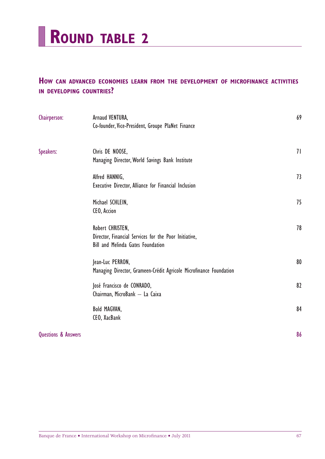

# **HOW CAN ADVANCED ECONOMIES LEARN FROM THE DEVELOPMENT OF MICROFINANCE ACTIVITIES IN DEVELOPING COUNTRIES?**

| Chairperson:                   | Arnaud VENTURA,<br>Co-founder, Vice-President, Groupe PlaNet Finance                                                  | 69 |
|--------------------------------|-----------------------------------------------------------------------------------------------------------------------|----|
| Speakers:                      | Chris DE NOOSE,<br>Managing Director, World Savings Bank Institute                                                    | 71 |
|                                | Alfred HANNIG,<br>Executive Director, Alliance for Financial Inclusion                                                | 73 |
|                                | Michael SCHLEIN,<br>CEO, Accion                                                                                       | 75 |
|                                | Robert CHRISTEN,<br>Director, Financial Services for the Poor Initiative,<br><b>Bill and Melinda Gates Foundation</b> | 78 |
|                                | Jean-Luc PERRON,<br>Managing Director, Grameen-Crédit Agricole Microfinance Foundation                                | 80 |
|                                | José Francisco de CONRADO,<br>Chairman, MicroBank - La Caixa                                                          | 82 |
|                                | Bold MAGVAN,<br>CEO, XacBank                                                                                          | 84 |
| <b>Questions &amp; Answers</b> |                                                                                                                       | 86 |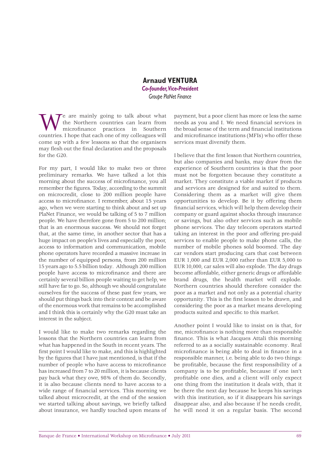#### **Arnaud VENTURA** *Co-founder, Vice-President Groupe PlaNet Finance*

e are mainly going to talk about what the Northern countries can learn from microfinance practices in Southern countries. I hope that each one of my colleagues will come up with a few lessons so that the organisers may flesh out the final declaration and the proposals for the G20.

For my part, I would like to make two or three preliminary remarks. We have talked a lot this morning about the success of microfinance, you all remember the figures. Today, according to the summit on microcredit, close to 200 million people have access to microfinance. I remember, about 15 years ago, when we were starting to think about and set up PlaNet Finance, we would be talking of 5 to 7 million people. We have therefore gone from 5 to 200 million; that is an enormous success. We should not forget that, at the same time, in another sector that has a huge impact on people's lives and especially the poor, access to information and communication, mobile phone operators have recorded a massive increase in the number of equipped persons, from 200 million 15 years ago to 5.5 billion today. Although 200 million people have access to microfinance and there are certainly several billion people waiting to get help, we still have far to go. So, although we should congratulate ourselves for the success of these past few years, we should put things back into their context and be aware of the enormous work that remains to be accomplished and I think this is certainly why the G20 must take an interest in the subject.

I would like to make two remarks regarding the lessons that the Northern countries can learn from what has happened in the South in recent years. The first point I would like to make, and this is highlighted by the figures that I have just mentioned, is that if the number of people who have access to microfinance has increased from 7 to 20 million, it is because clients pay back what they owe, 98% of them do. Secondly, it is also because clients need to have access to a wide range of financial services. This morning we talked about microcredit, at the end of the session we started talking about savings, we briefly talked about insurance, we hardly touched upon means of payment, but a poor client has more or less the same needs as you and I. We need financial services in the broad sense of the term and financial institutions and microfinance institutions (MFIs) who offer these services must diversify them.

I believe that the first lesson that Northern countries, but also companies and banks, may draw from the experience of Southern countries is that the poor must not be forgotten because they constitute a market. They constitute a viable market if products and services are designed for and suited to them. Considering them as a market will give them opportunities to develop. Be it by offering them financial services, which will help them develop their company or guard against shocks through insurance or savings, but also other services such as mobile phone services. The day telecom operators started taking an interest in the poor and offering pre-paid services to enable people to make phone calls, the number of mobile phones sold boomed. The day car vendors start producing cars that cost between EUR 1,000 and EUR 2,000 rather than EUR 5,000 to EUR 10,000, car sales will also explode. The day drugs become affordable, either generic drugs or affordable brand drugs, the health market will explode. Northern countries should therefore consider the poor as a market and not only as a potential charity opportunity. This is the first lesson to be drawn, and considering the poor as a market means developing products suited and specific to this market.

Another point I would like to insist on is that, for me, microfinance is nothing more than responsible finance. This is what Jacques Attali this morning referred to as a socially sustainable economy. Real microfinance is being able to deal in finance in a responsible manner, i.e. being able to do two things: be profitable, because the first responsibility of a company is to be profitable, because if one isn't profitable one dies, and a client will only expect one thing from the institution it deals with, that it be there the next day because he keeps his savings with this institution, so if it disappears his savings disappear also, and also because if he needs credit, he will need it on a regular basis. The second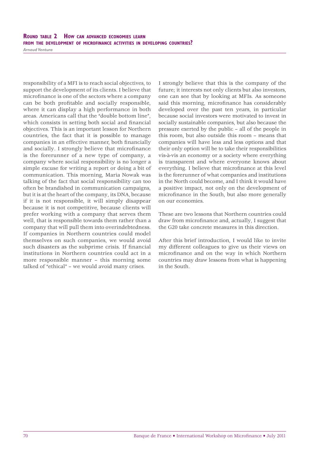#### **ROUND TABLE 2 HOW CAN ADVANCED ECONOMIES LEARN FROM THE DEVELOPMENT OF MICROFINANCE ACTIVITIES IN DEVELOPING COUNTRIES?**

*Arnaud Ventura*

responsibility of a MFI is to reach social objectives, to support the development of its clients. I believe that microfinance is one of the sectors where a company can be both profitable and socially responsible, where it can display a high performance in both areas. Americans call that the "double bottom line", which consists in setting both social and financial objectives. This is an important lesson for Northern countries, the fact that it is possible to manage companies in an effective manner, both financially and socially. I strongly believe that microfinance is the forerunner of a new type of company, a company where social responsibility is no longer a simple excuse for writing a report or doing a bit of communication. This morning, Maria Nowak was talking of the fact that social responsibility can too often be brandished in communication campaigns, but it is at the heart of the company, its DNA, because if it is not responsible, it will simply disappear because it is not competitive, because clients will prefer working with a company that serves them well, that is responsible towards them rather than a company that will pull them into overindebtedness. If companies in Northern countries could model themselves on such companies, we would avoid such disasters as the subprime crisis. If financial institutions in Northern countries could act in a more responsible manner – this morning some talked of "ethical" – we would avoid many crises.

I strongly believe that this is the company of the future; it interests not only clients but also investors, one can see that by looking at MFIs. As someone said this morning, microfinance has considerably developed over the past ten years, in particular because social investors were motivated to invest in socially sustainable companies, but also because the pressure exerted by the public – all of the people in this room, but also outside this room – means that companies will have less and less options and that their only option will be to take their responsibilities vis-à-vis an economy or a society where everything is transparent and where everyone knows about everything. I believe that microfinance at this level is the forerunner of what companies and institutions in the North could become, and I think it would have a positive impact, not only on the development of microfinance in the South, but also more generally on our economies.

These are two lessons that Northern countries could draw from microfinance and, actually, I suggest that the G20 take concrete measures in this direction.

After this brief introduction, I would like to invite my different colleagues to give us their views on microfinance and on the way in which Northern countries may draw lessons from what is happening in the South.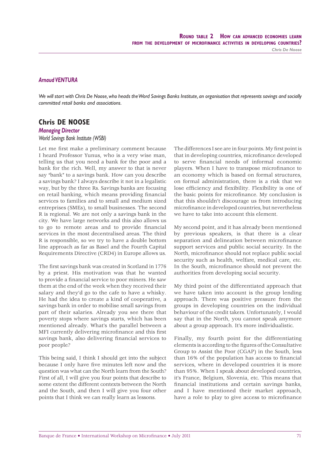#### *Arnaud VENTURA*

*We will start with Chris De Noose, who heads the Word Savings Banks Institute, an organisation that represents savings and socially committed retail banks and associations.*

#### **Chris DE NOOSE**

#### *Managing Director World Savings Bank Institute (WSBI)*

Let me first make a preliminary comment because I heard Professor Yunus, who is a very wise man, telling us that you need a bank for the poor and a bank for the rich. Well, my answer to that is never say "bank" to a savings bank. How can you describe a savings bank? I always describe it not in a legalistic way, but by the three Rs. Savings banks are focusing on retail banking, which means providing financial services to families and to small and medium sized entreprises (SMEs), to small businesses. The second R is regional. We are not only a savings bank in the city. We have large networks and this also allows us to go to remote areas and to provide financial services in the most decentralised areas. The third R is responsible, so we try to have a double bottom line approach as far as Basel and the Fourth Capital Requirements Directive (CRD4) in Europe allows us.

The first savings bank was created in Scotland in 1776 by a priest. His motivation was that he wanted to provide a financial service to poor miners. He saw them at the end of the week when they received their salary and they'd go to the cafe to have a whisky. He had the idea to create a kind of cooperative, a savings bank in order to mobilise small savings from part of their salaries. Already you see there that poverty stops where savings starts, which has been mentioned already. What's the parallel between a MFI currently delivering microfinance and this first savings bank, also delivering financial services to poor people?

This being said, I think I should get into the subject because I only have five minutes left now and the question was what can the North learn from the South? First of all, I will give you four points that describe to some extent the different contexts between the North and the South, and then I will give you four other points that I think we can really learn as lessons.

The differences I see are in four points. My first point is that in developing countries, microfinance developed to serve financial needs of informal economic players. When I have to transpose microfinance to an economy which is based on formal structures, on formal administration, there is a risk that we lose efficiency and flexibility. Flexibility is one of the basic points for microfinance. My conclusion is that this shouldn't discourage us from introducing microfinance in developed countries, but nevertheless we have to take into account this element.

My second point, and it has already been mentioned by previous speakers, is that there is a clear separation and delineation between microfinance support services and public social security. In the North, microfinance should not replace public social security such as health, welfare, medical care, etc. In the South, microfinance should not prevent the authorities from developing social security.

My third point of the differentiated approach that we have taken into account is the group lending approach. There was positive pressure from the groups in developing countries on the individual behaviour of the credit takers. Unfortunately, I would say that in the North, you cannot speak anymore about a group approach. It's more individualistic.

Finally, my fourth point for the differentiating elements is according to the figures of the Consultative Group to Assist the Poor (CGAP) in the South, less than 16% of the population has access to financial services, where in developed countries it is more than 95%. When I speak about developed countries, it's France, Belgium, Slovenia, etc. This means that financial institutions and certain savings banks, and I have mentioned their market approach, have a role to play to give access to microfinance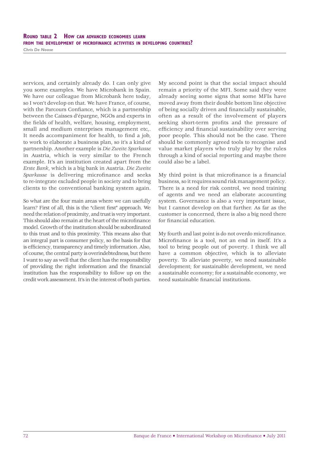### **ROUND TABLE 2 HOW CAN ADVANCED ECONOMIES LEARN FROM THE DEVELOPMENT OF MICROFINANCE ACTIVITIES IN DEVELOPING COUNTRIES?**

*Chris De Noose*

services, and certainly already do. I can only give you some examples. We have Microbank in Spain. We have our colleague from Microbank here today, so I won't develop on that. We have France, of course, with the Parcours Confiance, which is a partnership between the Caisses d'épargne, NGOs and experts in the fields of health, welfare, housing, employment, small and medium enterprises management etc,. It needs accompaniment for health, to find a job, to work to elaborate a business plan, so it's a kind of partnership. Another example is *Die Zweite Sparkasse* in Austria, which is very similar to the French example. It's an institution created apart from the *Erste Bank*, which is a big bank in Austria. *Die Zweite*  Sparkasse is delivering microfinance and seeks to re-integrate excluded people in society and to bring clients to the conventional banking system again.

So what are the four main areas where we can usefully learn? First of all, this is the "client first" approach. We need the relation of proximity, and trust is very important. This should also remain at the heart of the microfinance model. Growth of the institution should be subordinated to this trust and to this proximity. This means also that an integral part is consumer policy, so the basis for that is efficiency, transparency and timely information. Also, of course, the central party is overindebtedness, but there I want to say as well that the client has the responsibility of providing the right information and the financial institution has the responsibility to follow up on the credit work assessment. It's in the interest of both parties.

My second point is that the social impact should remain a priority of the MFI. Some said they were already seeing some signs that some MFIs have moved away from their double bottom line objective of being socially driven and financially sustainable, often as a result of the involvement of players seeking short-term profits and the pressure of efficiency and financial sustainability over serving poor people. This should not be the case. There should be commonly agreed tools to recognise and value market players who truly play by the rules through a kind of social reporting and maybe there could also be a label.

My third point is that microfinance is a financial business, so it requires sound risk management policy. There is a need for risk control, we need training of agents and we need an elaborate accounting system. Governance is also a very important issue, but I cannot develop on that further. As far as the customer is concerned, there is also a big need there for financial education.

My fourth and last point is do not overdo microfinance. Microfinance is a tool, not an end in itself. It's a tool to bring people out of poverty. I think we all have a common objective, which is to alleviate poverty. To alleviate poverty, we need sustainable development; for sustainable development, we need a sustainable economy; for a sustainable economy, we need sustainable financial institutions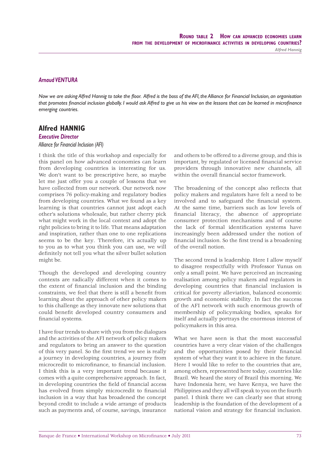*Alfred Hannig*

#### *Arnaud VENTURA*

*Now we are asking Alfred Hannig to take the floor. Alfred is the boss of the AFI, the Alliance for Financial Inclusion, an organisation* that promotes financial inclusion globally. I would ask Alfred to give us his view on the lessons that can be learned in microfinance *emerging countries.*

## **Alfred HANNIG**

#### *Executive Director*

#### *Alliance for Financial Inclusion (AFI)*

I think the title of this workshop and especially for this panel on how advanced economies can learn from developing countries is interesting for us. We don't want to be prescriptive here, so maybe let me just offer you a couple of lessons that we have collected from our network. Our network now comprises 76 policy-making and regulatory bodies from developing countries. What we found as a key learning is that countries cannot just adopt each other's solutions wholesale, but rather cherry pick what might work in the local context and adopt the right policies to bring it to life. That means adaptation and inspiration, rather than one to one replications seems to be the key. Therefore, it's actually up to you as to what you think you can use, we will definitely not tell you what the silver bullet solution might be.

Though the developed and developing country contexts are radically different when it comes to the extent of financial inclusion and the binding constraints, we feel that there is still a benefit from learning about the approach of other policy makers to this challenge as they innovate new solutions that could benefit developed country consumers and financial systems.

I have four trends to share with you from the dialogues and the activities of the AFI network of policy makers and regulators to bring an answer to the question of this very panel. So the first trend we see is really a journey in developing countries, a journey from microcredit to microfinance, to financial inclusion. I think this is a very important trend because it comes with a quite comprehensive approach. In fact, in developing countries the field of financial access has evolved from simply microcredit to financial inclusion in a way that has broadened the concept beyond credit to include a wide arrange of products such as payments and, of course, savings, insurance and others to be offered to a diverse group, and this is important, by regulated or licensed financial service providers through innovative new channels, all within the overall financial sector framework.

The broadening of the concept also reflects that policy makers and regulators have felt a need to be involved and to safeguard the financial system. At the same time, barriers such as low levels of financial literacy, the absence of appropriate consumer protection mechanisms and of course the lack of formal identification systems have increasingly been addressed under the notion of financial inclusion. So the first trend is a broadening of the overall notion.

The second trend is leadership. Here I allow myself to disagree respectfully with Professor Yunus on only a small point. We have perceived an increasing realisation among policy makers and regulators in developing countries that financial inclusion is critical for poverty alleviation, balanced economic growth and economic stability. In fact the success of the AFI network with such enormous growth of membership of policymaking bodies, speaks for itself and actually portrays the enormous interest of policymakers in this area.

What we have seen is that the most successful countries have a very clear vision of the challenges and the opportunities posed by their financial system of what they want it to achieve in the future. Here I would like to refer to the countries that are, among others, represented here today, countries like Brazil. We heard the story of Brazil this morning. We have Indonesia here, we have Kenya, we have the Philippines and they all will speak to you on the fourth panel. I think there we can clearly see that strong leadership is the foundation of the development of a national vision and strategy for financial inclusion.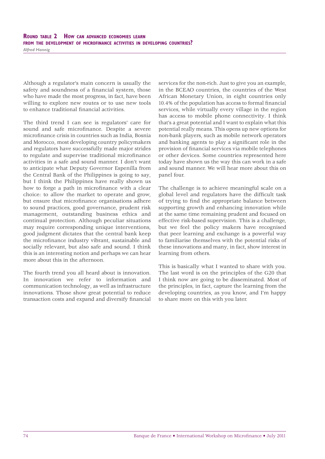Although a regulator's main concern is usually the safety and soundness of a financial system, those who have made the most progress, in fact, have been willing to explore new routes or to use new tools to enhance traditional financial activities

The third trend I can see is regulators' care for sound and safe microfinance. Despite a severe microfinance crisis in countries such as India, Bosnia and Morocco, most developing country policymakers and regulators have successfully made major strides to regulate and supervise traditional microfinance activities in a safe and sound manner. I don't want to anticipate what Deputy Governor Espenilla from the Central Bank of the Philippines is going to say, but I think the Philippines have really shown us how to forge a path in microfinance with a clear choice: to allow the market to operate and grow, but ensure that microfinance organisations adhere to sound practices, good governance, prudent risk management, outstanding business ethics and continual protection. Although peculiar situations may require corresponding unique interventions, good judgment dictates that the central bank keep the microfinance industry vibrant, sustainable and socially relevant, but also safe and sound. I think this is an interesting notion and perhaps we can hear more about this in the afternoon.

The fourth trend you all heard about is innovation. In innovation we refer to information and communication technology, as well as infrastructure innovations. Those show great potential to reduce transaction costs and expand and diversify financial services for the non-rich. Just to give you an example, in the BCEAO countries, the countries of the West African Monetary Union, in eight countries only 10.4% of the population has access to formal financial services, while virtually every village in the region has access to mobile phone connectivity. I think that's a great potential and I want to explain what this potential really means. This opens up new options for non-bank players, such as mobile network operators and banking agents to play a significant role in the provision of financial services via mobile telephones or other devices. Some countries represented here today have shown us the way this can work in a safe and sound manner. We will hear more about this on panel four.

The challenge is to achieve meaningful scale on a global level and regulators have the difficult task of trying to find the appropriate balance between supporting growth and enhancing innovation while at the same time remaining prudent and focused on effective risk-based supervision. This is a challenge, but we feel the policy makers have recognised that peer learning and exchange is a powerful way to familiarise themselves with the potential risks of these innovations and many, in fact, show interest in learning from others.

This is basically what I wanted to share with you. The last word is on the principles of the G20 that I think now are going to be disseminated. Most of the principles, in fact, capture the learning from the developing countries, as you know, and I'm happy to share more on this with you later.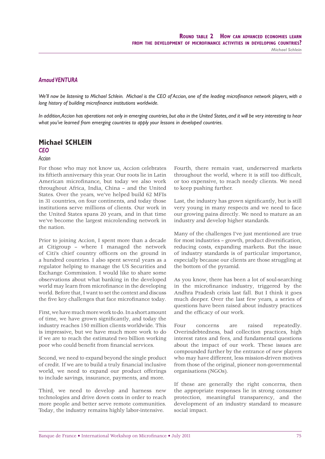*Michael Schlein*

#### *Arnaud VENTURA*

We'll now be listening to Michael Schlein. Michael is the CEO of Accion, one of the leading microfinance network players, with a long history of building microfinance institutions worldwide.

*In addition, Accion has operations not only in emerging countries, but also in the United States, and it will be very interesting to hear what you've learned from emerging countries to apply your lessons in developed countries.*

## **Michael SCHLEIN**

#### *CEO*

#### *Accion*

For those who may not know us, Accion celebrates its fiftieth anniversary this year. Our roots lie in Latin American microfinance, but today we also work throughout Africa, India, China – and the United States. Over the years, we've helped build 62 MFIs in 31 countries, on four continents, and today those institutions serve millions of clients. Our work in the United States spans 20 years, and in that time we've become the largest microlending network in the nation.

Prior to joining Accion, I spent more than a decade at Citigroup – where I managed the network of Citi's chief country officers on the ground in a hundred countries. I also spent several years as a regulator helping to manage the US Securities and Exchange Commission. I would like to share some observations about what banking in the developed world may learn from microfinance in the developing world. Before that, I want to set the context and discuss the five key challenges that face microfinance today.

First, we have much more work to do. In a short amount of time, we have grown significantly, and today the industry reaches 150 million clients worldwide. This is impressive, but we have much more work to do if we are to reach the estimated two billion working poor who could benefit from financial services.

Second, we need to expand beyond the single product of credit. If we are to build a truly financial inclusive world, we need to expand our product offerings to include savings, insurance, payments, and more.

Third, we need to develop and harness new technologies and drive down costs in order to reach more people and better serve remote communities. Today, the industry remains highly labor-intensive.

Fourth, there remain vast, underserved markets throughout the world, where it is still too difficult, or too expensive, to reach needy clients. We need to keep pushing further.

Last, the industry has grown significantly, but is still very young in many respects and we need to face our growing pains directly. We need to mature as an industry and develop higher standards.

Many of the challenges I've just mentioned are true for most industries – growth, product diversification, reducing costs, expanding markets. But the issue of industry standards is of particular importance, especially because our clients are those struggling at the bottom of the pyramid.

As you know, there has been a lot of soul-searching in the microfinance industry, triggered by the Andhra Pradesh crisis last fall. But I think it goes much deeper. Over the last few years, a series of questions have been raised about industry practices and the efficacy of our work.

Four concerns are raised repeatedly. Overindebtedness, bad collection practices, high interest rates and fees, and fundamental questions about the impact of our work. These issues are compounded further by the entrance of new players who may have different, less mission-driven motives from those of the original, pioneer non-governmental organisations (NGOs).

If these are generally the right concerns, then the appropriate responses lie in strong consumer protection, meaningful transparency, and the development of an industry standard to measure social impact.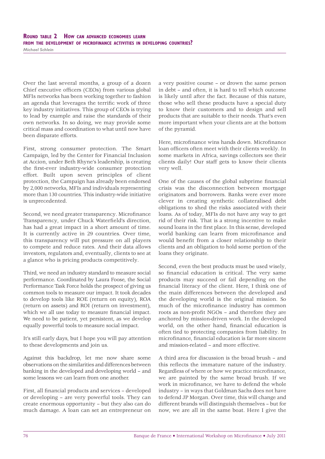## **ROUND TABLE 2 HOW CAN ADVANCED ECONOMIES LEARN FROM THE DEVELOPMENT OF MICROFINANCE ACTIVITIES IN DEVELOPING COUNTRIES?**

*Michael Schlein*

Over the last several months, a group of a dozen Chief executive officers (CEOs) from various global MFIs networks has been working together to fashion an agenda that leverages the terrific work of three key industry initiatives. This group of CEOs is trying to lead by example and raise the standards of their own networks. In so doing, we may provide some critical mass and coordination to what until now have been disparate efforts.

First, strong consumer protection. The Smart Campaign, led by the Center for Financial Inclusion at Accion, under Beth Rhyne's leadership, is creating the first-ever industry-wide consumer protection effort. Built upon seven principles of client protection, the Campaign has already been endorsed by 2,000 networks, MFIs and individuals representing more than 130 countries. This industry-wide initiative is unprecedented.

Second, we need greater transparency. Microfinance Transparency, under Chuck Waterfield's direction, has had a great impact in a short amount of time. It is currently active in 29 countries. Over time, this transparency will put pressure on all players to compete and reduce rates. And their data allows investors, regulators and, eventually, clients to see at a glance who is pricing products competitively.

Third, we need an industry standard to measure social performance. Coordinated by Laura Foose, the Social Performance Task Force holds the prospect of giving us common tools to measure our impact. It took decades to develop tools like ROE (return on equity), ROA (return on assets) and ROI (return on investment), which we all use today to measure financial impact. We need to be patient, yet persistent, as we develop equally powerful tools to measure social impact.

It's still early days, but I hope you will pay attention to these developments and join us.

Against this backdrop, let me now share some observations on the similarities and differences between banking in the developed and developing world – and some lessons we can learn from one another.

First, all financial products and services - developed or developing – are very powerful tools. They can create enormous opportunity – but they also can do much damage. A loan can set an entrepreneur on

a very positive course – or drown the same person in debt – and often, it is hard to tell which outcome is likely until after the fact. Because of this nature, those who sell these products have a special duty to know their customers and to design and sell products that are suitable to their needs. That's even more important when your clients are at the bottom of the pyramid.

Here, microfinance wins hands down. Microfinance loan officers often meet with their clients weekly. In some markets in Africa, savings collectors see their clients daily! Our staff gets to know their clients very well.

One of the causes of the global subprime financial crisis was the disconnection between mortgage originators and borrowers. Banks were ever more clever in creating synthetic collateralised debt obligations to shed the risks associated with their loans. As of today, MFIs do not have any way to get rid of their risk. That is a strong incentive to make sound loans in the first place. In this sense, developed world banking can learn from microfinance and would benefit from a closer relationship to their clients and an obligation to hold some portion of the loans they originate.

Second, even the best products must be used wisely, so financial education is critical. The very same products may succeed or fail depending on the financial literacy of the client. Here, I think one of the main differences between the developed and the developing world is the original mission. So much of the microfinance industry has common roots as non-profit NGOs - and therefore they are anchored by mission-driven work. In the developed world, on the other hand, financial education is often tied to protecting companies from liability. In microfinance, financial education is far more sincere and mission-related – and more effective.

A third area for discussion is the broad brush – and this reflects the immature nature of the industry. Regardless of where or how we practice microfinance, we are painted by the same broad brush. If we work in microfinance, we have to defend the whole industry – in ways that Goldman Sachs does not have to defend JP Morgan. Over time, this will change and different brands will distinguish themselves – but for now, we are all in the same boat. Here I give the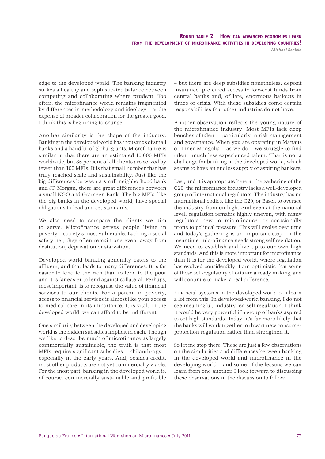*Michael Schlein*

edge to the developed world. The banking industry strikes a healthy and sophisticated balance between competing and collaborating where prudent. Too often, the microfinance world remains fragmented by differences in methodology and ideology – at the expense of broader collaboration for the greater good. I think this is beginning to change.

Another similarity is the shape of the industry. Banking in the developed world has thousands of small banks and a handful of global giants. Microfinance is similar in that there are an estimated 10,000 MFIs worldwide, but 85 percent of all clients are served by fewer than 100 MFIs. It is that small number that has truly reached scale and sustainability. Just like the big differences between a small neighborhood bank and JP Morgan, there are great differences between a small NGO and Grameen Bank. The big MFIs, like the big banks in the developed world, have special obligations to lead and set standards.

We also need to compare the clients we aim to serve. Microfinance serves people living in poverty – society's most vulnerable. Lacking a social safety net, they often remain one event away from destitution, deprivation or starvation.

Developed world banking generally caters to the affluent, and that leads to many differences. It is far easier to lend to the rich than to lend to the poor and it is far easier to lend against collateral. Perhaps, most important, is to recognise the value of financial services to our clients. For a person in poverty, access to financial services is almost like your access to medical care in its importance. It is vital. In the developed world, we can afford to be indifferent.

One similarity between the developed and developing world is the hidden subsidies implicit in each. Though we like to describe much of microfinance as largely commercially sustainable, the truth is that most MFIs require significant subsidies - philanthropy especially in the early years. And, besides credit, most other products are not yet commercially viable. For the most part, banking in the developed world is, of course, commercially sustainable and profitable

– but there are deep subsidies nonetheless: deposit insurance, preferred access to low-cost funds from central banks and, of late, enormous bailouts in times of crisis. With these subsidies come certain responsibilities that other industries do not have.

Another observation reflects the young nature of the microfinance industry. Most MFIs lack deep benches of talent – particularly in risk management and governance. When you are operating in Manaus or Inner Mongolia – as we do – we struggle to find talent, much less experienced talent. That is not a challenge for banking in the developed world, which seems to have an endless supply of aspiring bankers.

Last, and it is appropriate here at the gathering of the G20, the microfinance industry lacks a well-developed group of international regulators. The industry has no international bodies, like the G20, or Basel, to oversee the industry from on high. And even at the national level, regulation remains highly uneven, with many regulators new to microfinance, or occasionally prone to political pressure. This will evolve over time and today's gathering is an important step. In the meantime, microfinance needs strong self-regulation. We need to establish and live up to our own high standards. And this is more important for microfinance than it is for the developed world, where regulation has evolved considerably. I am optimistic that some of these self-regulatory efforts are already making, and will continue to make, a real difference.

Financial systems in the developed world can learn a lot from this. In developed-world banking, I do not see meaningful, industry-led self-regulation. I think it would be very powerful if a group of banks aspired to set high standards. Today, it's far more likely that the banks will work together to thwart new consumer protection regulation rather than strengthen it.

So let me stop there. These are just a few observations on the similarities and differences between banking in the developed world and microfinance in the developing world – and some of the lessons we can learn from one another. I look forward to discussing these observations in the discussion to follow.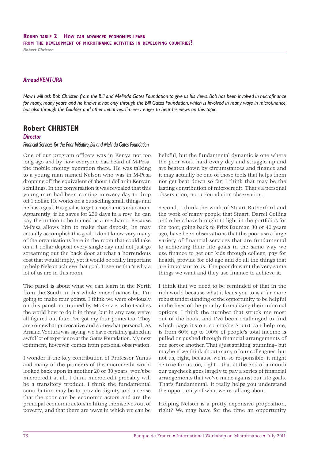*Robert Christen*

#### *Arnaud VENTURA*

*Now I will ask Bob Christen from the Bill and Melinda Gates Foundation to give us his views. Bob has been involved in microfinance* for many, many years and he knows it not only through the Bill Gates Foundation, which is involved in many ways in microfinance, *but also through the Boulder and other initiatives. I'm very eager to hear his views on this topic.*

## **Robert CHRISTEN**

#### *Director*

#### *Financial Services for the Poor Initiative, Bill and Melinda Gates Foundation*

One of our program officers was in Kenya not too long ago and by now everyone has heard of M-Pesa, the mobile money operation there. He was talking to a young man named Nelson who was in M-Pesa dropping off the equivalent of about 1 dollar in Kenyan schillings. In the conversation it was revealed that this young man had been coming in every day to drop off 1 dollar. He works on a bus selling small things and he has a goal. His goal is to get a mechanic's education. Apparently, if he saves for 236 days in a row, he can pay the tuition to be trained as a mechanic. Because M-Pesa allows him to make that deposit, he may actually accomplish this goal. I don't know very many of the organisations here in the room that could take on a 1 dollar deposit every single day and not just go screaming out the back door at what a horrendous cost that would imply, yet it would be really important to help Nelson achieve that goal. It seems that's why a lot of us are in this room.

The panel is about what we can learn in the North from the South in this whole microfinance bit. I'm going to make four points. I think we were obviously on this panel not trained by McKenzie, who teaches the world how to do it in three, but in any case we've all figured out four. I've got my four points too. They are somewhat provocative and somewhat personal. As Arnaud Ventura was saying, we have certainly gained an awful lot of experience at the Gates Foundation. My next comment, however, comes from personal observation.

I wonder if the key contribution of Professor Yunus and many of the pioneers of the microcredit world looked back upon in another 20 or 30 years, won't be microcredit at all. I think microcredit probably will be a transitory product. I think the fundamental contribution may be to provide dignity and a sense that the poor can be economic actors and are the principal economic actors in lifting themselves out of poverty, and that there are ways in which we can be

helpful, but the fundamental dynamic is one where the poor work hard every day and struggle up and are beaten down by circumstances and finance and it may actually be one of those tools that helps them not get beat down so far. I think that may be the lasting contribution of microcredit. That's a personal observation, not a Foundation observation.

Second, I think the work of Stuart Rutherford and the work of many people that Stuart, Darrel Collins and others have brought to light in the portfolios for the poor, going back to Fritz Bauman 30 or 40 years ago, have been observations that the poor use a large variety of financial services that are fundamental to achieving their life goals in the same way we use finance to get our kids through college, pay for health, provide for old age and do all the things that are important to us. The poor do want the very same things we want and they use finance to achieve it.

I think that we need to be reminded of that in the rich world because what it leads you to is a far more robust understanding of the opportunity to be helpful in the lives of the poor by formalising their informal options. I think the number that struck me most out of the book, and I've been challenged to find which page it's on, so maybe Stuart can help me, is from 60% up to 100% of people's total income is pulled or pushed through financial arrangements of one sort or another. That's just striking, stunning– but maybe if we think about many of our colleagues, but not us, right, because we're so responsible, it might be true for us too, right – that at the end of a month our paycheck goes largely to pay a series of financial arrangements that we've made against our life goals. That's fundamental. It really helps you understand the opportunity of what we're talking about.

Helping Nelson is a pretty expensive proposition, right? We may have for the time an opportunity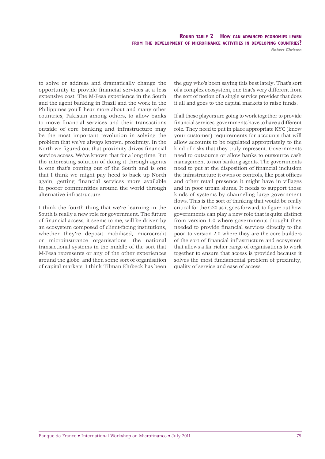to solve or address and dramatically change the opportunity to provide financial services at a less expensive cost. The M-Pesa experience in the South and the agent banking in Brazil and the work in the Philippines you'll hear more about and many other countries, Pakistan among others, to allow banks to move financial services and their transactions outside of core banking and infrastructure may be the most important revolution in solving the problem that we've always known: proximity. In the North we figured out that proximity drives financial service access. We've known that for a long time. But the interesting solution of doing it through agents is one that's coming out of the South and is one that I think we might pay heed to back up North again, getting financial services more available in poorer communities around the world through alternative infrastructure.

I think the fourth thing that we're learning in the South is really a new role for government. The future of financial access, it seems to me, will be driven by an ecosystem composed of client-facing institutions, whether they're deposit mobilised, microcredit or microinsurance organisations, the national transactional systems in the middle of the sort that M-Pesa represents or any of the other experiences around the globe, and then some sort of organisation of capital markets. I think Tilman Ehrbeck has been the guy who's been saying this best lately. That's sort of a complex ecosystem, one that's very different from the sort of notion of a single service provider that does it all and goes to the capital markets to raise funds.

If all these players are going to work together to provide financial services, governments have to have a different role. They need to put in place appropriate KYC (know your customer) requirements for accounts that will allow accounts to be regulated appropriately to the kind of risks that they truly represent. Governments need to outsource or allow banks to outsource cash management to non banking agents. The governments need to put at the disposition of financial inclusion the infrastructure it owns or controls, like post offices and other retail presence it might have in villages and in poor urban slums. It needs to support those kinds of systems by channeling large government flows. This is the sort of thinking that would be really critical for the G20 as it goes forward, to figure out how governments can play a new role that is quite distinct from version 1.0 where governments thought they needed to provide financial services directly to the poor, to version 2.0 where they are the core builders of the sort of financial infrastructure and ecosystem that allows a far richer range of organisations to work together to ensure that access is provided because it solves the most fundamental problem of proximity, quality of service and ease of access.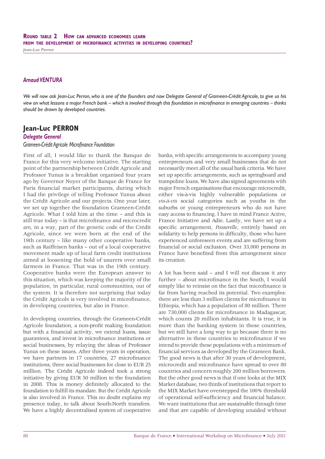*Jean-Luc Perron*

#### *Arnaud VENTURA*

*We will now ask Jean-Luc Perron, who is one of the founders and now Delegate General of Grameen-Crédit Agricole, to give us his view on what lessons a major French bank – which is involved through this foundation in microfi nance in emerging countries – thinks should be drawn by developed countries.*

# **Jean-Luc PERRON**

#### *Delegate General*

#### *Grameen-Crédit Agricole Microfi nance Foundation*

First of all, I would like to thank the Banque de France for this very welcome initiative. The starting point of the partnership between Crédit Agricole and Professor Yunus is a breakfast organised four years ago by Governor Noyer of the Banque de France for Paris financial market participants, during which I had the privilege of telling Professor Yunus about the Crédit Agricole and our projects. One year later, we set up together the foundation Grameen-Crédit Agricole. What I told him at the time – and this is still true today – is that microfinance and microcredit are, in a way, part of the genetic code of the Crédit Agricole, since we were born at the end of the 19th century – like many other cooperative banks, such as Raiffeisen banks – out of a local cooperative movement made up of local farm credit institutions aimed at loosening the hold of usurers over small farmers in France. That was in the 19th century. Cooperative banks were the European answer to this situation, which was keeping the majority of the population, in particular, rural communities, out of the system. It is therefore not surprising that today the Crédit Agricole is very involved in microfinance, in developing countries, but also in France.

In developing countries, through the Grameen-Crédit Agricole foundation, a non-profit making foundation but with a financial activity, we extend loans, issue guarantees, and invest in microfinance institutions or social businesses, by relaying the ideas of Professor Yunus on these issues. After three years in operation, we have partners in 17 countries, 27 microfinance institutions, three social businesses for close to EUR 25 million. The Crédit Agricole indeed took a strong initiative by giving EUR 50 million to the foundation in 2008. This is money definitely allocated to the foundation to fulfill its mandate. But the Crédit Agricole is also involved in France. This no doubt explains my presence today, to talk about South-North transfers. We have a highly decentralised system of cooperative

banks, with specific arrangements to accompany young entrepreneurs and very small businesses that do not necessarily meet all of the usual bank criteria. We have set up specific arrangements, such as springboard and trampoline loans. We have also signed agreements with major French organisations that encourage microcredit, either vis-à-vis highly vulnerable populations or *vis-à-vis* social categories such as youths in the suburbs or young entrepreneurs who do not have easy access to financing. I have in mind France Active, France Initiative and Adie. Lastly, we have set up a specific arrangement, *Passerelle*, entirely based on solidarity to help persons in difficulty, those who have experienced unforeseen events and are suffering from financial or social exclusion. Over 33,000 persons in France have benefited from this arrangement since its creation.

A lot has been said – and I will not discuss it any further – about microfinance in the South, I would simply like to reinsist on the fact that microfinance is far from having reached its potential. Two examples: there are less than 3 million clients for microfinance in Ethiopia, which has a population of 80 million. There are 730,000 clients for microfinance in Madagascar, which counts 20 million inhabitants. It is true, it is more than the banking system in these countries, but we still have a long way to go because there is no alternative in these countries to microfinance if we intend to provide these populations with a minimum of financial services as developed by the Grameen Bank. The good news is that after 30 years of development, microcredit and microfinance have spread to over 80 countries and concern roughly 200 million borrowers. But the other good news is that if one looks at the MIX Market database, two thirds of institutions that report to the MIX Market have overstepped the 100% threshold of operational self-sufficiency and financial balance. We want institutions that are sustainable through time and that are capable of developing unaided without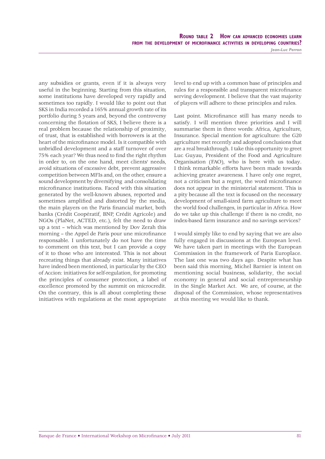**ROUND TABLE 2 HOW CAN ADVANCED ECONOMIES LEARN FROM THE DEVELOPMENT OF MICROFINANCE ACTIVITIES IN DEVELOPING COUNTRIES?**

*Jean-Luc Perron*

any subsidies or grants, even if it is always very useful in the beginning. Starting from this situation, some institutions have developed very rapidly and sometimes too rapidly. I would like to point out that SKS in India recorded a 165% annual growth rate of its portfolio during 5 years and, beyond the controversy concerning the flotation of SKS, I believe there is a real problem because the relationship of proximity, of trust, that is established with borrowers is at the heart of the microfinance model. Is it compatible with unbridled development and a staff turnover of over 75% each year? We thus need to find the right rhythm in order to, on the one hand, meet clients' needs, avoid situations of excessive debt, prevent aggressive competition between MFIs and, on the other, ensure a sound development by diversifying and consolidating microfinance institutions. Faced with this situation generated by the well-known abuses, reported and sometimes amplified and distorted by the media, the main players on the Paris financial market, both banks (Crédit Coopératif, BNP, Crédit Agricole) and NGOs (PlaNet, ACTED, etc.), felt the need to draw up a text – which was mentioned by Dov Zerah this morning – the Appel de Paris pour une microfinance responsable. I unfortunately do not have the time to comment on this text, but I can provide a copy of it to those who are interested. This is not about recreating things that already exist. Many initiatives have indeed been mentioned, in particular by the CEO of Accion: initiatives for self-regulation, for promoting the principles of consumer protection, a label of excellence promoted by the summit on microcredit. On the contrary, this is all about completing these initiatives with regulations at the most appropriate

level to end up with a common base of principles and rules for a responsible and transparent microfinance serving development. I believe that the vast majority of players will adhere to these principles and rules.

Last point. Microfinance still has many needs to satisfy. I will mention three priorities and I will summarise them in three words: Africa, Agriculture, Insurance. Special mention for agriculture: the G20 agriculture met recently and adopted conclusions that are a real breakthrough. I take this opportunity to greet Luc Guyau, President of the Food and Agriculture Organisation (FAO), who is here with us today. I think remarkable efforts have been made towards achieving greater awareness. I have only one regret, not a criticism but a regret, the word microfinance does not appear in the ministerial statement. This is a pity because all the text is focused on the necessary development of small-sized farm agriculture to meet the world food challenges, in particular in Africa. How do we take up this challenge if there is no credit, no index-based farm insurance and no savings services?

I would simply like to end by saying that we are also fully engaged in discussions at the European level. We have taken part in meetings with the European Commission in the framework of Paris Europlace. The last one was two days ago. Despite what has been said this morning, Michel Barnier is intent on mentioning social business, solidarity, the social economy in general and social entrepreneurship in the Single Market Act. We are, of course, at the disposal of the Commission, whose representatives at this meeting we would like to thank.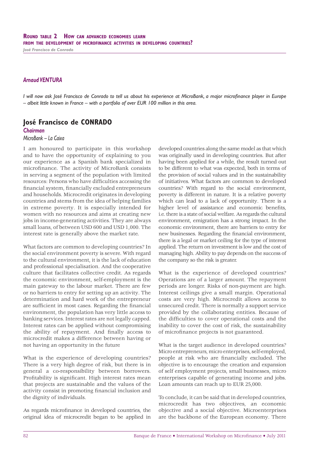#### *Arnaud VENTURA*

*I will now ask José Francisco de Conrado to tell us about his experience at MicroBank, a major microfinance player in Europe – albeit little known in France – with a portfolio of over EUR 100 million in this area.*

## **José Francisco de CONRADO**

#### *Chairman*

#### *MicroBank – La Caixa*

I am honoured to participate in this workshop and to have the opportunity of explaining to you our experience as a Spanish bank specialized in microfinance. The activity of MicroBank consists in serving a segment of the population with limited resources: Persons who have difficulties accessing the financial system, financially excluded entrepreneurs and households. Microcredit originates in developing countries and stems from the idea of helping families in extreme poverty. It is especially intended for women with no resources and aims at creating new jobs in income-generating activities. They are always small loans, of between USD 600 and USD 1,000. The interest rate is generally above the market rate.

What factors are common to developing countries? In the social environment poverty is severe. With regard to the cultural environment, it is the lack of education and professional specialisation. And the cooperative culture that facilitates collective credit. As regards the economic environment, self-employment is the main gateway to the labour market. There are few or no barriers to entry for setting up an activity. The determination and hard work of the entrepreneur are sufficient in most cases. Regarding the financial environment, the population has very little access to banking services. Interest rates are not legally capped. Interest rates can be applied without compromising the ability of repayment. And finally access to microcredit makes a difference between having or not having an opportunity in the future

What is the experience of developing countries? There is a very high degree of risk, but there is in general a co-responsibility between borrowers. Profitability is significant. High interest rates mean that projects are sustainable and the values of the activity consist in promoting financial inclusion and the dignity of individuals.

As regards microfinance in developed countries, the original idea of microcredit began to be applied in developed countries along the same model as that which was originally used in developing countries. But after having been applied for a while, the result turned out to be different to what was expected, both in terms of the provision of social values and in the sustainability of initiatives. What factors are common to developed countries? With regard to the social environment, poverty is different in nature. It is a relative poverty which can lead to a lack of opportunity. There is a higher level of assistance and economic benefits, i.e. there is a state of social welfare. As regards the cultural environment, emigration has a strong impact. In the economic environment, there are barriers to entry for new businesses. Regarding the financial environment, there is a legal or market ceiling for the type of interest applied. The return on investment is low and the cost of managing high. Ability to pay depends on the success of the company so the risk is greater.

What is the experience of developed countries? Operations are of a larger amount. The repayment periods are longer. Risks of non-payment are high. Interest ceilings give a small margin. Operational costs are very high. Microcredit allows access to unsecured credit. There is normally a support service provided by the collaborating entities. Because of the difficulties to cover operational costs and the inability to cover the cost of risk, the sustainability of microfi nance projects is not guaranteed.

What is the target audience in developed countries? Micro entrepreneurs, micro enterprises, self-employed, people at risk who are financially excluded. The objective is to encourage the creation and expansion of self employment projects, small businesses, micro enterprises capable of generating income and jobs. Loan amounts can reach up to EUR 25,000.

To conclude, it can be said that in developed countries, microcredit has two objectives, an economic objective and a social objective. Microenterprises are the backbone of the European economy. There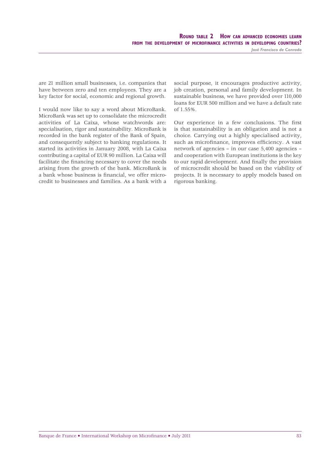*José Francisco de Conrado*

are 21 million small businesses, i.e. companies that have between zero and ten employees. They are a key factor for social, economic and regional growth.

I would now like to say a word about MicroBank. MicroBank was set up to consolidate the microcredit activities of La Caixa, whose watchwords are: specialisation, rigor and sustainability. MicroBank is recorded in the bank register of the Bank of Spain, and consequently subject to banking regulations. It started its activities in January 2008, with La Caixa contributing a capital of EUR 90 million. La Caixa will facilitate the financing necessary to cover the needs arising from the growth of the bank. MicroBank is a bank whose business is financial, we offer microcredit to businesses and families. As a bank with a

social purpose, it encourages productive activity, job creation, personal and family development. In sustainable business, we have provided over 110,000 loans for EUR 500 million and we have a default rate of 1.55%.

Our experience in a few conclusions. The first is that sustainability is an obligation and is not a choice. Carrying out a highly specialised activity, such as microfinance, improves efficiency. A vast network of agencies – in our case 5,400 agencies – and cooperation with European institutions is the key to our rapid development. And finally the provision of microcredit should be based on the viability of projects. It is necessary to apply models based on rigorous banking.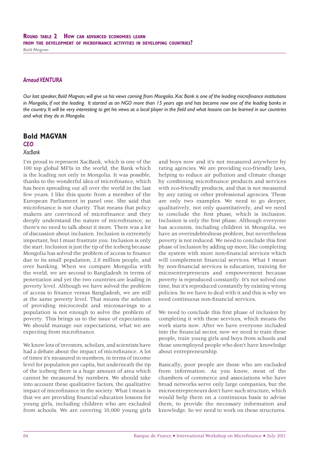#### *Arnaud VENTURA*

*Our last speaker, Bold Magvan, will give us his views coming from Mongolia. Xac Bank is one of the leading microfinance institutions in Mongolia, if not the leading. It started as an NGO more than 15 years ago and has become now one of the leading banks in*  the country. It will be very interesting to get his views as a local player in the field and what lessons can be learned in our countries *and what they do in Mongolia.*

# **Bold MAGVAN**

## *CEO*

### *XacBank*

I'm proud to represent XacBank, which is one of the 100 top global MFIs in the world, the Bank which is the leading not only in Mongolia. It was possible, thanks to the wonderful idea of microfinance, which has been spreading out all over the world in the last few years. I like this quote from a member of the European Parliament in panel one. She said that microfinance is not charity. That means that policy makers are convinced of microfinance and they deeply understand the nature of microfinance, so there's no need to talk about it more. There was a lot of discussion about inclusion. Inclusion is extremely important, but I must frustrate you. Inclusion is only the start. Inclusion is just the tip of the iceberg because Mongolia has solved the problem of access to finance due to its small population, 2.8 million people, and over banking. When we compare Mongolia with the world, we are second to Bangladesh in terms of penetration and yet the two countries are leading in poverty level. Although we have solved the problem of access to finance versus Bangladesh, we are still at the same poverty level. That means the solution of providing microcredit and microsavings to a population is not enough to solve the problem of poverty. This brings us to the issue of expectations. We should manage our expectations, what we are expecting from microfinance.

We know lots of investors, scholars, and scientists have had a debate about the impact of microfinance. A lot of times it's measured in numbers, in terms of income level for population per capita, but underneath the tip of the iceberg there is a huge amount of area which cannot be measured by numbers. We should take into account these qualitative factors, the qualitative impact of microfinance in the society. What I mean is that we are providing financial education lessons for young girls, including children who are excluded from schools. We are covering 10,000 young girls

and boys now and it's not measured anywhere by rating agencies. We are providing eco-friendly laws, helping to reduce air pollution and climate change by combining microfinance products and services with eco-friendly products, and that is not measured by any rating or other professional agencies. These are only two examples. We need to go deeper, qualitatively, not only quantitatively, and we need to conclude the first phase, which is inclusion. Inclusion is only the first phase. Although everyone has accounts, including children in Mongolia, we have an overindebtedness problem, but nevertheless poverty is not reduced. We need to conclude this first phase of inclusion by adding up more, like completing the system with more non-financial services which will complement financial services. What I mean by non-financial services is education, training for microentrepreneurs and empowerment because poverty is reproduced constantly. It's not solved one time, but it's reproduced constantly by existing wrong policies. So we have to deal with it and this is why we need continuous non-financial services.

We need to conclude this first phase of inclusion by completing it with these services, which means the work starts now. After we have everyone included into the financial sector, now we need to train these people, train young girls and boys from schools and those unemployed people who don't have knowledge about entrepreneurship.

Basically, poor people are those who are excluded from information. As you know, most of the chambers of commerce and associations who have broad networks serve only large companies, but the microentrepreneurs don't have such structure, which would help them on a continuous basis to advise them, to provide the necessary information and knowledge. So we need to work on these structures.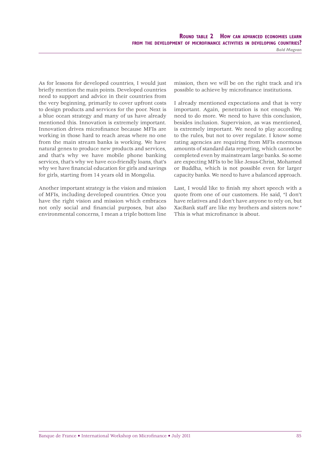*Bold Magvan*

As for lessons for developed countries, I would just briefly mention the main points. Developed countries need to support and advice in their countries from the very beginning, primarily to cover upfront costs to design products and services for the poor. Next is a blue ocean strategy and many of us have already mentioned this. Innovation is extremely important. Innovation drives microfinance because MFIs are working in those hard to reach areas where no one from the main stream banks is working. We have natural genes to produce new products and services, and that's why we have mobile phone banking services, that's why we have eco-friendly loans, that's why we have financial education for girls and savings for girls, starting from 14 years old in Mongolia.

Another important strategy is the vision and mission of MFIs, including developed countries. Once you have the right vision and mission which embraces not only social and financial purposes, but also environmental concerns, I mean a triple bottom line mission, then we will be on the right track and it's possible to achieve by microfinance institutions.

I already mentioned expectations and that is very important. Again, penetration is not enough. We need to do more. We need to have this conclusion, besides inclusion. Supervision, as was mentioned, is extremely important. We need to play according to the rules, but not to over regulate. I know some rating agencies are requiring from MFIs enormous amounts of standard data reporting, which cannot be completed even by mainstream large banks. So some are expecting MFIs to be like Jesus-Christ, Mohamed or Buddha, which is not possible even for larger capacity banks. We need to have a balanced approach.

Last, I would like to finish my short speech with a quote from one of our customers. He said, "I don't have relatives and I don't have anyone to rely on, but XacBank staff are like my brothers and sisters now." This is what microfinance is about.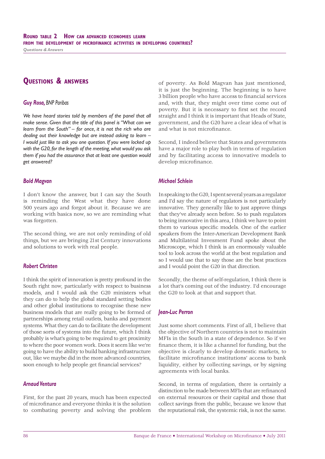# **QUESTIONS & ANSWERS**

#### *Guy Rosa, BNP Paribas*

We have heard stories told by members of the panel that all *make sense. Given that the title of this panel is "What can we learn from the South" – for once, it is not the rich who are dealing out their knowledge but are instead asking to learn – I would just like to ask you one question. If you were locked up with the G20, for the length of the meeting, what would you ask them if you had the assurance that at least one question would get answered?*

#### *Bold Magvan*

I don't know the answer, but I can say the South is reminding the West what they have done 500 years ago and forgot about it. Because we are working with basics now, so we are reminding what was forgotten.

The second thing, we are not only reminding of old things, but we are bringing 21st Century innovations and solutions to work with real people.

#### *Robert Christen*

I think the spirit of innovation is pretty profound in the South right now, particularly with respect to business models, and I would ask the G20 ministers what they can do to help the global standard setting bodies and other global institutions to recognise these new business models that are really going to be formed of partnerships among retail outlets, banks and payment systems. What they can do to facilitate the development of those sorts of systems into the future, which I think probably is what's going to be required to get proximity to where the poor women work. Does it seem like we're going to have the ability to build banking infrastructure out, like we maybe did in the more advanced countries, soon enough to help people get financial services?

#### *Arnaud Ventura*

First, for the past 20 years, much has been expected of microfi nance and everyone thinks it is the solution to combating poverty and solving the problem of poverty. As Bold Magvan has just mentioned, it is just the beginning. The beginning is to have 3 billion people who have access to financial services and, with that, they might over time come out of poverty. But it is necessary to first set the record straight and I think it is important that Heads of State, government, and the G20 have a clear idea of what is and what is not microfinance.

Second, I indeed believe that States and governments have a major role to play both in terms of regulation and by facilitating access to innovative models to develop microfinance.

#### *Michael Schlein*

In speaking to the G20, I spent several years as a regulator and I'd say the nature of regulators is not particularly innovative. They generally like to just approve things that they've already seen before. So to push regulators to being innovative in this area, I think we have to point them to various specific models. One of the earlier speakers from the Inter-American Development Bank and Multilatéral Invesment Fund spoke about the Microscope, which I think is an enormously valuable tool to look across the world at the best regulation and so I would use that to say those are the best practices and I would point the G20 in that direction.

Secondly, the theme of self-regulation, I think there is a lot that's coming out of the industry. I'd encourage the G20 to look at that and support that.

#### *Jean-Luc Perron*

Just some short comments. First of all, I believe that the objective of Northern countries is not to maintain MFIs in the South in a state of dependence. So if we finance them, it is like a channel for funding, but the objective is clearly to develop domestic markets, to facilitate microfinance institutions' access to bank liquidity, either by collecting savings, or by signing agreements with local banks.

Second, in terms of regulation, there is certainly a distinction to be made between MFIs that are refinanced on external resources or their capital and those that collect savings from the public, because we know that the reputational risk, the systemic risk, is not the same.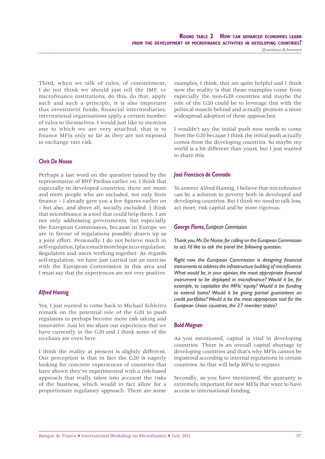Third, when we talk of rules, of commitment, I do not think we should just tell the IMF, or microfinance institutions, do this, do that, apply such and such a principle, it is also important that investment funds, financial intermediaries, international organisations apply a certain number of rules to themselves. I would just like to mention one to which we are very attached, that is to finance MFIs only so far as they are not exposed to exchange rate risk.

#### *Chris De Noose*

Perhaps a last word on the question raised by the representative of BNP Paribas earlier on. I think that especially in developed countries, there are more and more people who are excluded, not only from finance - I already gave you a few figures earlier on – but also, and above all, socially excluded. I think that microfinance is a tool that could help them. I am not only addressing governments, but especially the European Commission, because in Europe we are in favour of regulations possibly drawn up as a joint effort. Personally I do not believe much in self-regulation, I place much more hope in co-regulation. Regulators and users working together. As regards self-regulation, we have just carried out an exercise with the European Commission in this area and I must say that the experiences are not very positive.

#### *Alfred Hannig*

Yes, I just wanted to come back to Michael Schlein's remark on the potential role of the G20 to push regulators to perhaps become more risk taking and innovative. Just let me share our experience that we have currently in the G20 and I think some of the co-chairs are even here.

I think the reality at present is slightly different. Our perception is that in fact the G20 is eagerly looking for concrete experiences of countries that have shown they've experimented with a risk-based approach that really takes into account the risks of the business, which would in fact allow for a proportionate regulatory approach. There are some examples, I think, that are quite helpful and I think now the reality is that these examples come from especially the non-G20 countries and maybe the role of the G20 could be to leverage this with the political muscle behind and actually promote a more widespread adoption of these approaches.

I wouldn't say the initial push now needs to come from the G20 because I think the initial push actually comes from the developing countries. So maybe my world is a bit different than yours, but I just wanted to share this.

#### *José Francisco de Conrado*

To answer Alfred Hannig, I believe that microfinance can be a solution to poverty both in developed and developing countries. But I think we need to talk less, act more, risk capital and be more rigorous.

#### *George Flores, European Commission*

*Thank you, Mr. De Noose, for calling on the European Commission to act. I'd like to ask the panel the following question.*

*Right now the Eurobean Commission is designing financial instruments to address the infrastructure building of microfinance.* What would be, in your opinion, the most appropriate financial instrument to be deployed in microfinance? Would it be, for *example, to capitalise the MFIs' equity? Would it be funding to extend loans? Would it be giving partial guarantees on credit portfolios? Would it be the most appropriate tool for the European Union countries, the 27 member states?*

#### *Bold Magvan*

As you mentioned, capital is vital in developing countries. There is an overall capital shortage in developing countries and that's why MFIs cannot be registered according to internal regulations in certain countries. So that will help MFIs to register.

Secondly, as you have mentioned, the guaranty is extremely important for new MFIs that want to have access to international funding.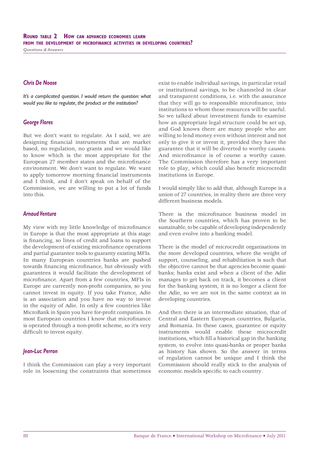#### *Chris De Noose*

*It's a complicated question. I would return the question: what would you like to regulate, the product or the institution?*

#### *George Flores*

But we don't want to regulate. As I said, we are designing financial instruments that are market based, no regulation, no grants and we would like to know which is the most appropriate for the European 27 member states and the microfinance environment. We don't want to regulate. We want to apply tomorrow morning financial instruments and I think, and I don't speak on behalf of the Commission, we are willing to put a lot of funds into this.

#### *Arnaud Ventura*

My view with my little knowledge of microfinance in Europe is that the most appropriate at this stage is financing, so lines of credit and loans to support the development of existing microfinance operations and partial guarantee tools to guaranty existing MFIs. In many European countries banks are pushed towards financing microfinance, but obviously with guarantees it would facilitate the development of microfinance. Apart from a few countries, MFIs in Europe are currently non-profit companies, so you cannot invest in equity. If you take France, Adie is an association and you have no way to invest in the equity of Adie. In only a few countries like MicroBank in Spain you have for-profit companies. In most European countries I know that microfinance is operated through a non-profit scheme, so it's very difficult to invest equity.

#### *Jean-Luc Perron*

I think the Commission can play a very important role in loosening the constraints that sometimes

exist to enable individual savings, in particular retail or institutional savings, to be channeled in clear and transparent conditions, i.e. with the assurance that they will go to responsible microfinance, into institutions to whom these resources will be useful. So we talked about investment funds to examine how an appropriate legal structure could be set up, and God knows there are many people who are willing to lend money even without interest and not only to give it or invest it, provided they have the guarantee that it will be diverted to worthy causes. And microfinance is of course a worthy cause. The Commission therefore has a very important role to play, which could also benefit microcredit institutions in Europe.

I would simply like to add that, although Europe is a union of 27 countries, in reality there are three very different business models.

There is the microfinance business model in the Southern countries, which has proven to be sustainable, to be capable of developing independently and even evolve into a banking model.

There is the model of microcredit organisations in the more developed countries, where the weight of support, counseling, and rehabilitation is such that the objective cannot be that agencies become quasibanks; banks exist and when a client of the Adie manages to get back on track, it becomes a client for the banking system, it is no longer a client for the Adie, so we are not in the same context as in developing countries.

And then there is an intermediate situation, that of Central and Eastern European countries, Bulgaria, and Romania. In these cases, guarantee or equity instruments would enable these microcredit institutions, which fill a historical gap in the banking system, to evolve into quasi-banks or proper banks as history has shown. So the answer in terms of regulation cannot be unique and I think the Commission should really stick to the analysis of economic models specific to each country.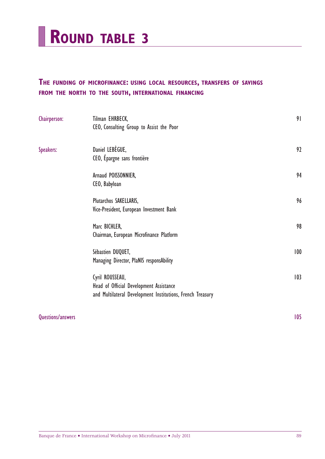

# **THE FUNDING OF MICROFINANCE: USING LOCAL RESOURCES, TRANSFERS OF SAVINGS FROM THE NORTH TO THE SOUTH, INTERNATIONAL FINANCING**

| Chairperson: | Tilman EHRBECK,<br>CEO, Consulting Group to Assist the Poor                                                              | 91  |
|--------------|--------------------------------------------------------------------------------------------------------------------------|-----|
| Speakers:    | Daniel LEBEGUE,<br>CEO, Épargne sans frontière                                                                           | 92  |
|              | Arnaud POISSONNIER,<br>CEO, Babyloan                                                                                     | 94  |
|              | Plutarchos SAKELLARIS,<br>Vice-President, European Investment Bank                                                       | 96  |
|              | Marc BICHLER,<br>Chairman, European Microfinance Platform                                                                | 98  |
|              | Sébastien DUQUET,<br>Managing Director, PlaNIS responsAbility                                                            | 100 |
|              | Cyril ROUSSEAU,<br>Head of Official Development Assistance<br>and Multilateral Development Institutions, French Treasury | 103 |

## Questions/answers 105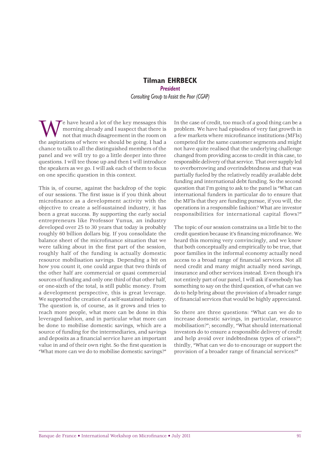## **Tilman EHRBECK** *President Consulting Group to Assist the Poor (CGAP)*

We have heard a lot of the key messages this<br>morning already and I suspect that there is<br>not that much disagreement in the room on<br>the aspirations of where we should be going. I had a morning already and I suspect that there is not that much disagreement in the room on the aspirations of where we should be going. I had a chance to talk to all the distinguished members of the panel and we will try to go a little deeper into three questions. I will tee those up and then I will introduce the speakers as we go. I will ask each of them to focus on one specific question in this context.

This is, of course, against the backdrop of the topic of our sessions. The first issue is if you think about microfinance as a development activity with the objective to create a self-sustained industry, it has been a great success. By supporting the early social entrepreneurs like Professor Yunus, an industry developed over 25 to 30 years that today is probably roughly 60 billion dollars big. If you consolidate the balance sheet of the microfinance situation that we were talking about in the first part of the session, roughly half of the funding is actually domestic resource mobilisation savings. Depending a bit on how you count it, one could argue that two thirds of the other half are commercial or quasi commercial sources of funding and only one third of that other half, or one-sixth of the total, is still public money. From a development perspective, this is great leverage. We supported the creation of a self-sustained industry. The question is, of course, as it grows and tries to reach more people, what more can be done in this leveraged fashion, and in particular what more can be done to mobilise domestic savings, which are a source of funding for the intermediaries, and savings and deposits as a financial service have an important value in and of their own right. So the first question is "What more can we do to mobilise domestic savings?"

In the case of credit, too much of a good thing can be a problem. We have had episodes of very fast growth in a few markets where microfinance institutions (MFIs) competed for the same customer segments and might not have quite realised that the underlying challenge changed from providing access to credit in this case, to responsible delivery of that service. That over supply led to overborrowing and overindebtedness and that was partially fueled by the relatively readily available debt funding and international debt funding. So the second question that I'm going to ask to the panel is "What can international funders in particular do to ensure that the MFIs that they are funding pursue, if you will, the operations in a responsible fashion? What are investor responsibilities for international capital flows?"

The topic of our session constrains us a little bit to the credit question because it's financing microfinance. We heard this morning very convincingly, and we know that both conceptually and empirically to be true, that poor families in the informal economy actually need access to a broad range of financial services. Not all need credit and many might actually need savings, insurance and other services instead. Even though it's not entirely part of our panel, I will ask if somebody has something to say on the third question, of what can we do to help bring about the provision of a broader range of financial services that would be highly appreciated.

So there are three questions: "What can we do to increase domestic savings, in particular, resource mobilisation?"; secondly, "What should international investors do to ensure a responsible delivery of credit and help avoid over indebtedness types of crises?"; thirdly, "What can we do to encourage or support the provision of a broader range of financial services?"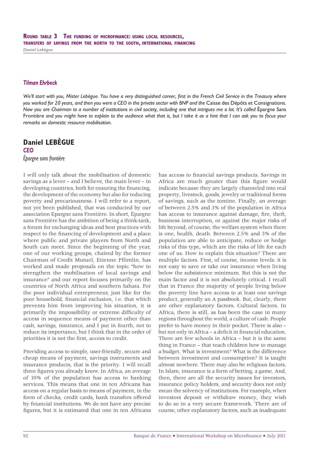#### *Tilman Ehrbeck*

*We'll start with you, Mister Lebègue. You have a very distinguished career, first in the French Civil Service in the Treasury where you worked for 20 years, and then you were a CEO in the private sector with BNP and the* Caisse des Dépôts et Consignations*. Now you are Chairman to a number of institutions in civil society, including one that intrigues me a lot. It's called Epargne Sans* Frontière *and you might have to explain to the audience what that is, but I take it as a hint that I can ask you to focus your remarks on domestic resource mobilisation.*

# **Daniel LEBÈGUE**

*CEO Épargne sans frontière*

I will only talk about the mobilisation of domestic savings as a lever – and I believe, the main lever – in developing countries, both for ensuring the financing, the development of the economy but also for reducing poverty and precariousness. I will refer to a report, not yet been published, that was conducted by our association Epargne sans Frontière. In short, Épargne sans Frontière has the ambition of being a think-tank, a forum for exchanging ideas and best practices with respect to the financing of development and a place where public and private players from North and South can meet. Since the beginning of the year, one of our working groups, chaired by the former Chairman of Credit Mutuel, Etienne Pflimlin, has worked and made proposals on the topic "how to strengthen the mobilisation of local savings and insurance" and our report focuses primarily on the countries of North Africa and southern Sahara. For the poor individual entrepreneur, just like for the poor household, financial exclusion, i.e. that which prevents him from improving his situation, it is primarily the impossibility or extreme difficulty of access in sequence means of payment other than cash, savings, insurance, and I put in fourth, not to reduce its importance, but I think that in the order of priorities it is not the first, access to credit.

Providing access to simple, user-friendly, secure and cheap means of payment, savings instruments and insurance products, that is the priority. I will recall three figures you already know. In Africa, an average of 10% of the population has access to banking services. This means that one in ten Africans has access on a regular basis to means of payment, in the form of checks, credit cards, bank transfers offered by financial institutions. We do not have any precise figures, but it is estimated that one in ten Africans

has access to financial savings products. Savings in Africa are much greater than this figure would indicate because they are largely channeled into real property, livestock, goods, jewelry or traditional forms of savings, such as the tontine. Finally, an average of between 2.5% and 3% of the population in Africa has access to insurance against damage, fire, theft, business interruption, or against the major risks of life beyond, of course, the welfare system when there is one, health, death. Between 2.5% and 3% of the population are able to anticipate, reduce or hedge risks of this type, which are the risks of life for each one of us. How to explain this situation? There are multiple factors. First, of course, income levels: it is not easy to save or take out insurance when living below the subsistence minimum. But this is not the main factor and it is not absolutely critical. I recall that in France the majority of people living below the poverty line have access to at least one savings product, generally an A passbook. But, clearly, there are other explanatory factors. Cultural factors. In Africa, there is still, as has been the case in many regions throughout the world, a culture of cash. People prefer to have money in their pocket. There is also – but not only in Africa – a deficit in financial education. There are few schools in Africa – but it is the same thing in France – that teach children how to manage a budget. What is investment? What is the difference between investment and consumption? It is taught almost nowhere. There may also be religious factors. In Islam, insurance is a form of betting, a game. And, then, there are all the security issues for investors, insurance policy holders, and security does not only mean the solvency of institutions. For example, when investors deposit or withdraw money, they wish to do so in a very secure framework. There are of course, other explanatory factors, such as inadequate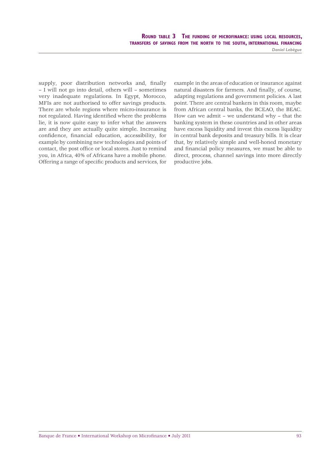ROUND TABLE 3 THE FUNDING OF MICROFINANCE: USING LOCAL RESOURCES, TRANSFERS OF SAVINGS FROM THE NORTH TO THE SOUTH, INTERNATIONAL FINANCING *Daniel Lebègue*

supply, poor distribution networks and, finally – I will not go into detail, others will – sometimes very inadequate regulations. In Egypt, Morocco, MFIs are not authorised to offer savings products. There are whole regions where micro-insurance is not regulated. Having identified where the problems lie, it is now quite easy to infer what the answers are and they are actually quite simple. Increasing confidence, financial education, accessibility, for example by combining new technologies and points of contact, the post office or local stores. Just to remind

you, in Africa, 40% of Africans have a mobile phone. Offering a range of specific products and services, for

example in the areas of education or insurance against natural disasters for farmers. And finally, of course, adapting regulations and government policies. A last point. There are central bankers in this room, maybe from African central banks, the BCEAO, the BEAC. How can we admit – we understand why – that the banking system in these countries and in other areas have excess liquidity and invest this excess liquidity in central bank deposits and treasury bills. It is clear that, by relatively simple and well-honed monetary and financial policy measures, we must be able to direct, process, channel savings into more directly productive jobs.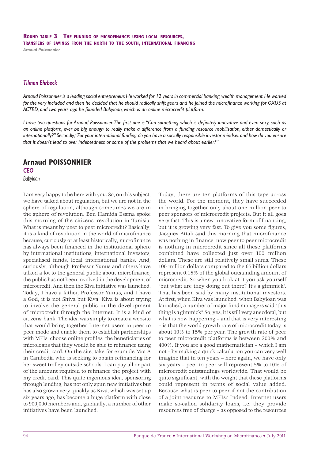*Arnaud Poissonnier*

#### *Tilman Ehrbeck*

*Arnaud Poissonnier is a leading social entrepreneur. He worked for 12 years in commercial banking, wealth management. He worked* for the very included and then he decided that he should radically shift gears and he joined the microfinance working for OXUS at *ACTED, and two years ago he founded Babyloan, which is an online microcredit platform.*

*I have two questions for Arnaud Poissonnier. The first one is "Can something which is definitely innovative and even sexy, such as an online platform, ever be big enough to really make a difference from a funding resource mobilisation, either domestically or internationally?" Secondly, "For your international funding do you have a socially responsible investor mindset and how do you ensure that it doesn't lead to over indebtedness or some of the problems that we heard about earlier?"*

# **Arnaud POISSONNIER**

*CEO*

*Babyloan*

I am very happy to be here with you. So, on this subject, we have talked about regulation, but we are not in the sphere of regulation, although sometimes we are in the sphere of revolution. Ben Hamida Essma spoke this morning of the citizens' revolution in Tunisia. What is meant by peer to peer microcredit? Basically, it is a kind of revolution in the world of microfinance because, curiously or at least historically, microfinance has always been financed in the institutional sphere by international institutions, international investors, specialised funds, local international banks. And, curiously, although Professor Yunus and others have talked a lot to the general public about microfinance, the public has not been involved in the development of microcredit. And then the Kiva initiative was launched. Today, I have a father, Professor Yunus, and I have a God, it is not Shiva but Kiva. Kiva is about trying to involve the general public in the development of microcredit through the Internet. It is a kind of citizens' bank. The idea was simply to create a website that would bring together Internet users in peer to peer mode and enable them to establish partnerships with MFIs, choose online profiles, the beneficiaries of microloans that they would be able to refinance using their credit card. On the site, take for example Mrs A in Cambodia who is seeking to obtain refinancing for her sweet trolley outside schools. I can pay all or part of the amount required to refinance the project with my credit card. This quite ingenious idea, sponsoring through lending, has not only spun new initiatives but has also grown very quickly as Kiva, which was set up six years ago, has become a huge platform with close to 900,000 members and, gradually, a number of other initiatives have been launched.

Today, there are ten platforms of this type across the world. For the moment, they have succeeded in bringing together only about one million peer to peer sponsors of microcredit projects. But it all goes very fast. This is a new innovative form of financing, but it is growing very fast. To give you some figures, Jacques Attali said this morning that microfinance was nothing in finance, now peer to peer microcredit is nothing in microcredit since all these platforms combined have collected just over 100 million dollars. These are still relatively small sums. These 100 million dollars compared to the 65 billion dollars represent 0.15% of the global outstanding amount of microcredit. So when you look at it you ask yourself "but what are they doing out there? It's a gimmick". That has been said by many institutional investors. At first, when Kiva was launched, when Babyloan was launched, a number of major fund managers said "this thing is a gimmick". So, yes, it is still very anecdotal, but what is now happening – and that is very interesting – is that the world growth rate of microcredit today is about 10% to 15% per year. The growth rate of peer to peer microcredit platforms is between 200% and 400%. If you are a good mathematician – which I am not – by making a quick calculation you can very well imagine that in ten years – here again, we have only six years – peer to peer will represent 5% to 10% of microcredit outstandings worldwide. That would be quite significant, with the weight that these platforms could represent in terms of social value added. Because what is peer to peer if not the contribution of a joint resource to MFIs? Indeed, Internet users make so-called solidarity loans, i.e. they provide resources free of charge – as opposed to the resources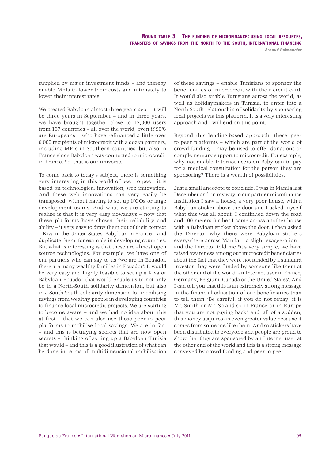*Arnaud Poissonnier*

supplied by major investment funds – and thereby enable MFIs to lower their costs and ultimately to lower their interest rates.

We created Babyloan almost three years ago – it will be three years in September – and in three years, we have brought together close to 12,000 users from 137 countries – all over the world, even if 90% are Europeans - who have refinanced a little over 6,000 recipients of microcredit with a dozen partners, including MFIs in Southern countries, but also in France since Babyloan was connected to microcredit in France. So, that is our universe.

To come back to today's subject, there is something very interesting in this world of peer to peer: it is based on technological innovation, web innovation. And these web innovations can very easily be transposed, without having to set up NGOs or large development teams. And what we are starting to realise is that it is very easy nowadays – now that these platforms have shown their reliability and ability – it very easy to draw them out of their context – Kiva in the United States, Babyloan in France – and duplicate them, for example in developing countries. But what is interesting is that these are almost open source technologies. For example, we have one of our partners who can say to us "we are in Ecuador, there are many wealthy families in Ecuador". It would be very easy and highly feasible to set up a Kiva or Babyloan Ecuador that would enable us to not only be in a North-South solidarity dimension, but also in a South-South solidarity dimension for mobilising savings from wealthy people in developing countries to finance local microcredit projects. We are starting to become aware – and we had no idea about this at first – that we can also use these peer to peer platforms to mobilise local savings. We are in fact – and this is betraying secrets that are now open secrets – thinking of setting up a Babyloan Tunisia that would – and this is a good illustration of what can be done in terms of multidimensional mobilisation

of these savings – enable Tunisians to sponsor the beneficiaries of microcredit with their credit card. It would also enable Tunisians across the world, as well as holidaymakers in Tunisia, to enter into a North-South relationship of solidarity by sponsoring local projects via this platform. It is a very interesting approach and I will end on this point.

Beyond this lending-based approach, these peer to peer platforms – which are part of the world of crowd-funding – may be used to offer donations or complementary support to microcredit. For example, why not enable Internet users on Babyloan to pay for a medical consultation for the person they are sponsoring? There is a wealth of possibilities.

Just a small anecdote to conclude. I was in Manila last December and on my way to our partner microfinance institution I saw a house, a very poor house, with a Babyloan sticker above the door and I asked myself what this was all about. I continued down the road and 100 meters further I came across another house with a Babyloan sticker above the door. I then asked the Director why there were Babyloan stickers everywhere across Manila – a slight exaggeration – and the Director told me "it's very simple, we have raised awareness among our microcredit beneficiaries about the fact that they were not funded by a standard investor, they were funded by someone like them at the other end of the world, an Internet user in France, Germany, Belgium, Canada or the United States". And I can tell you that this is an extremely strong message in the financial education of our beneficiaries than to tell them "Be careful, if you do not repay, it is Mr. Smith or Mr. So-and-so in France or in Europe that you are not paying back" and, all of a sudden, this money acquires an even greater value because it comes from someone like them. And so stickers have been distributed to everyone and people are proud to show that they are sponsored by an Internet user at the other end of the world and this is a strong message conveyed by crowd-funding and peer to peer.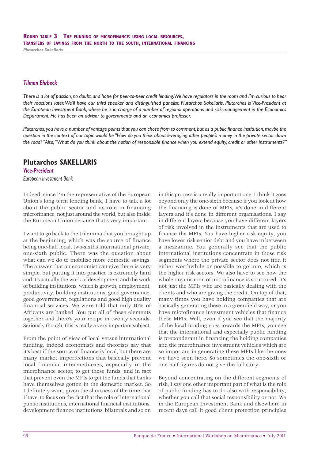*Plutarchos Sakellaris*

#### *Tilman Ehrbeck*

*There is a lot of passion, no doubt, and hope for peer-to-peer credit lending. We have regulators in the room and I'm curious to hear their reactions later. We'll have our third speaker and distinguished panelist, Plutarchos Sakellaris. Plutarchos is Vice-President at the European Investment Bank, where he is in charge of a number of regional operations and risk management in the Economics Department. He has been an advisor to governments and an economics professor.* 

Plutarchos, you have a number of vantage points that you can chose from to comment, but as a public finance institution, maybe the *question in the context of our topic would be "How do you think about leveraging other people's money in the private sector down*  the road?" Also, "What do you think about the notion of responsible finance when you extend equity, credit or other instruments?"

## **Plutarchos SAKELLARIS**

*Vice-President European Investment Bank*

Indeed, since I'm the representative of the European Union's long term lending bank, I have to talk a lot about the public sector and its role in financing microfinance, not just around the world, but also inside the European Union because that's very important.

I want to go back to the trilemma that you brought up at the beginning, which was the source of finance being one-half local, two-sixths international private, one-sixth public. There was the question about what can we do to mobilise more domestic savings. The answer that an economist can give there is very simple, but putting it into practice is extremely hard and it's actually the work of development and the work of building institutions, which is growth, employment, productivity, building institutions, good governance, good government, regulations and good high quality financial services. We were told that only 10% of Africans are banked. You put all of these elements together and there's your recipe in twenty seconds. Seriously though, this is really a very important subject.

From the point of view of local versus international funding, indeed economists and theorists say that it's best if the source of finance is local, but there are many market imperfections that basically prevent local financial intermediaries, especially in the microfinance sector, to get these funds, and in fact that prevent even the MFIs to get the funds that banks have themselves gotten in the domestic market. So I definitely want, given the shortness of the time that I have, to focus on the fact that the role of international public institutions, international financial institutions, development finance institutions, bilaterals and so on

in this process is a really important one. I think it goes beyond only the one-sixth because if you look at how the financing is done of MFIs, it's done in different layers and it's done in different organisations. I say in different layers because you have different layers of risk involved in the instruments that are used to finance the MFIs. You have higher risk equity, you have lower risk senior debt and you have in between a mezzanine. You generally see that the public international institutions concentrate in those risk segments where the private sector does not find it either worthwhile or possible to go into, which is the higher risk sectors. We also have to see how the whole organisation of microfinance is structured. It's not just the MFIs who are basically dealing with the clients and who are giving the credit. On top of that, many times you have holding companies that are basically generating these in a greenfield way, or you have microfinance investment vehicles that finance these MFIs. Well, even if you see that the majority of the local funding goes towards the MFIs, you see that the international and especially public funding is preponderant in financing the holding companies and the microfinance investment vehicles which are so important in generating these MFIs like the ones we have seen here. So sometimes the one-sixth or one-half figures do not give the full story.

Beyond concentrating on the different segments of risk, I say one other important part of what is the role of public funding has to do also with responsibility, whether you call that social responsibility or not. We in the European Investment Bank and elsewhere in recent days call it good client protection principles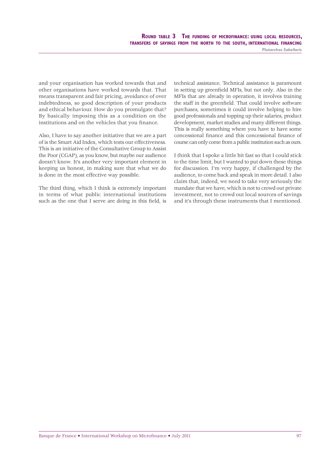ROUND TABLE 3 THE FUNDING OF MICROFINANCE: USING LOCAL RESOURCES, TRANSFERS OF SAVINGS FROM THE NORTH TO THE SOUTH, INTERNATIONAL FINANCING

*Plutarchos Sakellaris*

and your organisation has worked towards that and other organisations have worked towards that. That means transparent and fair pricing, avoidance of over indebtedness, so good description of your products and ethical behaviour. How do you promulgate that? By basically imposing this as a condition on the institutions and on the vehicles that you finance.

Also, I have to say another initiative that we are a part of is the Smart Aid Index, which tests our effectiveness. This is an initiative of the Consultative Group to Assist the Poor (CGAP), as you know, but maybe our audience doesn't know. It's another very important element in keeping us honest, in making sure that what we do is done in the most effective way possible.

The third thing, which I think is extremely important in terms of what public international institutions such as the one that I serve are doing in this field, is technical assistance. Technical assistance is paramount in setting up greenfield MFIs, but not only. Also in the MFIs that are already in operation, it involves training the staff in the greenfield. That could involve software purchases, sometimes it could involve helping to hire good professionals and topping up their salaries, product development, market studies and many different things. This is really something where you have to have some concessional finance and this concessional finance of course can only come from a public institution such as ours.

I think that I spoke a little bit fast so that I could stick to the time limit, but I wanted to put down these things for discussion. I'm very happy, if challenged by the audience, to come back and speak in more detail. I also claim that, indeed, we need to take very seriously the mandate that we have, which is not to crowd out private investment, not to crowd out local sources of savings and it's through these instruments that I mentioned.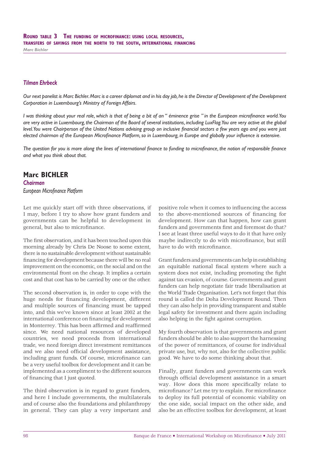*Marc Bichler*

#### *Tilman Ehrbeck*

*Our next panelist is Marc Bichler. Marc is a career diplomat and in his day job, he is the Director of Development of the Development Corporation in Luxembourg's Ministry of Foreign Affairs.* 

*I was thinking about your real role, which is that of being a bit of an* " éminence grise " in the European microfinance world. You *are very active in Luxembourg, the Chairman of the Board of several institutions, including LuxFlag. You are very active at the global level. You were Chairperson of the United Nations advising group on inclusive financial sectors a few years ago and you were just* elected chairman of the European Microfinance Platform, so in Luxembourg, in Europe and globally your influence is extensive.

The question for you is more along the lines of international finance to funding to microfinance, the notion of responsible finance *and what you think about that.*

# **Marc BICHLER**

*Chairman European Microfi nance Platform*

Let me quickly start off with three observations, if I may, before I try to show how grant funders and governments can be helpful to development in general, but also to microfinance.

The first observation, and it has been touched upon this morning already by Chris De Noose to some extent, there is no sustainable development without sustainable financing for development because there will be no real improvement on the economic, on the social and on the environmental front on the cheap. It implies a certain cost and that cost has to be carried by one or the other.

The second observation is, in order to cope with the huge needs for financing development, different and multiple sources of financing must be tapped into, and this we've known since at least 2002 at the international conference on financing for development in Monterrey. This has been affirmed and reaffirmed since. We need national resources of developed countries, we need proceeds from international trade, we need foreign direct investment remittances and we also need official development assistance, including grant funds. Of course, microfinance can be a very useful toolbox for development and it can be implemented as a compliment to the different sources of financing that I just quoted.

The third observation is in regard to grant funders, and here I include governments, the multilaterals and of course also the foundations and philanthropy in general. They can play a very important and

positive role when it comes to influencing the access to the above-mentioned sources of financing for development. How can that happen, how can grant funders and governments first and foremost do that? I see at least three useful ways to do it that have only maybe indirectly to do with microfinance, but still have to do with microfinance.

Grant funders and governments can help in establishing an equitable national fiscal system where such a system does not exist, including promoting the fight against tax evasion, of course. Governments and grant funders can help negotiate fair trade liberalisation at the World Trade Organisation. Let's not forget that this round is called the Doha Development Round. Then they can also help in providing transparent and stable legal safety for investment and there again including also helping in the fight against corruption.

My fourth observation is that governments and grant funders should be able to also support the harnessing of the power of remittances, of course for individual private use, but, why not, also for the collective public good. We have to do some thinking about that.

Finally, grant funders and governments can work through official development assistance in a smart way. How does this more specifically relate to microfinance? Let me try to explain. For microfinance to deploy its full potential of economic viability on the one side, social impact on the other side, and also be an effective toolbox for development, at least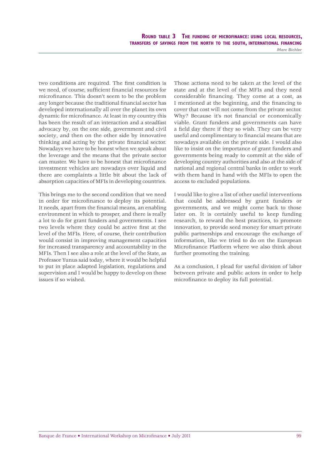ROUND TABLE 3 THE FUNDING OF MICROFINANCE: USING LOCAL RESOURCES, TRANSFERS OF SAVINGS FROM THE NORTH TO THE SOUTH, INTERNATIONAL FINANCING *Marc Bichler*

two conditions are required. The first condition is we need, of course, sufficient financial resources for microfinance. This doesn't seem to be the problem any longer because the traditional financial sector has developed internationally all over the planet its own dynamic for microfinance. At least in my country this has been the result of an interaction and a steadfast advocacy by, on the one side, government and civil society, and then on the other side by innovative thinking and acting by the private financial sector. Nowadays we have to be honest when we speak about the leverage and the means that the private sector can muster. We have to be honest that microfinance investment vehicles are nowadays over liquid and there are complaints a little bit about the lack of absorption capacities of MFIs in developing countries.

This brings me to the second condition that we need in order for microfinance to deploy its potential. It needs, apart from the financial means, an enabling environment in which to prosper, and there is really a lot to do for grant funders and governments. I see two levels where they could be active first at the level of the MFIs. Here, of course, their contribution would consist in improving management capacities for increased transparency and accountability in the MFIs. Then I see also a role at the level of the State, as Professor Yunus said today, where it would be helpful to put in place adapted legislation, regulations and supervision and I would be happy to develop on these issues if so wished.

Those actions need to be taken at the level of the state and at the level of the MFIs and they need considerable financing. They come at a cost, as I mentioned at the beginning, and the financing to cover that cost will not come from the private sector. Why? Because it's not financial or economically viable. Grant funders and governments can have a field day there if they so wish. They can be very useful and complimentary to financial means that are nowadays available on the private side. I would also like to insist on the importance of grant funders and governments being ready to commit at the side of developing country authorities and also at the side of national and regional central banks in order to work with them hand in hand with the MFIs to open the access to excluded populations.

I would like to give a list of other useful interventions that could be addressed by grant funders or governments, and we might come back to those later on. It is certainly useful to keep funding research, to reward the best practices, to promote innovation, to provide seed money for smart private public partnerships and encourage the exchange of information, like we tried to do on the European Microfinance Platform where we also think about further promoting the training.

As a conclusion, I plead for useful division of labor between private and public actors in order to help microfinance to deploy its full potential.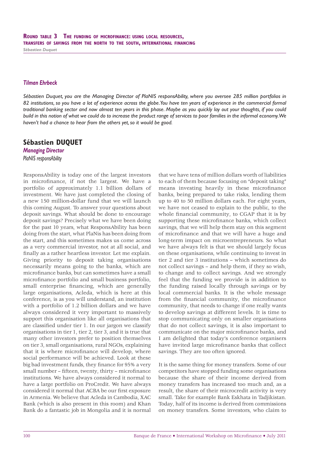*Sébastien Duquet*

#### *Tilman Ehrbeck*

*Sébastien Duquet, you are the Managing Director of PlaNIS responsAbility, where you oversee 285 million portfolios in 82 institutions, so you have a lot of experience across the globe. You have ten years of experience in the commercial formal traditional banking sector and now almost ten years in this phase. Maybe as you quickly lay out your thoughts, if you could build in this notion of what we could do to increase the product range of services to poor families in the informal economy. We haven't had a chance to hear from the others yet, so it would be good.*

# **Sébastien DUQUET**

*Managing Director PlaNIS responsAbility*

ResponsAbility is today one of the largest investors in microfinance, if not the largest. We have a portfolio of approximately 1.1 billion dollars of investment. We have just completed the closing of a new 150 million-dollar fund that we will launch this coming August. To answer your questions about deposit savings. What should be done to encourage deposit savings? Precisely what we have been doing for the past 10 years, what ResponsAbility has been doing from the start, what PlaNis has been doing from the start, and this sometimes makes us come across as a very commercial investor, not at all social, and finally as a rather heartless investor. Let me explain. Giving priority to deposit taking organisations necessarily means going to the banks, which are microfinance banks, but can sometimes have a small microfinance portfolio and small business portfolio, small enterprise financing, which are generally large organisations, Acleda, which is here at this conference, is as you will understand, an institution with a portfolio of 1.2 billion dollars and we have always considered it very important to massively support this organisation like all organisations that are classified under tier 1. In our jargon we classify organisations in tier 1, tier 2, tier 3, and it is true that many other investors prefer to position themselves on tier 3, small organisations, rural NGOs, explaining that it is where microfinance will develop, where social performance will be achieved. Look at these big bad investment funds, they finance for 95% a very small number – fifteen, twenty, thirty – microfinance institutions. We have always considered it normal to have a large portfolio on ProCredit. We have always considered it normal that ACBA be our first exposure in Armenia. We believe that Acleda in Cambodia, XAC Bank (which is also present in this room) and Khan Bank do a fantastic job in Mongolia and it is normal

that we have tens of million dollars worth of liabilities to each of them because focusing on "deposit taking" means investing heavily in these microfinance banks, being prepared to take risks, lending them up to 40 to 50 million dollars each. For eight years, we have not ceased to explain to the public, to the whole financial community, to CGAP that it is by supporting these microfinance banks, which collect savings, that we will help them stay on this segment of microfinance and that we will have a huge and long-term impact on microentrepreneurs. So what we have always felt is that we should largely focus on these organisations, while continuing to invest in tier 2 and tier 3 institutions – which sometimes do not collect savings – and help them, if they so wish, to change and to collect savings. And we strongly feel that the funding we provide is in addition to the funding raised locally through savings or by local commercial banks. It is the whole message from the financial community, the microfinance community, that needs to change if one really wants to develop savings at different levels. It is time to stop communicating only on smaller organisations that do not collect savings, it is also important to communicate on the major microfinance banks, and I am delighted that today's conference organisers have invited large microfinance banks that collect savings. They are too often ignored.

It is the same thing for money transfers. Some of our competitors have stopped funding some organisations because the share of their income derived from money transfers has increased too much and, as a result, the share of their microcredit activity is very small. Take for example Bank Eskhata in Tadjikistan. Today, half of its income is derived from commissions on money transfers. Some investors, who claim to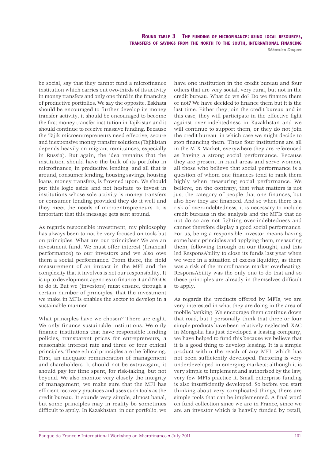ROUND TABLE 3 THE FUNDING OF MICROFINANCE: USING LOCAL RESOURCES, TRANSFERS OF SAVINGS FROM THE NORTH TO THE SOUTH, INTERNATIONAL FINANCING

*Sébastien Duquet*

be social, say that they cannot fund a microfinance institution which carries out two-thirds of its activity in money transfers and only one third in the financing of productive portfolios. We say the opposite. Eskhata should be encouraged to further develop its money transfer activity, it should be encouraged to become the first money transfer institution in Tajikistan and it should continue to receive massive funding. Because the Tajik microentrepreneurs need effective, secure and inexpensive money transfer solutions (Tajikistan depends heavily on migrant remittances, especially in Russia). But again, the idea remains that the institution should have the bulk of its portfolio in microfinance, in productive lending, and all that is around, consumer lending, housing savings, housing loans, money transfers, is frowned upon. We should put this logic aside and not hesitate to invest in institutions whose sole activity is money transfers or consumer lending provided they do it well and they meet the needs of microentrepreneurs. It is important that this message gets sent around.

As regards responsible investment, my philosophy has always been to not be very focused on tools but on principles. What are our principles? We are an investment fund. We must offer interest (financial performance) to our investors and we also owe them a social performance. From there, the field measurement of an impact in the MFI and the complexity that it involves is not our responsibility. It is up to development agencies to finance it and NGOs to do it. But we (investors) must ensure, through a certain number of principles, that the investment we make in MFIs enables the sector to develop in a sustainable manner.

What principles have we chosen? There are eight. We only finance sustainable institutions. We only finance institutions that have responsible lending policies, transparent prices for entrepreneurs, a reasonable interest rate and three or four ethical principles. These ethical principles are the following. First, an adequate remuneration of management and shareholders. It should not be extravagant, it should pay for time spent, for risk-taking, but not beyond. We also monitor very closely the integrity of management, we make sure that the MFI has efficient recovery practices and uses such tools as the credit bureau. It sounds very simple, almost banal, but some principles may in reality be sometimes difficult to apply. In Kazakhstan, in our portfolio, we

have one institution in the credit bureau and four others that are very social, very rural, but not in the credit bureau. What do we do? Do we finance them or not? We have decided to finance them but it is the last time. Either they join the credit bureau and in this case, they will participate in the effective fight against over-indebtedness in Kazakhstan and we will continue to support them, or they do not join the credit bureau, in which case we might decide to stop financing them. These four institutions are all in the MIX Market, everywhere they are referenced as having a strong social performance. Because they are present in rural areas and serve women, all those who believe that social performance is a question of whom one finances tend to rank them highly when measuring social performance. We believe, on the contrary, that what matters is not just the category of people that one finances, but also how they are financed. And so when there is a risk of over-indebtedness, it is necessary to include credit bureaus in the analysis and the MFIs that do not do so are not fighting over-indebtedness and cannot therefore display a good social performance. For us, being a responsible investor means having some basic principles and applying them, measuring them, following through on our thought, and this led ResponsAbility to close its funds last year when we were in a situation of excess liquidity, as there was a risk of the microfinance market overheating. ResponsAbility was the only one to do that and so these principles are already in themselves difficult to apply.

As regards the products offered by MFIs, we are very interested in what they are doing in the area of mobile banking. We encourage them continue down that road, but I personally think that three or four simple products have been relatively neglected. XAC in Mongolia has just developed a leasing company, we have helped to fund this because we believe that it is a good thing to develop leasing. It is a simple product within the reach of any MFI, which has not been sufficiently developed. Factoring is very underdeveloped in emerging markets; although it is very simple to implement and authorised by the law, very few MFIs practice it. Small enterprise funding is also insufficiently developed. So before you start thinking about very complicated things, there are simple tools that can be implemented. A final word on fund collection since we are in France, since we are an investor which is heavily funded by retail,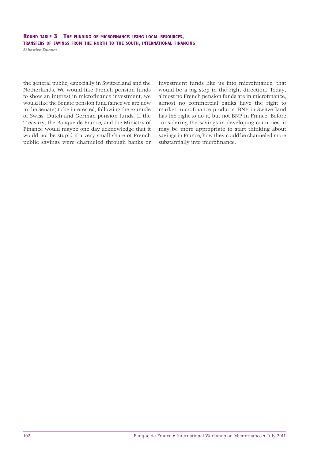# ROUND TABLE 3 THE FUNDING OF MICROFINANCE: USING LOCAL RESOURCES, TRANSFERS OF SAVINGS FROM THE NORTH TO THE SOUTH, INTERNATIONAL FINANCING

*Sébastien Duquet*

the general public, especially in Switzerland and the Netherlands. We would like French pension funds to show an interest in microfinance investment, we would like the Senate pension fund (since we are now in the Senate) to be interested, following the example of Swiss, Dutch and German pension funds. If the Treasury, the Banque de France, and the Ministry of Finance would maybe one day acknowledge that it would not be stupid if a very small share of French public savings were channeled through banks or investment funds like us into microfinance, that would be a big step in the right direction. Today, almost no French pension funds are in microfinance, almost no commercial banks have the right to market microfinance products. BNP in Switzerland has the right to do it, but not BNP in France. Before considering the savings in developing countries, it may be more appropriate to start thinking about savings in France, how they could be channeled more substantially into microfinance.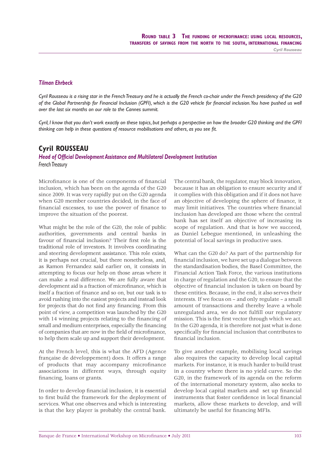#### *Tilman Ehrbeck*

*Cyril Rousseau is a rising star in the French Treasury and he is actually the French co-chair under the French presidency of the G20 of the Global Partnership for Financial Inclusion (GPFI), which is the G20 vehicle for financial inclusion. You have pushed us well over the last six months on our role to the Cannes summit.* 

*Cyril, I know that you don't work exactly on these topics, but perhaps a perspective on how the broader G20 thinking and the GPFI*  thinking can help in these questions of resource mobilisations and others, as you see fit.

# **Cyril ROUSSEAU**

**Head of Official Development Assistance and Multilateral Development Institution** *French Treasury*

Microfinance is one of the components of financial inclusion, which has been on the agenda of the G20 since 2009. It was very rapidly put on the G20 agenda when G20 member countries decided, in the face of financial excesses, to use the power of finance to improve the situation of the poorest.

What might be the role of the G20, the role of public authorities, governments and central banks in favour of financial inclusion? Their first role is the traditional role of investors. It involves coordinating and steering development assistance. This role exists, it is perhaps not crucial, but there nonetheless, and, as Ramon Fernandez said earlier on, it consists in attempting to focus our help on those areas where it can make a real difference. We are fully aware that development aid is a fraction of microfinance, which is itself a fraction of finance and so on, but our task is to avoid rushing into the easiest projects and instead look for projects that do not find any financing. From this point of view, a competition was launched by the G20 with 14 winning projects relating to the financing of small and medium enterprises, especially the financing of companies that are now in the field of microfinance. to help them scale up and support their development.

At the French level, this is what the AFD (Agence française de développement) does. It offers a range of products that may accompany microfinance associations in different ways, through equity financing, loans or grants.

In order to develop financial inclusion, it is essential to first build the framework for the deployment of services. What one observes and which is interesting is that the key player is probably the central bank.

The central bank, the regulator, may block innovation, because it has an obligation to ensure security and if it complies with this obligation and if it does not have an objective of developing the sphere of finance, it may limit initiatives. The countries where financial inclusion has developed are those where the central bank has set itself an objective of increasing its scope of regulation. And that is how we succeed, as Daniel Lebegue mentioned, in unleashing the potential of local savings in productive uses.

What can the G20 do? As part of the partnership for financial inclusion, we have set up a dialogue between the standardisation bodies, the Basel Committee, the Financial Action Task Force, the various institutions in charge of regulation and the G20, to ensure that the objective of financial inclusion is taken on board by these entities. Because, in the end, it also serves their interests. If we focus on – and only regulate – a small amount of transactions and thereby leave a whole unregulated area, we do not fulfill our regulatory mission. This is the first vector through which we act. In the G20 agenda, it is therefore not just what is done specifically for financial inclusion that contributes to financial inclusion.

To give another example, mobilising local savings also requires the capacity to develop local capital markets. For instance, it is much harder to build trust in a country where there is no yield curve. So the G20, in the framework of its agenda on the reform of the international monetary system, also seeks to develop local capital markets and set up financial instruments that foster confidence in local financial markets, allow these markets to develop, and will ultimately be useful for financing MFIs.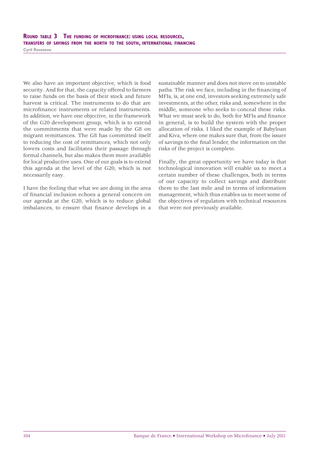# ROUND TABLE 3 THE FUNDING OF MICROFINANCE: USING LOCAL RESOURCES, TRANSFERS OF SAVINGS FROM THE NORTH TO THE SOUTH, INTERNATIONAL FINANCING

*Cyril Rousseau*

We also have an important objective, which is food security. And for that, the capacity offered to farmers to raise funds on the basis of their stock and future harvest is critical. The instruments to do that are microfinance instruments or related instruments. In addition, we have one objective, in the framework of the G20 development group, which is to extend the commitments that were made by the G8 on migrant remittances. The G8 has committed itself to reducing the cost of remittances, which not only lowers costs and facilitates their passage through formal channels, but also makes them more available for local productive uses. One of our goals is to extend this agenda at the level of the G20, which is not necessarily easy.

I have the feeling that what we are doing in the area of financial inclusion echoes a general concern on our agenda at the G20, which is to reduce global imbalances, to ensure that finance develops in a sustainable manner and does not move on to unstable paths. The risk we face, including in the financing of MFIs, is, at one end, investors seeking extremely safe investments, at the other, risks and, somewhere in the middle, someone who seeks to conceal these risks. What we must seek to do, both for MFIs and finance in general, is to build the system with the proper allocation of risks. I liked the example of Babyloan and Kiva, where one makes sure that, from the issuer of savings to the final lender, the information on the risks of the project is complete.

Finally, the great opportunity we have today is that technological innovation will enable us to meet a certain number of these challenges, both in terms of our capacity to collect savings and distribute them to the last mile and in terms of information management, which thus enables us to meet some of the objectives of regulators with technical resources that were not previously available.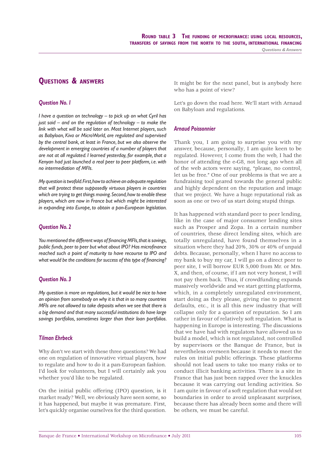# **QUESTIONS & ANSWERS**

#### *Question No. 1*

*I have a question on technology – to pick up on what Cyril has just said – and on the regulation of technology – to make the link with what will be said later on. Most Internet players, such as Babyloan, Kiva or MicroWorld, are regulated and supervised by the central bank, at least in France, but we also observe the development in emerging countries of a number of players that are not at all regulated. I learned yesterday, for example, that a Kenyan had just launched a real peer to peer platform, i.e. with no intermediation of MFIs.*

*My question is twofold. First, how to achieve an adequate regulation that will protect these supposedly virtuous players in countries which are trying to get things moving. Second, how to enable these players, which are now in France but which might be interested in expanding into Europe, to obtain a pan-European legislation.*

#### *Question No. 2*

You mentioned the different ways of financing MFIs, that is savings, *public funds, peer to peer but what about IPO? Has microfinance reached such a point of maturity to have recourse to IPO and*  what would be the conditions for success of this type of financing?

#### *Question No. 3*

*My question is more on regulations, but it would be nice to have an opinion from somebody on why it is that in so many countries MFIs are not allowed to take deposits when we see that there is a big demand and that many successful institutions do have large savings portfolios, sometimes larger than their loan portfolios.*

#### *Tilman Ehrbeck*

Why don't we start with these three questions? We had one on regulation of innovative virtual players, how to regulate and how to do it a pan-European fashion. I'd look for volunteers, but I will certainly ask you whether you'd like to be regulated.

On the initial public offering (IPO) question, is it market ready? Well, we obviously have seen some, so it has happened, but maybe it was premature. First, let's quickly organise ourselves for the third question. It might be for the next panel, but is anybody here who has a point of view?

Let's go down the road here. We'll start with Arnaud on Babyloan and regulations.

#### *Arnaud Poissonnier*

Thank you, I am going to surprise you with my answer, because, personally, I am quite keen to be regulated. However, I come from the web, I had the honor of attending the e-G8, not long ago when all of the web actors were saying, "please, no control, let us be free." One of our problems is that we are a fundraising tool geared towards the general public and highly dependent on the reputation and image that we project. We have a huge reputational risk as soon as one or two of us start doing stupid things.

It has happened with standard peer to peer lending, like in the case of major consumer lending sites such as Prosper and Zopa. In a certain number of countries, these direct lending sites, which are totally unregulated, have found themselves in a situation where they had 20%, 30% or 40% of unpaid debts. Because, personally, when I have no access to my bank to buy my car, I will go on a direct peer to peer site, I will borrow EUR 5,000 from Mr. or Mrs. X, and then, of course, if I am not very honest, I will not pay them back. Thus, if crowdfunding expands massively worldwide and we start getting platforms, which, in a completely unregulated environment, start doing as they please, giving rise to payment defaults, etc., it is all this new industry that will collapse only for a question of reputation. So I am rather in favour of relatively soft regulation. What is happening in Europe is interesting. The discussions that we have had with regulators have allowed us to build a model, which is not regulated, not controlled by supervisors or the Banque de France, but is nevertheless overseen because it needs to meet the rules on initial public offerings. These platforms should not lead users to take too many risks or to conduct illicit banking activities. There is a site in France that has just been rapped over the knuckles because it was carrying out lending activities. So I am quite in favour of a soft regulation that would set boundaries in order to avoid unpleasant surprises, because there has already been some and there will be others, we must be careful.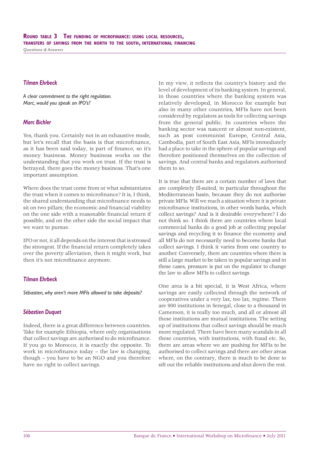#### *Tilman Ehrbeck*

*A clear commitment to the right regulation. Marc, would you speak on IPO's?*

#### *Marc Bichler*

Yes, thank you. Certainly not in an exhaustive mode, but let's recall that the basis is that microfinance, as it has been said today, is part of finance, so it's money business. Money business works on the understanding that you work on trust. If the trust is betrayed, there goes the money business. That's one important assumption.

Where does the trust come from or what substantiates the trust when it comes to microfinance? It is, I think, the shared understanding that microfinance needs to sit on two pillars; the economic and financial viability on the one side with a reasonable financial return if possible, and on the other side the social impact that we want to pursue.

IPO or not, it all depends on the interest that is stressed the strongest. If the financial return completely takes over the poverty alleviation, then it might work, but then it's not microfinance anymore.

#### *Tilman Ehrbeck*

*Sébastien, why aren't more MFIs allowed to take deposits?*

#### *Sébastien Duquet*

Indeed, there is a great difference between countries. Take for example Ethiopia, where only organisations that collect savings are authorised to do microfinance. If you go to Morocco, it is exactly the opposite. To work in microfinance today  $-$  the law is changing, though – you have to be an NGO and you therefore have no right to collect savings.

In my view, it reflects the country's history and the level of development of its banking system. In general, in those countries where the banking system was relatively developed, in Morocco for example but also in many other countries, MFIs have not been considered by regulators as tools for collecting savings from the general public. In countries where the banking sector was nascent or almost non-existent, such as post communist Europe, Central Asia, Cambodia, part of South East Asia, MFIs immediately had a place to take in the sphere of popular savings and therefore positioned themselves on the collection of savings. And central banks and regulators authorised them to so.

It is true that there are a certain number of laws that are completely ill-suited, in particular throughout the Mediterranean basin, because they do not authorise private MFIs. Will we reach a situation where it is private microfinance institutions, in other words banks, which collect savings? And is it desirable everywhere? I do not think so. I think there are countries where local commercial banks do a good job at collecting popular savings and recycling it to finance the economy and all MFIs do not necessarily need to become banks that collect savings. I think it varies from one country to another. Conversely, there are countries where there is still a large market to be taken in popular savings and in these cases, pressure is put on the regulator to change the law to allow MFIs to collect savings

One area is a bit special, it is West Africa, where savings are easily collected through the network of cooperatives under a very lax, too lax, regime. There are 900 institutions in Senegal, close to a thousand in Cameroon, it is really too much, and all or almost all these institutions are mutual institutions. The setting up of institutions that collect savings should be much more regulated. There have been many scandals in all these countries, with institutions, with fraud etc. So, there are areas where we are pushing for MFIs to be authorised to collect savings and there are other areas where, on the contrary, there is much to be done to sift out the reliable institutions and shut down the rest.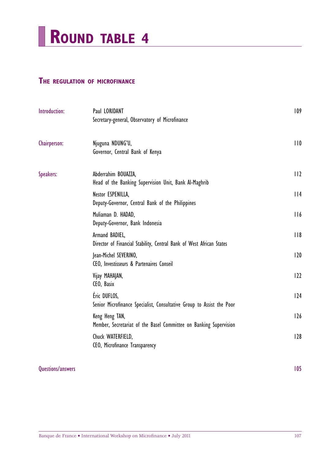

# **THE REGULATION OF MICROFINANCE**

| Introduction: | Paul LORIDANT<br>Secretary-general, Observatory of Microfinance                        | 109 |
|---------------|----------------------------------------------------------------------------------------|-----|
| Chairperson:  | Njuguna NDUNG'U,<br>Governor, Central Bank of Kenya                                    | 110 |
| Speakers:     | Abderrahim BOUAZZA,<br>Head of the Banking Supervision Unit, Bank Al-Maghrib           | 112 |
|               | Nestor ESPENILLA,<br>Deputy-Governor, Central Bank of the Philippines                  | 114 |
|               | Muliaman D. HADAD,<br>Deputy-Governor, Bank Indonesia                                  | 116 |
|               | Armand BADIEL,<br>Director of Financial Stability, Central Bank of West African States | 118 |
|               | Jean-Michel SEVERINO,<br>CEO, Investisseurs & Partenaires Conseil                      | 120 |
|               | Vijay MAHAJAN,<br>CEO, Basix                                                           | 122 |
|               | Éric DUFLOS,<br>Senior Microfinance Specialist, Consultative Group to Assist the Poor  | 124 |
|               | Keng Heng TAN,<br>Member, Secretariat of the Basel Committee on Banking Supervision    | 126 |
|               | Chuck WATERFIELD,<br>CEO, Microfinance Transparency                                    | 128 |

# Questions/answers 105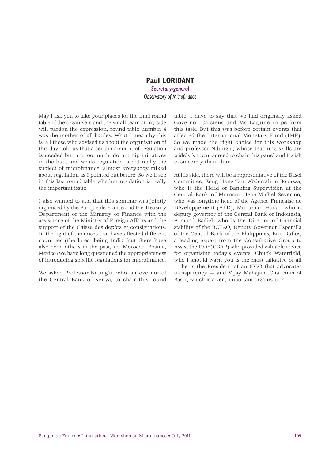# **Paul LORIDANT** *Secretary-general* **Observatory of Microfinance**

May I ask you to take your places for the final round table If the organisers and the small team at my side will pardon the expression, round table number 4 was the mother of all battles. What I mean by this is, all those who advised us about the organisation of this day, told us that a certain amount of regulation is needed but not too much, do not nip initiatives in the bud, and while regulation is not really the subject of microfinance, almost everybody talked about regulation as I pointed out before. So we'll see in this last round table whether regulation is really the important issue.

I also wanted to add that this seminar was jointly organised by the Banque de France and the Treasury Department of the Ministry of Finance with the assistance of the Ministry of Foreign Affairs and the support of the Caisse des dépôts et consignations. In the light of the crises that have affected different countries (the latest being India, but there have also been others in the past, i.e. Morocco, Bosnia, Mexico) we have long questioned the appropriateness of introducing specific regulations for microfinance.

We asked Professor Ndung'u, who is Governor of the Central Bank of Kenya, to chair this round

table. I have to say that we had originally asked Governor Carstens and Ms Lagarde to perform this task. But this was before certain events that affected the International Monetary Fund (IMF). So we made the right choice for this workshop and professor Ndung'u, whose teaching skills are widely known, agreed to chair this panel and I wish to sincerely thank him.

At his side, there will be a representative of the Basel Committee, Keng Heng Tan, Abderrahim Bouazza, who is the Head of Banking Supervision at the Central Bank of Morocco, Jean-Michel Severino, who was longtime head of the Agence Française de Développement (AFD), Muliaman Hadad who is deputy governor of the Central Bank of Indonesia, Armand Badiel, who is the Director of financial stability of the BCEAO, Deputy Governor Espenilla of the Central Bank of the Philippines, Eric Duflos, a leading expert from the Consultative Group to Assist the Poor (CGAP) who provided valuable advice for organising today's events, Chuck Waterfield, who I should warn you is the most talkative of all — he is the President of an NGO that advocates transparency — and Vijay Mahajan, Chairman of Basix, which is a very important organisation.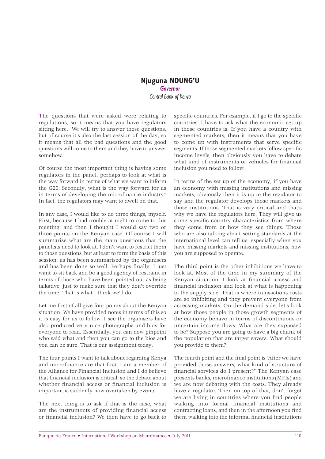# **Njuguna NDUNG'U** *Governor Central Bank of Kenya*

The questions that were asked were relating to regulations, so it means that you have regulators sitting here. We will try to answer those questions, but of course it's also the last session of the day, so it means that all the bad questions and the good questions will come to them and they have to answer somehow.

Of course the most important thing is having some regulators in the panel, perhaps to look at what is the way forward in terms of what we want to inform the G20. Secondly, what is the way forward for us in terms of developing the microfinance industry? In fact, the regulators may want to dwell on that.

In any case, I would like to do three things, myself. First, because I had trouble at night to come to this meeting, and then I thought I would say two or three points on the Kenyan case. Of course I will summarise what are the main questions that the panelists need to look at. I don't want to restrict them to those questions, but at least to form the basis of this session, as has been summarised by the organisers and has been done so well. Perhaps finally, I just want to sit back and be a good agency of restraint in terms of those who have been pointed out as being talkative, just to make sure that they don't override the time. That is what I think we'll do.

Let me first of all give four points about the Kenyan situation. We have provided notes in terms of this so it is easy for us to follow. I see the organisers have also produced very nice photographs and bios for everyone to read. Essentially, you can now pinpoint who said what and then you can go to the bios and you can be sure. That is our assignment today.

The four points I want to talk about regarding Kenya and microfinance are that first. I am a member of the Alliance for Financial Inclusion and I do believe that financial inclusion is critical, so the debate about whether financial access or financial inclusion is important is suddenly now overtaken by events.

The next thing is to ask if that is the case, what are the instruments of providing financial access or financial inclusion? We then have to go back to specific countries. For example, if I go to the specific countries, I have to ask what the economic set up in those countries is. If you have a country with segmented markets, then it means that you have to come up with instruments that serve specific segments. If those segmented markets follow specific income levels, then obviously you have to debate what kind of instruments or vehicles for financial inclusion you need to follow.

In terms of the set up of the economy, if you have an economy with missing institutions and missing markets, obviously then it is up to the regulator to say and the regulator develops those markets and those institutions. That is very critical and that's why we have the regulators here. They will give us some specific country characteristics from where they come from or how they see things. Those who are also talking about setting standards at the international level can tell us, especially when you have missing markets and missing institutions, how you are supposed to operate.

The third point is the other inhibitions we have to look at. Most of the time in my summary of the Kenyan situation, I look at financial access and financial inclusion and look at what is happening to the supply side. That is where transactions costs are so inhibiting and they prevent everyone from accessing markets. On the demand side, let's look at how those people in those growth segments of the economy behave in terms of discontinuous or uncertain income flows. What are they supposed to be? Suppose you are going to have a big chunk of the population that are target savers. What should you provide to them?

The fourth point and the final point is "After we have" provided those answers, what kind of structure of financial services do I present?" The Kenyan case presents banks, microfinance institutions (MFIs) and we are now debating with the costs. They already have a regulator. Then on top of that, don't forget we are living in countries where you find people walking into formal financial institutions and contracting loans, and then in the afternoon you find them walking into the informal financial institutions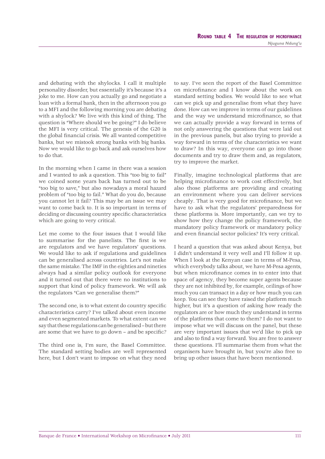and debating with the shylocks. I call it multiple personality disorder, but essentially it's because it's a joke to me. How can you actually go and negotiate a loan with a formal bank, then in the afternoon you go to a MFI and the following morning you are debating with a shylock? We live with this kind of thing. The question is "Where should we be going?" I do believe the MFI is very critical. The genesis of the G20 is the global financial crisis. We all wanted competitive banks, but we mistook strong banks with big banks. Now we would like to go back and ask ourselves how to do that.

In the morning when I came in there was a session and I wanted to ask a question. This "too big to fail" we coined some years back has turned out to be "too big to save," but also nowadays a moral hazard problem of "too big to fail." What do you do, because you cannot let it fail? This may be an issue we may want to come back to. It is so important in terms of deciding or discussing country specific characteristics which are going to very critical.

Let me come to the four issues that I would like to summarise for the panelists. The first is we are regulators and we have regulators' questions. We would like to ask if regulations and guidelines can be generalised across countries. Let's not make the same mistake. The IMF in the eighties and nineties always had a similar policy outlook for everyone and it turned out that there were no institutions to support that kind of policy framework. We will ask the regulators "Can we generalise them?"

The second one, is to what extent do country specific characteristics carry? I've talked about even income and even segmented markets. To what extent can we say that these regulations can be generalised – but there are some that we have to go down  $-$  and be specific?

The third one is, I'm sure, the Basel Committee. The standard setting bodies are well represented here, but I don't want to impose on what they need to say. I've seen the report of the Basel Committee on microfinance and I know about the work on standard setting bodies. We would like to see what can we pick up and generalise from what they have done. How can we improve in terms of our guidelines and the way we understand microfinance, so that we can actually provide a way forward in terms of not only answering the questions that were laid out in the previous panels, but also trying to provide a way forward in terms of the characteristics we want to draw? In this way, everyone can go into those documents and try to draw them and, as regulators, try to improve the market.

Finally, imagine technological platforms that are helping microfinance to work cost effectively, but also those platforms are providing and creating an environment where you can deliver services cheaply. That is very good for microfinance, but we have to ask what the regulators' preparedness for these platforms is. More importantly, can we try to show how they change the policy framework, the mandatory policy framework or mandatory policy and even financial sector policies? It's very critical.

I heard a question that was asked about Kenya, but I didn't understand it very well and I'll follow it up. When I look at the Kenyan case in terms of M-Pesa, which everybody talks about, we have M-Pesa agents, but when microfinance comes in to enter into that space of agency, they become super agents because they are not inhibited by, for example, ceilings of how much you can transact in a day or how much you can keep. You can see they have raised the platform much higher, but it's a question of asking how ready the regulators are or how much they understand in terms of the platforms that come to them? I do not want to impose what we will discuss on the panel, but these are very important issues that we'd like to pick up and also to find a way forward. You are free to answer these questions. I'll summarise them from what the organisers have brought in, but you're also free to bring up other issues that have been mentioned.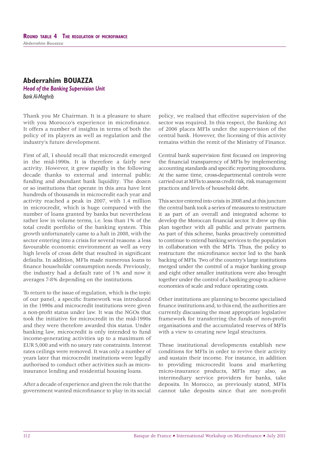# **Abderrahim BOUAZZA**

*Head of the Banking Supervision Unit Bank Al-Maghrib*

Thank you Mr Chairman. It is a pleasure to share with you Morocco's experience in microfinance. It offers a number of insights in terms of both the policy of its players as well as regulation and the industry's future development.

First of all, I should recall that microcredit emerged in the mid-1990s. It is therefore a fairly new activity. However, it grew rapidly in the following decade thanks to external and internal public funding and abundant bank liquidity. The dozen or so institutions that operate in this area have lent hundreds of thousands in microcredit each year and activity reached a peak in 2007, with 1.4 million in microcredit, which is huge compared with the number of loans granted by banks but nevertheless rather low in volume terms, i.e. less than 1% of the total credit portfolio of the banking system. This growth unfortunately came to a halt in 2008, with the sector entering into a crisis for several reasons: a less favourable economic environment as well as very high levels of cross debt that resulted in significant defaults. In addition, MFIs made numerous loans to finance households' consumption needs. Previously, the industry had a default rate of 1% and now it averages 7-8% depending on the institutions.

To return to the issue of regulation, which is the topic of our panel, a specific framework was introduced in the 1990s and microcredit institutions were given a non-profit status under law. It was the NGOs that took the initiative for microcredit in the mid-1990s and they were therefore awarded this status. Under banking law, microcredit is only intended to fund income-generating activities up to a maximum of EUR 5,000 and with no usury rate constraints. Interest rates ceilings were removed. It was only a number of years later that microcredit institutions were legally authorised to conduct other activities such as microinsurance lending and residential housing loans.

After a decade of experience and given the role that the government wanted microfinance to play in its social

policy, we realised that effective supervision of the sector was required. In this respect, the Banking Act of 2006 places MFIs under the supervision of the central bank. However, the licensing of this activity remains within the remit of the Ministry of Finance.

Central bank supervision first focused on improving the financial transparency of MFIs by implementing accounting standards and specific reporting procedures. At the same time, cross-departmental controls were carried out at MFIs to assess credit risk, risk management practices and levels of household debt.

This sector entered into crisis in 2008 and at this juncture the central bank took a series of measures to restructure it as part of an overall and integrated scheme to develop the Moroccan financial sector. It drew up this plan together with all public and private partners. As part of this scheme, banks proactively committed to continue to extend banking services to the population in collaboration with the MFIs. Thus, the policy to restructure the microfinance sector led to the bank backing of MFIs. Two of the country's large institutions merged under the control of a major banking group and eight other smaller institutions were also brought together under the control of a banking group to achieve economies of scale and reduce operating costs.

Other institutions are planning to become specialised finance institutions and, to this end, the authorities are currently discussing the most appropriate legislative framework for transferring the funds of non-profit organisations and the accumulated reserves of MFIs with a view to creating new legal structures.

These institutional developments establish new conditions for MFIs in order to revive their activity and sustain their income. For instance, in addition to providing microcredit loans and marketing micro-insurance products, MFIs may also, as intermediary service providers for banks, take deposits. In Morocco, as previously stated, MFIs cannot take deposits since that are non-profit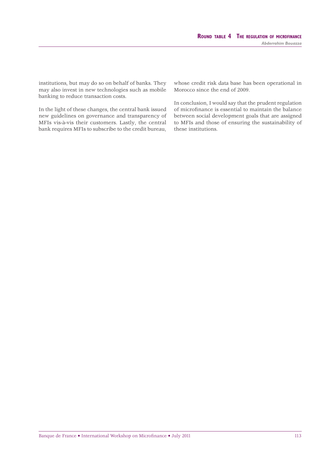institutions, but may do so on behalf of banks. They may also invest in new technologies such as mobile banking to reduce transaction costs.

In the light of these changes, the central bank issued new guidelines on governance and transparency of MFIs vis-à-vis their customers. Lastly, the central bank requires MFIs to subscribe to the credit bureau,

whose credit risk data base has been operational in Morocco since the end of 2009.

In conclusion, I would say that the prudent regulation of microfinance is essential to maintain the balance between social development goals that are assigned to MFIs and those of ensuring the sustainability of these institutions.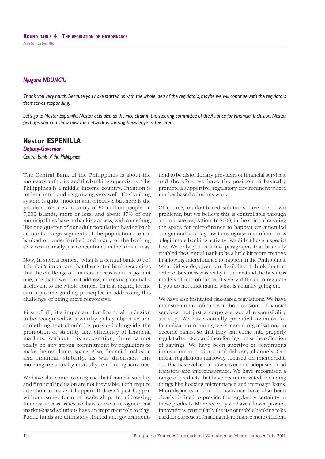*Thank you very much. Because you have started us with the whole idea of the regulators, maybe we will continue with the regulators themselves responding.* 

*Let's go to Nestor Espanilla. Nestor acts also as the vice chair in the steering committee of the Alliance for Financial Inclusion. Nestor, perhaps you can show how the network is sharing knowledge in this area.*

# **Nestor ESPENILLA**

*Deputy-Governor Central Bank of the Philippines*

The Central Bank of the Philippines is about the monetary authority and the banking supervisory. The Philippines is a middle income country. Inflation is under control and it's growing very well. The banking system is quite modern and effective, but here is the problem. We are a country of 90 million people on 7,000 islands, more or less, and about 37% of our municipalities have no banking access, with something like one quarter of our adult population having bank accounts. Large segments of the population are unbanked or under-banked and many of the banking services are really just concentrated in the urban areas.

Now, in such a context, what is a central bank to do? I think it's important that the central bank recognises that the challenge of financial access is an important one, one that if we do not address, makes us potentially irrelevant to the whole context. In that regard, let me sum up some guiding principles in addressing this challenge of being more responsive.

First of all, it's important for financial inclusion to be recognised as a worthy policy objective and something that should be pursued alongside the promotion of stability and efficiency of financial markets. Without this recognition, there cannot really be any strong commitment by regulators to make the regulatory space. Also, financial inclusion and financial stability, as was discussed this morning are actually mutually reinforcing activities.

We have also come to recognise that financial stability and financial inclusion are not inevitable. Both require attention to make it happen. It doesn't just happen without some form of leadership. In addressing financial access issues, we have come to recognise that market-based solutions have an important role to play. Public funds are ultimately limited and governments

tend to be distortionary providers of financial services, and therefore we have the position to basically promote a supportive, regulatory environment where market-based solutions work.

Of course, market-based solutions have their own problems, but we believe this is controllable through appropriate regulation. In 2000, in the spirit of creating the space for microfinance to happen we amended our general banking law to recognise microfinance as a legitimate banking activity. We didn't have a special law. We only put in a few paragraphs that basically enabled the Central Bank to be a little bit more creative in allowing microfinance to happen in the Philippines. What did we do, given our flexibility? I think the first order of business was really to understand the business models of microfinance. It's very difficult to regulate if you do not understand what is actually going on.

We have also instituted risk-based regulations. We have mainstream microfinance in the provision of financial services, not just a corporate, social responsibility activity. We have actually provided avenues for formalisation of non-governmental organisations to become banks, so that they can come into properly regulated territory and therefore legitimise the collection of savings. We have been sportive of continuous innovation in products and delivery channels. Our initial regulations narrowly focused on microcredit, but this has evolved to now cover microdeposits, fund transfers and microinsurance. We have recognised a range of products that have been innovated, including things like housing microfinance and microagri loans. Microdeposits and microinsurance have also been clearly defined to provide the regulatory certainty in these products. More recently we have allowed product innovations, particularly the use of mobile banking to be used for purposes of making microfinance more efficient.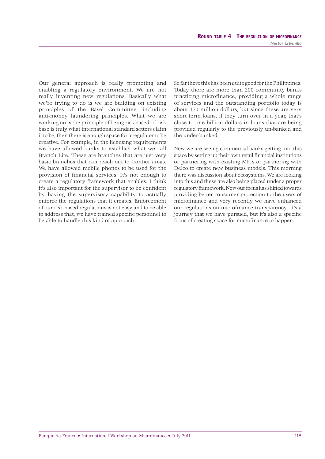Our general approach is really promoting and enabling a regulatory environment. We are not really inventing new regulations. Basically what we're trying to do is we are building on existing principles of the Basel Committee, including anti-money laundering principles. What we are working on is the principle of being risk based. If risk base is truly what international standard setters claim it to be, then there is enough space for a regulator to be creative. For example, in the licensing requirements we have allowed banks to establish what we call Branch Lite. These are branches that are just very basic branches that can reach out to frontier areas. We have allowed mobile phones to be used for the provision of financial services. It's not enough to create a regulatory framework that enables. I think it's also important for the supervisor to be confident by having the supervisory capability to actually enforce the regulations that it creates. Enforcement of our risk-based regulations is not easy and to be able to address that, we have trained specific personnel to be able to handle this kind of approach.

So far there this has been quite good for the Philippines. Today there are more than 200 community banks practicing microfinance, providing a whole range of services and the outstanding portfolio today is about 170 million dollars, but since these are very short term loans, if they turn over in a year, that's close to one billion dollars in loans that are being provided regularly to the previously un-banked and the under-banked.

Now we are seeing commercial banks getting into this space by setting up their own retail financial institutions or partnering with existing MFIs or partnering with Delco to create new business models. This morning there was discussion about ecosystems. We are looking into this and these are also being placed under a proper regulatory framework. Now our focus has shifted towards providing better consumer protection to the users of microfinance and very recently we have enhanced our regulations on microfinance transparency. It's a journey that we have pursued, but it's also a specific focus of creating space for microfinance to happen.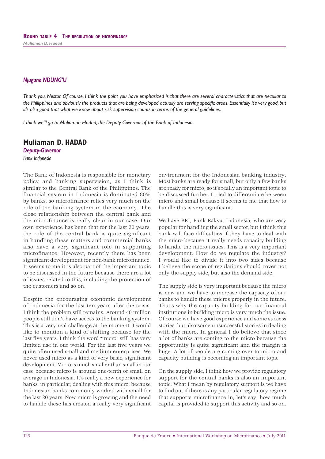*Thank you, Nestor. Of course, I think the point you have emphasized is that there are several characteristics that are peculiar to*  the Philippines and obviously the products that are being developed actually are serving specific areas. Essentially it's very good, but *it's also good that what we know about risk supervision counts in terms of the general guidelines.*

*I think we'll go to Muliaman Hadad, the Deputy-Governor of the Bank of Indonesia.*

# **Muliaman D. HADAD**

*Deputy-Governor Bank Indonesia*

The Bank of Indonesia is responsible for monetary policy and banking supervision, as I think is similar to the Central Bank of the Philippines. The fi nancial system in Indonesia is dominated 80% by banks, so microfinance relies very much on the role of the banking system in the economy. The close relationship between the central bank and the microfinance is really clear in our case. Our own experience has been that for the last 20 years, the role of the central bank is quite significant in handling these matters and commercial banks also have a very significant role in supporting microfinance. However, recently there has been significant development for non-bank microfinance. It seems to me it is also part of the important topic to be discussed in the future because there are a lot of issues related to this, including the protection of the customers and so on.

Despite the encouraging economic development of Indonesia for the last ten years after the crisis, I think the problem still remains. Around 40 million people still don't have access to the banking system. This is a very real challenge at the moment. I would like to mention a kind of shifting because for the last five years. I think the word "micro" still has very limited use in our world. For the last five years we quite often used small and medium enterprises. We never used micro as a kind of very basic, significant development. Micro is much smaller than small in our case because micro is around one-tenth of small on average in Indonesia. It's really a new experience for banks, in particular, dealing with this micro, because Indonesian banks commonly worked with small for the last 20 years. Now micro is growing and the need to handle these has created a really very significant

environment for the Indonesian banking industry. Most banks are ready for small, but only a few banks are ready for micro, so it's really an important topic to be discussed further. I tried to differentiate between micro and small because it seems to me that how to handle this is very significant.

We have BRI, Bank Rakyat Indonesia, who are very popular for handling the small sector, but I think this bank will face difficulties if they have to deal with the micro because it really needs capacity building to handle the micro issues. This is a very important development. How do we regulate the industry? I would like to divide it into two sides because I believe the scope of regulations should cover not only the supply side, but also the demand side.

The supply side is very important because the micro is new and we have to increase the capacity of our banks to handle these micros properly in the future. That's why the capacity building for our financial institutions in building micro is very much the issue. Of course we have good experience and some success stories, but also some unsuccessful stories in dealing with the micro. In general I do believe that since a lot of banks are coming to the micro because the opportunity is quite significant and the margin is huge. A lot of people are coming over to micro and capacity building is becoming an important topic.

On the supply side, I think how we provide regulatory support for the central banks is also an important topic. What I mean by regulatory support is we have to find out if there is any particular regulatory regime that supports microfinance in, let's say, how much capital is provided to support this activity and so on.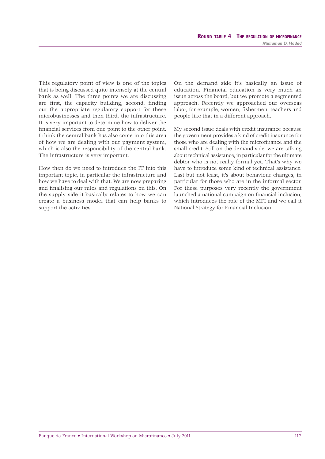This regulatory point of view is one of the topics that is being discussed quite intensely at the central bank as well. The three points we are discussing are first, the capacity building, second, finding out the appropriate regulatory support for these microbusinesses and then third, the infrastructure. It is very important to determine how to deliver the financial services from one point to the other point. I think the central bank has also come into this area of how we are dealing with our payment system, which is also the responsibility of the central bank. The infrastructure is very important.

How then do we need to introduce the IT into this important topic, in particular the infrastructure and how we have to deal with that. We are now preparing and finalising our rules and regulations on this. On the supply side it basically relates to how we can create a business model that can help banks to support the activities.

On the demand side it's basically an issue of education. Financial education is very much an issue across the board, but we promote a segmented approach. Recently we approached our overseas labor, for example, women, fishermen, teachers and people like that in a different approach.

My second issue deals with credit insurance because the government provides a kind of credit insurance for those who are dealing with the microfinance and the small credit. Still on the demand side, we are talking about technical assistance, in particular for the ultimate debtor who is not really formal yet. That's why we have to introduce some kind of technical assistance. Last but not least, it's about behaviour changes, in particular for those who are in the informal sector. For these purposes very recently the government launched a national campaign on financial inclusion, which introduces the role of the MFI and we call it National Strategy for Financial Inclusion.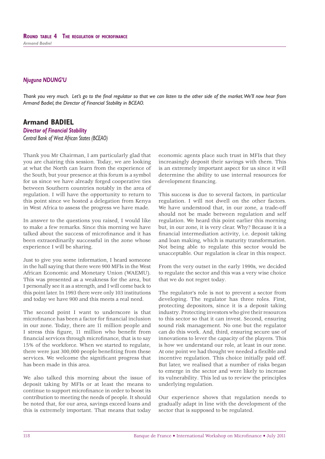*Thank you very much. Let's go to the final regulator so that we can listen to the other side of the market. We'll now hear from Armand Badiel, the Director of Financial Stability in BCEAO.*

# **Armand BADIEL**

*Director of Financial Stability Central Bank of West African States (BCEAO)*

Thank you Mr Chairman, I am particularly glad that you are chairing this session. Today, we are looking at what the North can learn from the experience of the South, but your presence at this forum is a symbol for us since we have already forged cooperative ties between Southern countries notably in the area of regulation. I will have the opportunity to return to this point since we hosted a delegation from Kenya in West Africa to assess the progress we have made.

In answer to the questions you raised, I would like to make a few remarks. Since this morning we have talked about the success of microfinance and it has been extraordinarily successful in the zone whose experience I will be sharing.

Just to give you some information, I heard someone in the hall saying that there were 900 MFIs in the West African Economic and Monetary Union (WAEMU). This was presented as a weakness for the area, but I personally see it as a strength, and I will come back to this point later. In 1993 there were only 103 institutions and today we have 900 and this meets a real need.

The second point I want to underscore is that microfinance has been a factor for financial inclusion in our zone. Today, there are 11 million people and I stress this figure, 11 million who benefit from financial services through microfinance, that is to say 15% of the workforce. When we started to regulate, there were just 300,000 people benefiting from these services. We welcome the significant progress that has been made in this area.

We also talked this morning about the issue of deposit taking by MFIs or at least the means to continue to support microfinance in order to boost its contribution to meeting the needs of people. It should be noted that, for our area, savings exceed loans and this is extremely important. That means that today

economic agents place such trust in MFIs that they increasingly deposit their savings with them. This is an extremely important aspect for us since it will determine the ability to use internal resources for development financing.

This success is due to several factors, in particular regulation. I will not dwell on the other factors. We have understood that, in our zone, a trade-off should not be made between regulation and self regulation. We heard this point earlier this morning but, in our zone, it is very clear. Why? Because it is a financial intermediation activity, i.e. deposit taking and loan making, which is maturity transformation. Not being able to regulate this sector would be unacceptable. Our regulation is clear in this respect.

From the very outset in the early 1990s, we decided to regulate the sector and this was a very wise choice that we do not regret today.

The regulator's role is not to prevent a sector from developing. The regulator has three roles. First, protecting depositors, since it is a deposit taking industry. Protecting investors who give their resources to this sector so that it can invest. Second, ensuring sound risk management. No one but the regulator can do this work. And, third, ensuring secure use of innovations to lever the capacity of the players. This is how we understand our role, at least in our zone. At one point we had thought we needed a flexible and incentive regulation. This choice initially paid off. But later, we realised that a number of risks began to emerge in the sector and were likely to increase its vulnerability. This led us to review the principles underlying regulation.

Our experience shows that regulation needs to gradually adapt in line with the development of the sector that is supposed to be regulated.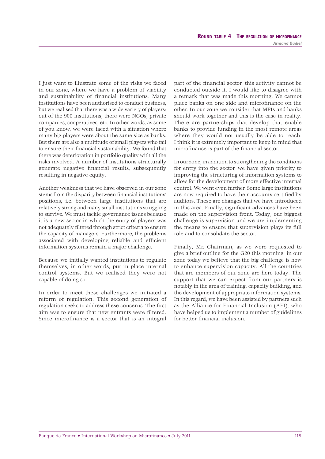I just want to illustrate some of the risks we faced in our zone, where we have a problem of viability and sustainability of financial institutions. Many institutions have been authorised to conduct business, but we realised that there was a wide variety of players: out of the 900 institutions, there were NGOs, private companies, cooperatives, etc. In other words, as some of you know, we were faced with a situation where many big players were about the same size as banks. But there are also a multitude of small players who fail to ensure their financial sustainability. We found that there was deterioration in portfolio quality with all the risks involved. A number of institutions structurally generate negative financial results, subsequently resulting in negative equity.

Another weakness that we have observed in our zone stems from the disparity between financial institutions' positions, i.e. between large institutions that are relatively strong and many small institutions struggling to survive. We must tackle governance issues because it is a new sector in which the entry of players was not adequately filtered through strict criteria to ensure the capacity of managers. Furthermore, the problems associated with developing reliable and efficient information systems remain a major challenge.

Because we initially wanted institutions to regulate themselves, in other words, put in place internal control systems. But we realised they were not capable of doing so.

In order to meet these challenges we initiated a reform of regulation. This second generation of regulation seeks to address these concerns. The first aim was to ensure that new entrants were filtered. Since microfinance is a sector that is an integral

part of the financial sector, this activity cannot be conducted outside it. I would like to disagree with a remark that was made this morning. We cannot place banks on one side and microfinance on the other. In our zone we consider that MFIs and banks should work together and this is the case in reality. There are partnerships that develop that enable banks to provide funding in the most remote areas where they would not usually be able to reach. I think it is extremely important to keep in mind that microfinance is part of the financial sector.

In our zone, in addition to strengthening the conditions for entry into the sector, we have given priority to improving the structuring of information systems to allow for the development of more effective internal control. We went even further. Some large institutions are now required to have their accounts certified by auditors. These are changes that we have introduced in this area. Finally, significant advances have been made on the supervision front. Today, our biggest challenge is supervision and we are implementing the means to ensure that supervision plays its full role and to consolidate the sector.

Finally, Mr. Chairman, as we were requested to give a brief outline for the G20 this morning, in our zone today we believe that the big challenge is how to enhance supervision capacity. All the countries that are members of our zone are here today. The support that we can expect from our partners is notably in the area of training, capacity building, and the development of appropriate information systems. In this regard, we have been assisted by partners such as the Alliance for Financial Inclusion (AFI), who have helped us to implement a number of guidelines for better financial inclusion.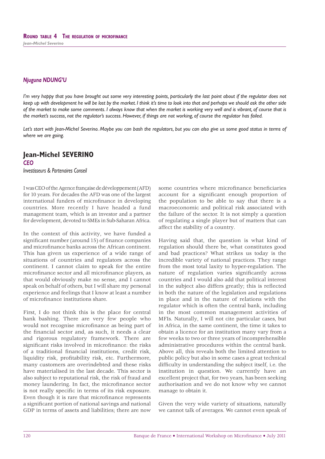*I'm very happy that you have brought out some very interesting points, particularly the last point about if the regulator does not keep up with development he will be lost by the market. I think it's time to look into that and perhaps we should ask the other side of the market to make some comments. I always know that when the market is working very well and is vibrant, of course that is the market's success, not the regulator's success. However, if things are not working, of course the regulator has failed.*

*Let's start with Jean-Michel Severino. Maybe you can bash the regulators, but you can also give us some good status in terms of where we are going.*

# **Jean-Michel SEVERINO** *CEO*

*Investisseurs & Partenaires Conseil*

I was CEO of the Agence française de développement (AFD) for 10 years. For decades the AFD was one of the largest international funders of microfinance in developing countries. More recently I have headed a fund management team, which is an investor and a partner for development, devoted to SMEs in Sub-Saharan Africa.

In the context of this activity, we have funded a significant number (around 15) of finance companies and microfinance banks across the African continent. This has given us experience of a wide range of situations of countries and regulators across the continent. I cannot claim to speak for the entire microfinance sector and all microfinance players, as that would obviously make no sense, and I cannot speak on behalf of others, but I will share my personal experience and feelings that I know at least a number of microfinance institutions share.

First, I do not think this is the place for central bank bashing. There are very few people who would not recognise microfinance as being part of the financial sector and, as such, it needs a clear and rigorous regulatory framework. There are significant risks involved in microfinance: the risks of a traditional financial institutions, credit risk, liquidity risk, profitability risk, etc. Furthermore, many customers are overindebted and these risks have materialised in the last decade. This sector is also subject to reputational risk, the risk of fraud and money laundering. In fact, the microfinance sector is not really specific in terms of its risk exposure. Even though it is rare that microfinance represents a significant portion of national savings and national GDP in terms of assets and liabilities; there are now

some countries where microfinance beneficiaries account for a significant enough proportion of the population to be able to say that there is a macroeconomic and political risk associated with the failure of the sector. It is not simply a question of regulating a single player but of matters that can affect the stability of a country.

Having said that, the question is what kind of regulation should there be, what constitutes good and bad practices? What strikes us today is the incredible variety of national practices. They range from the most total laxity to hyper-regulation. The nature of regulation varies significantly across countries and I would also add that political interest in the subject also differs greatly; this is reflected in both the nature of the legislation and regulations in place and in the nature of relations with the regulator which is often the central bank, including in the most common management activities of MFIs. Naturally, I will not cite particular cases, but in Africa, in the same continent, the time it takes to obtain a licence for an institution many vary from a few weeks to two or three years of incomprehensible administrative procedures within the central bank. Above all, this reveals both the limited attention to public policy but also in some cases a great technical difficulty in understanding the subject itself, i.e. the institution in question. We currently have an excellent project that, for two years, has been seeking authorisation and we do not know why we cannot manage to obtain it.

Given the very wide variety of situations, naturally we cannot talk of averages. We cannot even speak of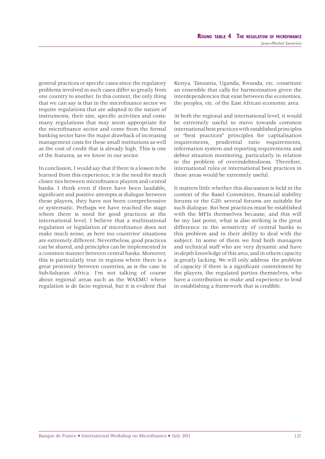general practices or specific cases since the regulatory problems involved in such cases differ so greatly from one country to another. In this context, the only thing that we can say is that in the microfinance sector we require regulations that are adapted to the nature of instruments, their size, specific activities and costs: many regulations that may seem appropriate for the microfinance sector and come from the formal banking sector have the major drawback of increasing management costs for these small institutions as well as the cost of credit that is already high. This is one of the features, as we know in our sector.

In conclusion, I would say that if there is a lesson to be learned from this experience, it is the need for much closer ties between microfinance players and central banks. I think even if there have been laudable, significant and positive attempts at dialogue between these players, they have not been comprehensive or systematic. Perhaps we have reached the stage where there is need for good practices at the international level. I believe that a multinational regulation or legislation of microfinance does not make much sense, as here too countries' situations are extremely different. Nevertheless, good practices can be shared, and principles can be implemented in a common manner between central banks. Moreover, this is particularly true in regions where there is a great proximity between countries, as is the case in Sub-Saharan Africa. I'm not talking of course about regional areas such as the WAEMU where regulation is de facto regional, but it is evident that

Kenya, Tanzania, Uganda, Rwanda, etc. constitute an ensemble that calls for harmonisation given the interdependencies that exist between the economies, the peoples, etc. of the East African economic area.

At both the regional and international level, it would be extremely useful to move towards common international best practices with established principles or "best practices" principles for capitalisation requirements, prudential ratio requirements, information system and reporting requirements and debtor situation monitoring, particularly in relation to the problem of overindebtedness. Therefore, international rules or international best practices in these areas would be extremely useful.

It matters little whether this discussion is held in the context of the Basel Committee, financial stability forums or the G20: several forums are suitable for such dialogue. But best practices must be established with the MFIs themselves because, and this will be my last point, what is also striking is the great difference in the sensitivity of central banks to this problem and in their ability to deal with the subject. In some of them we find both managers and technical staff who are very dynamic and have in-depth knowledge of this area, and in others capacity is greatly lacking. We will only address the problem of capacity if there is a significant commitment by the players, the regulated parties themselves, who have a contribution to make and experience to lend in establishing a framework that is credible.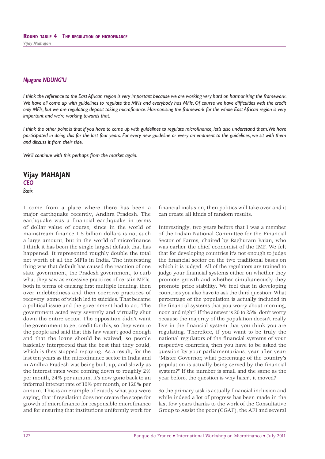*I think the reference to the East African region is very important because we are working very hard on harmonising the framework.*  We have all come up with guidelines to regulate the MFIs and everybody has MFIs. Of course we have difficulties with the credit *only MFIs, but we are regulating deposit taking microfi nance. Harmonising the framework for the whole East African region is very important and we're working towards that.*

*I think the other point is that if you have to come up with guidelines to regulate microfinance, let's also understand them. We have participated in doing this for the last four years. For every new guideline or every amendment to the guidelines, we sit with them and discuss it from their side.*

*We'll continue with this perhaps from the market again.*

**Vijay MAHAJAN** *CEO Basix*

I come from a place where there has been a major earthquake recently, Andhra Pradesh. The earthquake was a financial earthquake in terms of dollar value of course, since in the world of mainstream finance 1.5 billion dollars is not such a large amount, but in the world of microfinance I think it has been the single largest default that has happened. It represented roughly double the total net worth of all the MFIs in India. The interesting thing was that default has caused the reaction of one state government, the Pradesh government, to curb what they saw as excessive practices of certain MFIs, both in terms of causing first multiple lending, then over indebtedness and then coercive practices of recovery, some of which led to suicides. That became a political issue and the government had to act. The government acted very severely and virtually shut down the entire sector. The opposition didn't want the government to get credit for this, so they went to the people and said that this law wasn't good enough and that the loans should be waived, so people basically interpreted that the best that they could, which is they stopped repaying. As a result, for the last ten years as the microfinance sector in India and in Andhra Pradesh was being built up, and slowly as the interest rates were coming down to roughly 2% per month, 24% per annum, it's now gone back to an informal interest rate of 10% per month, or 120% per annum. This is an example of exactly what you were saying, that if regulation does not create the scope for growth of microfinance for responsible microfinance and for ensuring that institutions uniformly work for

financial inclusion, then politics will take over and it can create all kinds of random results.

Interestingly, two years before that I was a member of the Indian National Committee for the Financial Sector of Farms, chaired by Raghuram Rajan, who was earlier the chief economist of the IMF. We felt that for developing countries it's not enough to judge the financial sector on the two traditional bases on which it is judged. All of the regulators are trained to judge your financial systems either on whether they promote growth and whether simultaneously they promote price stability. We feel that in developing countries you also have to ask the third question: What percentage of the population is actually included in the financial systems that you worry about morning, noon and night? If the answer is 20 to 25%, don't worry because the majority of the population doesn't really live in the financial system that you think you are regulating. Therefore, if you want to be truly the national regulators of the financial systems of your respective countries, then you have to be asked the question by your parliamentarians, year after year: "Mister Governor, what percentage of the country's population is actually being served by the financial system?" If the number is small and the same as the year before, the question is why hasn't it moved?

So the primary task is actually financial inclusion and while indeed a lot of progress has been made in the last few years thanks to the work of the Consultative Group to Assist the poor (CGAP), the AFI and several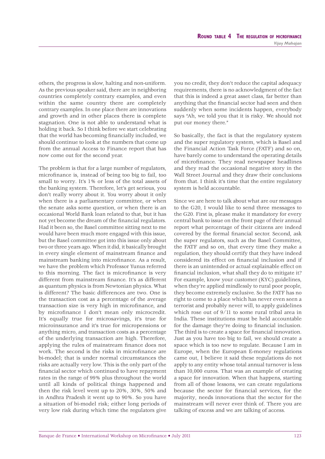others, the progress is slow, halting and non-uniform. As the previous speaker said, there are in neighboring countries completely contrary examples, and even within the same country there are completely contrary examples. In one place there are innovations and growth and in other places there is complete stagnation. One is not able to understand what is holding it back. So I think before we start celebrating that the world has becoming financially included, we should continue to look at the numbers that come up from the annual Access to Finance report that has now come out for the second year.

The problem is that for a large number of regulators, microfinance is, instead of being too big to fail, too small to worry. It's 1% or less of the total assets of the banking system. Therefore, let's get serious, you don't really worry about it. You worry about it only when there is a parliamentary committee, or when the senate asks some question, or when there is an occasional World Bank loan related to that, but it has not yet become the dream of the financial regulators. Had it been so, the Basel committee sitting next to me would have been much more engaged with this issue, but the Basel committee got into this issue only about two or three years ago. When it did, it basically brought in every single element of mainstream finance and mainstream banking into microfinance. As a result, we have the problem which Professor Yunus referred to this morning. The fact is microfinance is very different from mainstream finance. It's as different as quantum physics is from Newtonian physics. What is different? The basic differences are two. One is the transaction cost as a percentage of the average transaction size is very high in microfinance, and by microfinance I don't mean only microcredit. It's equally true for microsavings, it's true for microinsurance and it's true for micropensions or anything micro, and transaction costs as a percentage of the underlying transaction are high. Therefore, applying the rules of mainstream finance does not work. The second is the risks in microfinance are bi-model; that is under normal circumstances the risks are actually very low. This is the only part of the financial sector which continued to have repayment rates in the range of 99% plus throughout the world until all kinds of political things happened and then the risk level went up to 20%, 30%, 50% and in Andhra Pradesh it went up to 90%. So you have a situation of bi-model risk; either long periods of very low risk during which time the regulators give you no credit, they don't reduce the capital adequacy requirements, there is no acknowledgment of the fact that this is indeed a great asset class, far better than anything that the financial sector had seen and then suddenly when some incidents happen, everybody says "Ah, we told you that it is risky. We should not put our money there."

So basically, the fact is that the regulatory system and the super regulatory system, which is Basel and the Financial Action Task Force (FATF) and so on, have barely come to understand the operating details of microfinance. They read newspaper headlines and they read the occasional negative story in the Wall Street Journal and they draw their conclusions from that. I think it's time that the entire regulatory system is held accountable.

Since we are here to talk about what are our messages to the G20, I would like to send three messages to the G20. First is, please make it mandatory for every central bank to issue on the front page of their annual report what percentage of their citizens are indeed covered by the formal financial sector. Second, ask the super regulators, such as the Basel Committee, the FATF and so on, that every time they make a regulation, they should certify that they have indeed considered its effect on financial inclusion and if there is an unintended or actual explainable effect on financial inclusion, what shall they do to mitigate it? For example, know your customer (KYC) guidelines, when they're applied mindlessly to rural poor people, they become extremely exclusive. So the FATF has no right to come to a place which has never even seen a terrorist and probably never will, to apply guidelines which rose out of 9/11 to some rural tribal area in India. These institutions must be held accountable for the damage they're doing to financial inclusion. The third is to create a space for financial innovation. Just as you have too big to fail, we should create a space which is too new to regulate. Because I am in Europe, when the European E-money regulations came out, I believe it said these regulations do not apply to any entity whose total annual turnover is less than 10,000 euros. That was an example of creating a space for innovation. When that happens, starting from all of those lessons, we can create regulations because the sector for financial services, for the majority, needs innovations that the sector for the mainstream will never ever think of. There you are talking of excess and we are talking of access.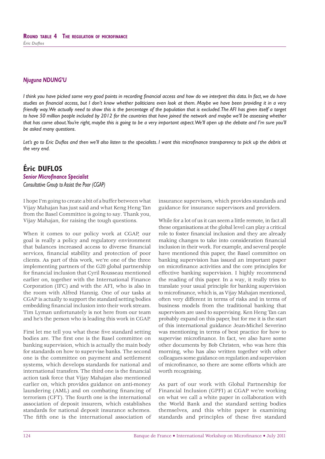*I think you have picked some very good points in recording financial access and how do we interpret this data. In fact, we do have* studies on financial access, but I don't know whether politicians even look at them. Maybe we have been providing it in a very *friendly way. We actually need to show this is the percentage of the population that is excluded. The AFI has given itself a target to have 50 million people included by 2012 for the countries that have joined the network and maybe we'll be assessing whether*  that has come about. You're right, maybe this is going to be a very important aspect. We'll open up the debate and I'm sure you'll *be asked many questions.*

Let's go to Eric Duflos and then we'll also listen to the specialists. I want this microfinance transparency to pick up the debris at *the very end.*

# **Éric DUFLOS**

# **Senior Microfinance Specialist**

*Consultative Group to Assist the Poor (CGAP)*

I hope I'm going to create a bit of a buffer between what Vijay Mahajan has just said and what Keng Heng Tan from the Basel Committee is going to say. Thank you, Vijay Mahajan, for raising the tough questions.

When it comes to our policy work at CGAP, our goal is really a policy and regulatory environment that balances increased access to diverse financial services, financial stability and protection of poor clients. As part of this work, we're one of the three implementing partners of the G20 global partnership for financial inclusion that Cyril Rousseau mentioned earlier on, together with the International Finance Corporation (IFC) and with the AFI, who is also in the room with Alfred Hannig. One of our tasks at CGAP is actually to support the standard setting bodies embedding financial inclusion into their work stream. Tim Lyman unfortunately is not here from our team and he's the person who is leading this work in CGAP.

First let me tell you what these five standard setting bodies are. The first one is the Basel committee on banking supervision, which is actually the main body for standards on how to supervise banks. The second one is the committee on payment and settlement systems, which develops standards for national and international transfers. The third one is the financial action task force that Vijay Mahajan also mentioned earlier on, which provides guidance on anti-money laundering (AML) and on combating financing of terrorism (CFT). The fourth one is the international association of deposit insurers, which establishes standards for national deposit insurance schemes. The fifth one is the international association of

insurance supervisors, which provides standards and guidance for insurance supervisors and providers.

While for a lot of us it can seem a little remote, in fact all these organisations at the global level can play a critical role to foster financial inclusion and they are already making changes to take into consideration financial inclusion in their work. For example, and several people have mentioned this paper, the Basel committee on banking supervision has issued an important paper on microfinance activities and the core principles for effective banking supervision. I highly recommend the reading of this paper. In a way, it really tries to translate your usual principle for banking supervision to microfinance, which is, as Vijay Mahajan mentioned, often very different in terms of risks and in terms of business models from the traditional banking that supervisors are used to supervising. Ken Heng Tan can probably expand on this paper, but for me it is the start of this international guidance Jean-Michel Severino was mentioning in terms of best practice for how to supervise microfinance. In fact, we also have some other documents by Bob Christen, who was here this morning, who has also written together with other colleagues some guidance on regulation and supervision of microfinance, so there are some efforts which are worth recognising.

As part of our work with Global Partnership for Financial Inclusion (GPFI) at CGAP we're working on what we call a white paper in collaboration with the World Bank and the standard setting bodies themselves, and this white paper is examining standards and principles of these five standard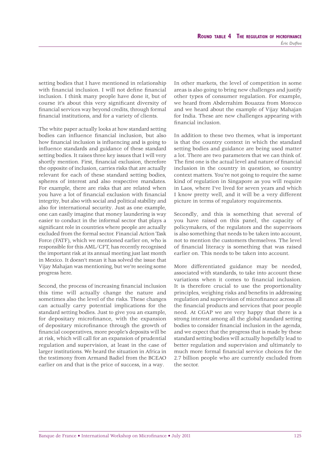setting bodies that I have mentioned in relationship with financial inclusion. I will not define financial inclusion. I think many people have done it, but of course it's about this very significant diversity of financial services way beyond credits, through formal financial institutions, and for a variety of clients.

The white paper actually looks at how standard setting bodies can influence financial inclusion, but also how financial inclusion is influencing and is going to influence standards and guidance of these standard setting bodies. It raises three key issues that I will very shortly mention. First, financial exclusion, therefore the opposite of inclusion, carries risks that are actually relevant for each of these standard setting bodies, spheres of interest and also respective mandates. For example, there are risks that are related when you have a lot of financial exclusion with financial integrity, but also with social and political stability and also for international security. Just as one example, one can easily imagine that money laundering is way easier to conduct in the informal sector that plays a significant role in countries where people are actually excluded from the formal sector. Financial Action Task Force (FATF), which we mentioned earlier on, who is responsible for this AML/CFT, has recently recognised the important risk at its annual meeting just last month in Mexico. It doesn't mean it has solved the issue that Vijay Mahajan was mentioning, but we're seeing some progress here.

Second, the process of increasing financial inclusion this time will actually change the nature and sometimes also the level of the risks. These changes can actually carry potential implications for the standard setting bodies. Just to give you an example, for depositary microfinance, with the expansion of depositary microfinance through the growth of financial cooperatives, more people's deposits will be at risk, which will call for an expansion of prudential regulation and supervision, at least in the case of larger institutions. We heard the situation in Africa in the testimony from Armand Badiel from the BCEAO earlier on and that is the price of success, in a way.

In other markets, the level of competition in some areas is also going to bring new challenges and justify other types of consumer regulation. For example, we heard from Abderrahim Bouazza from Morocco and we heard about the example of Vijay Mahajan for India. These are new challenges appearing with financial inclusion.

In addition to these two themes, what is important is that the country context in which the standard setting bodies and guidance are being used matter a lot. There are two parameters that we can think of. The first one is the actual level and nature of financial inclusion in the country in question, so country context matters. You're not going to require the same kind of regulation in Singapore as you will require in Laos, where I've lived for seven years and which I know pretty well, and it will be a very different picture in terms of regulatory requirements.

Secondly, and this is something that several of you have raised on this panel, the capacity of policymakers, of the regulators and the supervisors is also something that needs to be taken into account, not to mention the customers themselves. The level of financial literacy is something that was raised earlier on. This needs to be taken into account.

More differentiated guidance may be needed, associated with standards, to take into account these variations when it comes to financial inclusion. It is therefore crucial to use the proportionality principles, weighing risks and benefits in addressing regulation and supervision of microfinance across all the financial products and services that poor people need. At CGAP we are very happy that there is a strong interest among all the global standard setting bodies to consider financial inclusion in the agenda, and we expect that the progress that is made by these standard setting bodies will actually hopefully lead to better regulation and supervision and ultimately to much more formal financial service choices for the 2.7 billion people who are currently excluded from the sector.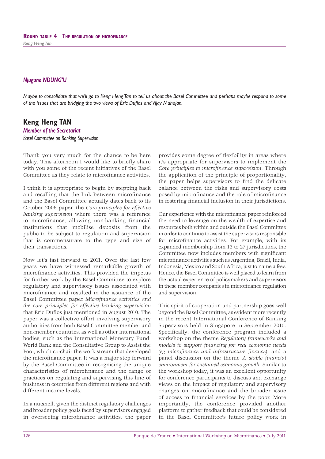*Maybe to consolidate that we'll go to Keng Heng Tan to tell us about the Basel Committee and perhaps maybe respond to some*  of the issues that are bridging the two views of Éric Duflos and Vijay Mahajan.

# **Keng Heng TAN**

*Member of the Secretariat Basel Committee on Banking Supervision*

Thank you very much for the chance to be here today. This afternoon I would like to briefly share with you some of the recent initiatives of the Basel Committee as they relate to microfinance activities.

I think it is appropriate to begin by stepping back and recalling that the link between microfinance and the Basel Committee actually dates back to its October 2006 paper, the *Core principles for effective banking supervision* where there was a reference to microfinance, allowing non-banking financial institutions that mobilise deposits from the public to be subject to regulation and supervision that is commensurate to the type and size of their transactions.

Now let's fast forward to 2011. Over the last few years we have witnessed remarkable growth of microfinance activities. This provided the impetus for further work by the Basel Committee to explore regulatory and supervisory issues associated with microfinance and resulted in the issuance of the Basel Committee paper *Microfinance activities and the core principles for effective banking supervision* that Eric Duflos just mentioned in August 2010. The paper was a collective effort involving supervisory authorities from both Basel Committee member and non-member countries, as well as other international bodies, such as the International Monetary Fund, World Bank and the Consultative Group to Assist the Poor, which co-chair the work stream that developed the microfinance paper. It was a major step forward by the Basel Committee in recognising the unique characteristics of microfinance and the range of practices on regulating and supervising this line of business in countries from different regions and with different income levels.

In a nutshell, given the distinct regulatory challenges and broader policy goals faced by supervisors engaged in overseeing microfinance activities, the paper

provides some degree of flexibility in areas where it's appropriate for supervisors to implement the *Core principles to microfinance supervision.* Through the application of the principle of proportionality, the paper helps supervisors to find the delicate balance between the risks and supervisory costs posed by microfinance and the role of microfinance in fostering financial inclusion in their jurisdictions.

Our experience with the microfinance paper reinforced the need to leverage on the wealth of expertise and resources both within and outside the Basel Committee in order to continue to assist the supervisors responsible for microfinance activities. For example, with its expanded membership from 13 to 27 jurisdictions, the Committee now includes members with significant microfinance activities such as Argentina, Brazil, India, Indonesia, Mexico and South Africa, just to name a few. Hence, the Basel Committee is well placed to learn from the actual experience of policymakers and supervisors in these member companies in microfinance regulation and supervision.

This spirit of cooperation and partnership goes well beyond the Basel Committee, as evident more recently in the recent International Conference of Banking Supervisors held in Singapore in September 2010. Specifically, the conference program included a workshop on the theme *Regulatory frameworks and models to support financing for real economic needs (eg microfinance and infrastructure finance)*, and a panel discussion on the theme *A stable financial environment for sustained economic growth*. Similar to the workshop today, it was an excellent opportunity for conference participants to discuss and exchange views on the impact of regulatory and supervisory changes on microfinance and the broader issue of access to financial services by the poor. More importantly, the conference provided another platform to gather feedback that could be considered in the Basel Committee's future policy work in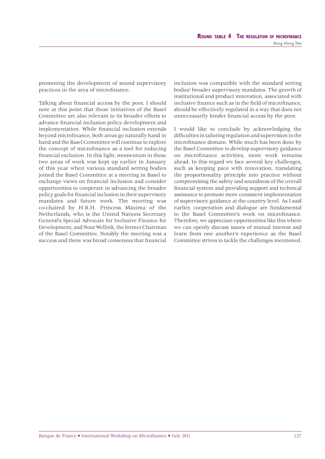promoting the development of sound supervisory practices in the area of microfinance.

Talking about financial access by the poor, I should note at this point that these initiatives of the Basel Committee are also relevant to its broader efforts to advance financial inclusion policy development and implementation. While financial inclusion extends beyond microfinance, both areas go naturally hand in hand and the Basel Committee will continue to explore the concept of microfinance as a tool for reducing financial exclusion. In this light, momentum in these two areas of work was kept up earlier in January of this year when various standard setting bodies joined the Basel Committee at a meeting in Basel to exchange views on financial inclusion and consider opportunities to cooperate in advancing the broader policy goals for financial inclusion in their supervisory mandates and future work. The meeting was co-chaired by H.R.H. Princess Máxima of the Netherlands, who is the United Nations Secretary General's Special Advocate for Inclusive Finance for Development, and Nout Wellink, the former Chairman of the Basel Committee. Notably the meeting was a success and there was broad consensus that financial

inclusion was compatible with the standard setting bodies' broader supervisory mandates. The growth of institutional and product innovation, associated with inclusive finance such as in the field of microfinance. should be effectively regulated in a way that does not unnecessarily hinder financial access by the poor.

I would like to conclude by acknowledging the difficulties in tailoring regulation and supervision in the microfinance domain. While much has been done by the Basel Committee to develop supervisory guidance on microfinance activities, more work remains ahead. In this regard we face several key challenges, such as keeping pace with innovation, translating the proportionality principle into practice without compromising the safety and soundness of the overall financial system and providing support and technical assistance to promote more consistent implementation of supervisory guidance at the country level. As I said earlier, cooperation and dialogue are fundamental to the Basel Committee's work on microfinance. Therefore, we appreciate opportunities like this where we can openly discuss issues of mutual interest and learn from one another's experience as the Basel Committee strives to tackle the challenges mentioned.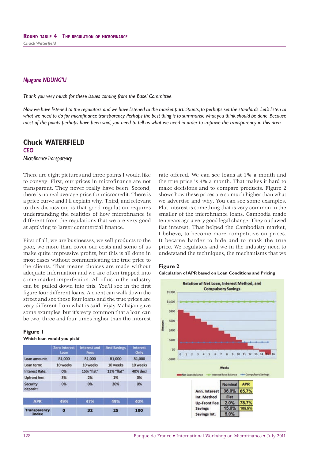*Thank you very much for these issues coming from the Basel Committee.*

*Now we have listened to the regulators and we have listened to the market participants, to perhaps set the standards. Let's listen to*  what we need to do for microfinance transparency. Perhaps the best thing is to summarise what you think should be done. Because *most of the points perhaps have been said, you need to tell us what we need in order to improve the transparency in this area.*

# **Chuck WATERFIELD**

*CEO Microfi nance Transparency*

There are eight pictures and three points I would like to convey. First, our prices in microfinance are not transparent. They never really have been. Second, there is no real average price for microcredit. There is a price curve and I'll explain why. Third, and relevant to this discussion, is that good regulation requires understanding the realities of how microfinance is different from the regulations that we are very good at applying to larger commercial finance.

First of all, we are businesses, we sell products to the poor, we more than cover our costs and some of us make quite impressive profits, but this is all done in most cases without communicating the true price to the clients. That means choices are made without adequate information and we are often trapped into some market imperfection. All of us in the industry can be pulled down into this. You'll see in the first figure four different loans. A client can walk down the street and see these four loans and the true prices are very different from what is said. Vijay Mahajan gave some examples, but it's very common that a loan can be two, three and four times higher than the interest

#### **Figure 1**

#### **Which loan would you pick?**

|                                     | <b>Zero Interest</b><br>Loan | <b>Interest and</b><br>Fees | <b>And Savings</b> | <b>Interest</b><br>Only |
|-------------------------------------|------------------------------|-----------------------------|--------------------|-------------------------|
| Loan amount:                        | R1,000                       | R1,000                      | R1,000             | R1.000                  |
| Loan term:                          | 10 weeks                     | 10 weeks                    | 10 weeks           | 10 weeks                |
| <b>Interest Rate:</b>               | 0%                           | 15% "flat"                  | 12% "flat"         | 40% decl                |
| Upfront fee:                        | 5%                           | 2%                          | 1%                 | 0%                      |
| <b>Security</b><br>deposit:         | 0%                           | 0%                          | 20%                | 0%                      |
| <b>APR</b>                          | 49%                          | 47%                         | 49%                | 40%                     |
| <b>Transparency</b><br><b>Index</b> | o                            | 32                          | 25                 | 100                     |

rate offered. We can see loans at 1% a month and the true price is 4% a month. That makes it hard to make decisions and to compare products. Figure 2 shows how these prices are so much higher than what we advertise and why. You can see some examples. Flat interest is something that is very common in the smaller of the microfinance loans. Cambodia made ten years ago a very good legal change. They outlawed flat interest. That helped the Cambodian market, I believe, to become more competitive on prices. It became harder to hide and to mask the true price. We regulators and we in the industry need to understand the techniques, the mechanisms that we



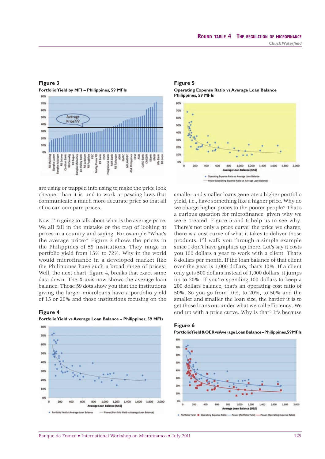

#### **Figure 3**

**Portfolio Yield by MFI – Philippines, 59 MFIs**

are using or trapped into using to make the price look cheaper than it is, and to work at passing laws that communicate a much more accurate price so that all of us can compare prices.

Now, I'm going to talk about what is the average price. We all fall in the mistake or the trap of looking at prices in a country and saying. For example "What's the average price?" Figure 3 shows the prices in the Philippines of 59 institutions. They range in portfolio yield from 15% to 72%. Why in the world would microfinance in a developed market like the Philippines have such a broad range of prices? Well, the next chart, figure 4, breaks that exact same data down. The X axis now shows the average loan balance. Those 59 dots show you that the institutions giving the larger microloans have a portfolio yield of 15 or 20% and those institutions focusing on the







smaller and smaller loans generate a higher portfolio yield, i.e., have something like a higher price. Why do we charge higher prices to the poorer people? That's a curious question for microfinance, given why we were created. Figure 5 and 6 help us to see why. There's not only a price curve, the price we charge, there is a cost curve of what it takes to deliver those products. I'll walk you through a simple example since I don't have graphics up there. Let's say it costs you 100 dollars a year to work with a client. That's 8 dollars per month. If the loan balance of that client over the year is 1,000 dollars, that's 10%. If a client only gets 500 dollars instead of 1,000 dollars, it jumps up to 20%. If you're spending 100 dollars to keep a 200 dollars balance, that's an operating cost ratio of 50%. So you go from 10%, to 20%, to 50% and the smaller and smaller the loan size, the harder it is to get those loans out under what we call efficiency. We **Figure 4** end up with a price curve. Why is that? It's because



#### **Figure 6 Portfolio Yield & OER vs Average Loan Balance – Philippines, 59 MFIs**

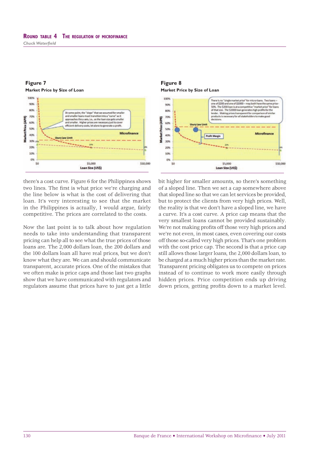# **Figure 7 Market Price by Size of Loan**



there's a cost curve. Figure 6 for the Philippines shows two lines. The first is what price we're charging and the line below is what is the cost of delivering that loan. It's very interesting to see that the market in the Philippines is actually, I would argue, fairly competitive. The prices are correlated to the costs.

Now the last point is to talk about how regulation needs to take into understanding that transparent pricing can help all to see what the true prices of those loans are. The 2,000 dollars loan, the 200 dollars and the 100 dollars loan all have real prices, but we don't know what they are. We can and should communicate transparent, accurate prices. One of the mistakes that we often make is price caps and those last two graphs show that we have communicated with regulators and regulators assume that prices have to just get a little

**Figure 8 Market Price by Size of Loan**



bit higher for smaller amounts, so there's something of a sloped line. Then we set a cap somewhere above that sloped line so that we can let services be provided, but to protect the clients from very high prices. Well, the reality is that we don't have a sloped line, we have a curve. It's a cost curve. A price cap means that the very smallest loans cannot be provided sustainably. We're not making profits off those very high prices and we're not even, in most cases, even covering our costs off those so-called very high prices. That's one problem with the cost price cap. The second is that a price cap still allows those larger loans, the 2,000 dollars loan, to be charged at a much higher prices than the market rate. Transparent pricing obligates us to compete on prices instead of to continue to work more easily through hidden prices. Price competition ends up driving down prices, getting profits down to a market level.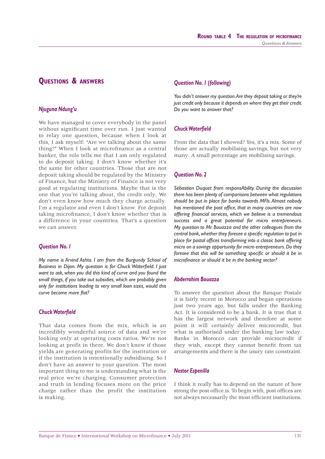# **QUESTIONS & ANSWERS**

# *Njuguna Ndung'u*

We have managed to cover everybody in the panel without significant time over run. I just wanted to relay one question, because when I look at this, I ask myself: "Are we talking about the same thing?" When I look at microfinance as a central banker, the role tells me that I am only regulated to do deposit taking. I don't know whether it's the same for other countries. Those that are not deposit taking should be regulated by the Ministry of Finance, but the Ministry of Finance is not very good at regulating institutions. Maybe that is the one that you're talking about, the credit only. We don't even know how much they charge actually. I'm a regulator and even I don't know. For deposit taking microfinance, I don't know whether that is a difference in your countries. That's a question we can answer.

# *Question No. 1*

*My name is Arvind Ashta. I am from the Burgundy School of*  **Business in Dijon. My question is for Chuck Waterfield. I just** *want to ask, when you did this kind of curve and you found the small things, if you take out subsidies, which are probably given only for institutions leading to very small loan sizes, would this*  curve become more flat?

# **Chuck Waterfield**

That data comes from the mix, which is an incredibly wonderful source of data and we're looking only at operating costs ratios. We're not looking at profit in there. We don't know if those yields are generating profits for the institution or if the institution is intentionally subsidising. So I don't have an answer to your question. The most important thing to me is understanding what is the real price we're charging. Consumer protection and truth in lending focuses more on the price charge rather than the profit the institution is making.

# *Question No. 1 (following)*

*You didn't answer my question. Are they deposit taking or they're just credit only because it depends on where they get their credit. Do you want to answer that?*

# **Chuck Waterfield**

From the data that I showed? Yes, it's a mix. Some of those are actually mobilising savings, but not very many. A small percentage are mobilising savings.

# *Question No. 2*

*Sébastien Duquet from responsAbility. During the discussion there has been plenty of comparisons between what regulations should be put in place for banks towards MFIs. Almost nobody*  has mentioned the post office, that in many countries are now *offering fi nancial services, which we believe is a tremendous success and a great potential for micro entrepreneurs. My question to Mr. Bouazza and the other colleagues from the central bank, whether they foresee a specific regulation to put in place for postal offices transforming into a classic bank offering micro on a savings opportunity for micro entrepreneurs. Do they*  foresee that this will be something specific or should it be in microfinance or should it be in the banking sector?

# *Abderrahim Bouazza*

To answer the question about the Banque Postale it is fairly recent in Morocco and began operations just two years ago, but falls under the Banking Act. It is considered to be a bank. It is true that it has the largest network and therefore at some point it will certainly deliver microcredit, but what is authorised under the banking law today. Banks in Morocco can provide microcredit if they wish, except they cannot benefit from tax arrangements and there is the usury rate constraint.

# *Nestor Espenilla*

I think it really has to depend on the nature of how strong the post office is. To begin with, post offices are not always necessarily the most efficient institutions.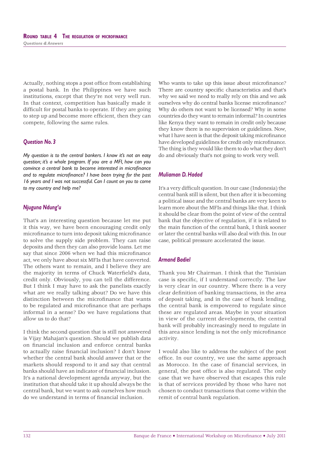Actually, nothing stops a post office from establishing a postal bank. In the Philippines we have such institutions, except that they're not very well run. In that context, competition has basically made it difficult for postal banks to operate. If they are going to step up and become more efficient, then they can compete, following the same rules.

# *Question No. 3*

*My question is to the central bankers. I know it's not an easy question; it's a whole program. If you are a MFI, how can you convince a central bank to become interested in microfinance* and to regulate microfinance? I have been trying for the past *16 years and I was not successful. Can I count on you to come to my country and help me?*

## *Njuguna Ndung'u*

That's an interesting question because let me put it this way, we have been encouraging credit only microfinance to turn into deposit taking microfinance to solve the supply side problem. They can raise deposits and then they can also provide loans. Let me say that since 2006 when we had this microfinance act, we only have about six MFIs that have converted. The others want to remain, and I believe they are the majority in terms of Chuck Waterfield's data, credit only. Obviously, you can tell the difference. But I think I may have to ask the panelists exactly what are we really talking about? Do we have this distinction between the microfinance that wants to be regulated and microfinance that are perhaps informal in a sense? Do we have regulations that allow us to do that?

I think the second question that is still not answered is Vijay Mahajan's question. Should we publish data on financial inclusion and enforce central banks to actually raise financial inclusion? I don't know whether the central bank should answer that or the markets should respond to it and say that central banks should have an indicator of financial inclusion. It's a national development agenda anyway, but the institution that should take it up should always be the central bank, but we want to ask ourselves how much do we understand in terms of financial inclusion.

Who wants to take up this issue about microfinance? There are country specific characteristics and that's why we said we need to really rely on this and we ask ourselves why do central banks license microfinance? Why do others not want to be licensed? Why in some countries do they want to remain informal? In countries like Kenya they want to remain in credit only because they know there is no supervision or guidelines. Now, what I have seen is that the deposit taking microfinance have developed guidelines for credit only microfinance. The thing is they would like them to do what they don't do and obviously that's not going to work very well.

#### *Muliaman D. Hadad*

It's a very difficult question. In our case (Indonesia) the central bank still is silent, but then after it is becoming a political issue and the central banks are very keen to learn more about the MFIs and things like that. I think it should be clear from the point of view of the central bank that the objective of regulation, if it is related to the main function of the central bank, I think sooner or later the central banks will also deal with this. In our case, political pressure accelerated the issue.

### *Armand Badiel*

Thank you Mr Chairman. I think that the Tunisian case is specific, if I understand correctly. The law is very clear in our country. Where there is a very clear definition of banking transactions, in the area of deposit taking, and in the case of bank lending, the central bank is empowered to regulate since these are regulated areas. Maybe in your situation in view of the current developments, the central bank will probably increasingly need to regulate in this area since lending is not the only microfinance activity.

I would also like to address the subject of the post office. In our country, we use the same approach as Morocco. In the case of financial services, in general, the post office is also regulated. The only case that we have observed that escapes this rule is that of services provided by those who have not chosen to conduct transactions that come within the remit of central bank regulation.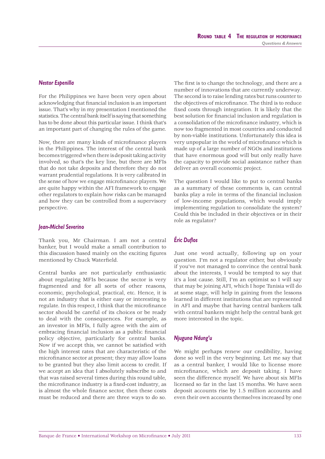# *Nestor Espenilla*

For the Philippines we have been very open about acknowledging that financial inclusion is an important issue. That's why in my presentation I mentioned the statistics. The central bank itself is saying that something has to be done about this particular issue. I think that's an important part of changing the rules of the game.

Now, there are many kinds of microfinance players in the Philippines. The interest of the central bank becomes triggered when there is deposit taking activity involved, so that's the key line, but there are MFIs that do not take deposits and therefore they do not warrant prudential regulations. It is very calibrated in the sense of how we engage microfinance players. We are quite happy within the AFI framework to engage other regulators to explain how risks can be managed and how they can be controlled from a supervisory perspective.

#### *Jean-Michel Severino*

Thank you, Mr Chairman. I am not a central banker, but I would make a small contribution to this discussion based mainly on the exciting figures mentioned by Chuck Waterfield.

Central banks are not particularly enthusiastic about regulating MFIs because the sector is very fragmented and for all sorts of other reasons, economic, psychological, practical, etc. Hence, it is not an industry that is either easy or interesting to regulate. In this respect, I think that the microfinance sector should be careful of its choices or be ready to deal with the consequences. For example, as an investor in MFIs, I fully agree with the aim of embracing financial inclusion as a public financial policy objective, particularly for central banks. Now if we accept this, we cannot be satisfied with the high interest rates that are characteristic of the microfinance sector at present; they may allow loans to be granted but they also limit access to credit. If we accept an idea that I absolutely subscribe to and that was raised several times during this round table, the microfinance industry is a fixed-cost industry, as is almost the whole finance sector, then these costs must be reduced and there are three ways to do so.

The first is to change the technology, and there are a number of innovations that are currently underway. The second is to raise lending rates but runs counter to the objectives of microfinance. The third is to reduce fixed costs through integration. It is likely that the best solution for financial inclusion and regulation is a consolidation of the microfinance industry, which is now too fragmented in most countries and conducted by non-viable institutions. Unfortunately this idea is very unpopular in the world of microfinance which is made up of a large number of NGOs and institutions that have enormous good will but only really have the capacity to provide social assistance rather than deliver an overall economic project.

The question I would like to put to central banks as a summary of these comments is, can central banks play a role in terms of the financial inclusion of low-income populations, which would imply implementing regulation to consolidate the system? Could this be included in their objectives or in their role as regulator?

# *Éric Dufl os*

Just one word actually, following up on your question. I'm not a regulator either, but obviously if you've not managed to convince the central bank about the interests, I would be tempted to say that it's a lost cause. Still, I'm an optimist so I will say that may be joining AFI, which I hope Tunisia will do at some stage, will help in gaining from the lessons learned in different institutions that are represented in AFI and maybe that having central bankers talk with central bankers might help the central bank get more interested in the topic.

### *Njuguna Ndung'u*

We might perhaps renew our credibility, having done so well in the very beginning. Let me say that as a central banker, I would like to license more microfinance, which are deposit taking. I have seen the difference myself. We have about six MFIs licensed so far in the last 15 months. We have seen deposit accounts rise by 1.5 million accounts and even their own accounts themselves increased by one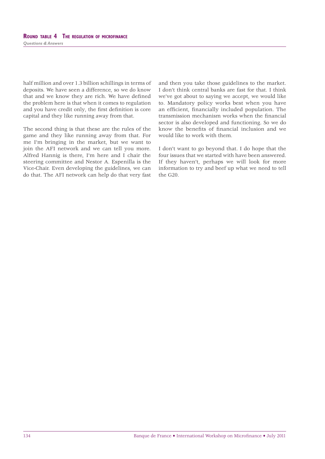half million and over 1.3 billion schillings in terms of deposits. We have seen a difference, so we do know that and we know they are rich. We have defined the problem here is that when it comes to regulation and you have credit only, the first definition is core capital and they like running away from that.

The second thing is that these are the rules of the game and they like running away from that. For me I'm bringing in the market, but we want to join the AFI network and we can tell you more. Alfred Hannig is there, I'm here and I chair the steering committee and Nestor A. Espenilla is the Vice-Chair. Even developing the guidelines, we can do that. The AFI network can help do that very fast and then you take those guidelines to the market. I don't think central banks are fast for that. I think we've got about to saying we accept, we would like to. Mandatory policy works best when you have an efficient, financially included population. The transmission mechanism works when the financial sector is also developed and functioning. So we do know the benefits of financial inclusion and we would like to work with them.

I don't want to go beyond that. I do hope that the four issues that we started with have been answered. If they haven't, perhaps we will look for more information to try and beef up what we need to tell the G20.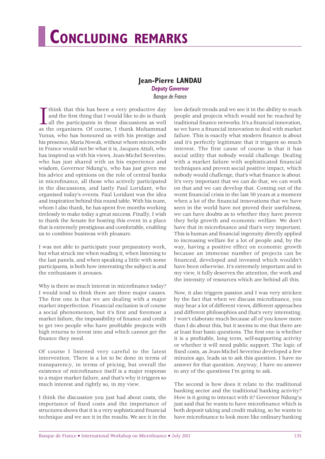# **CONCLUDING REMARKS**

# **Jean-Pierre LANDAU** *Deputy Governor*

*Banque de France*

I think that this has been a very productive day<br>and the first thing that I would like to do is thank<br>all the participants in these discussions as well<br>as the organisers. Of course, I thank Muhammad think that this has been a very productive day and the first thing that I would like to do is thank all the participants in these discussions as well Yunus, who has honoured us with his prestige and his presence, Maria Nowak, without whom microcredit in France would not be what it is, Jacques Attali, who has inspired us with his views, Jean-Michel Severino, who has just shared with us his experience and wisdom, Governor Ndung'u, who has just given me his advice and opinions on the role of central banks in microfinance, all those who actively participated in the discussions, and lastly Paul Loridant, who organised today's events. Paul Loridant was the idea and inspiration behind this round table. With his team, whom I also thank, he has spent five months working tirelessly to make today a great success. Finally, I wish to thank the Senate for hosting this event in a place that is extremely prestigious and comfortable, enabling us to combine business with pleasure.

I was not able to participate your preparatory work, but what struck me when reading it, when listening to the last panels, and when speaking a little with some participants, is both how interesting the subject is and the enthusiasm it arouses.

Why is there so much interest in microfinance today? I would tend to think there are three major causes. The first one is that we are dealing with a major market imperfection. Financial exclusion is of course a social phenomenon, but it's first and foremost a market failure, the impossibility of finance and credit to get two people who have profitable projects with high returns to invest into and which cannot get the finance they need.

Of course I listened very careful to the latest intervention. There is a lot to be done in terms of transparency, in terms of pricing, but overall the existence of microfinance itself is a major response to a major market failure, and that's why it triggers so much interest and rightly so, in my view.

I think the discussion you just had about costs, the importance of fixed costs and the importance of structures shows that it is a very sophisticated financial technique and we see it in the results. We see it in the low default trends and we see it in the ability to reach people and projects which would not be reached by traditional finance networks. It's a financial innovation, so we have a financial innovation to deal with market failure. This is exactly what modern finance is about and it's perfectly legitimate that it triggers so much interest. The first cause of course is that it has social utility that nobody would challenge. Dealing with a market failure with sophisticated financial techniques and proven social positive impact, which nobody would challenge, that's what finance is about. It's very important that we can do that, we can work on that and we can develop that. Coming out of the worst financial crisis in the last 50 years at a moment when a lot of the financial innovations that we have seen in the world have not proved their usefulness, we can have doubts as to whether they have proven they help growth and economic welfare. We don't have that in microfinance and that's very important. This is human and financial ingenuity directly applied to increasing welfare for a lot of people and, by the way, having a positive effect on economic growth because an immense number of projects can be financed, developed and invested which wouldn't have been otherwise. It's extremely important and in my view, it fully deserves the attention, the work and the intensity of resources which are behind all this.

Now, it also triggers passion and I was very stricken by the fact that when we discuss microfinance, you may hear a lot of different views, different approaches and different philosophies and that's very interesting. I won't elaborate much because all of you know more than I do about this, but it seems to me that there are at least four basic questions. The first one is whether it is a profitable, long term, self-supporting activity or whether it will need public support. The logic of fixed costs, as Jean-Michel Severino developed a few minutes ago, leads us to ask this question. I have no answer for that question. Anyway, I have no answer to any of the questions I'm going to ask.

The second is how does it relate to the traditional banking sector and the traditional banking activity? How is it going to interact with it? Governor Ndung'u just said that he wants to have microfinance which is both deposit taking and credit making, so he wants to have microfinance to look more like ordinary banking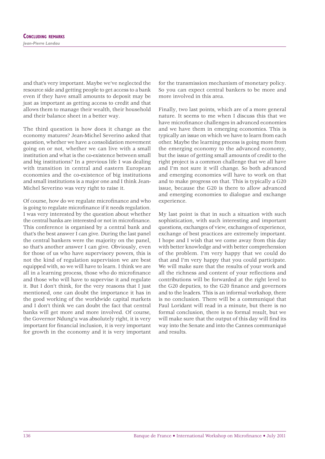and that's very important. Maybe we've neglected the resource side and getting people to get access to a bank even if they have small amounts to deposit may be just as important as getting access to credit and that allows them to manage their wealth, their household and their balance sheet in a better way.

The third question is how does it change as the economy matures? Jean-Michel Severino asked that question, whether we have a consolidation movement going on or not, whether we can live with a small institution and what is the co-existence between small and big institutions? In a previous life I was dealing with transition in central and eastern European economies and the co-existence of big institutions and small institutions is a major one and I think Jean-Michel Severino was very right to raise it.

Of course, how do we regulate microfinance and who is going to regulate microfinance if it needs regulation. I was very interested by the question about whether the central banks are interested or not in microfinance. This conference is organised by a central bank and that's the best answer I can give. During the last panel the central bankers were the majority on the panel, so that's another answer I can give. Obviously, even for those of us who have supervisory powers, this is not the kind of regulation supervision we are best equipped with, so we will have to learn. I think we are all in a learning process, those who do microfinance and those who will have to supervise it and regulate it. But I don't think, for the very reasons that I just mentioned, one can doubt the importance it has in the good working of the worldwide capital markets and I don't think we can doubt the fact that central banks will get more and more involved. Of course, the Governor Ndung'u was absolutely right, it is very important for financial inclusion, it is very important for growth in the economy and it is very important

for the transmission mechanism of monetary policy. So you can expect central bankers to be more and more involved in this area.

Finally, two last points, which are of a more general nature. It seems to me when I discuss this that we have microfinance challenges in advanced economies and we have them in emerging economies. This is typically an issue on which we have to learn from each other. Maybe the learning process is going more from the emerging economy to the advanced economy, but the issue of getting small amounts of credit to the right project is a common challenge that we all have and I'm not sure it will change. So both advanced and emerging economies will have to work on that and to make progress on that. This is typically a G20 issue, because the G20 is there to allow advanced and emerging economies to dialogue and exchange experience.

My last point is that in such a situation with such sophistication, with such interesting and important questions, exchanges of view, exchanges of experience, exchange of best practices are extremely important. I hope and I wish that we come away from this day with better knowledge and with better comprehension of the problem. I'm very happy that we could do that and I'm very happy that you could participate. We will make sure that the results of your work and all the richness and content of your reflections and contributions will be forwarded at the right level to the G20 deputies, to the G20 finance and governors and to the leaders. This is an informal workshop, there is no conclusion. There will be a communiqué that Paul Loridant will read in a minute, but there is no formal conclusion, there is no formal result, but we will make sure that the output of this day will find its way into the Senate and into the Cannes communiqué and results.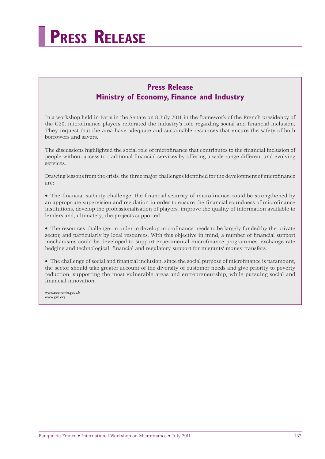

# **Press Release Ministry of Economy, Finance and Industry**

In a workshop held in Paris in the Senate on 8 July 2011 in the framework of the French presidency of the G20, microfinance players reiterated the industry's role regarding social and financial inclusion. They request that the area have adequate and sustainable resources that ensure the safety of both borrowers and savers.

The discussions highlighted the social role of microfinance that contributes to the financial inclusion of people without access to traditional financial services by offering a wide range different and evolving services.

Drawing lessons from the crisis, the three major challenges identified for the development of microfinance are:

• The financial stability challenge: the financial security of microfinance could be strengthened by an appropriate supervision and regulation in order to ensure the financial soundness of microfinance institutions, develop the professionalisation of players, improve the quality of information available to lenders and, ultimately, the projects supported.

• The resources challenge: in order to develop microfinance needs to be largely funded by the private sector, and particularly by local resources. With this objective in mind, a number of financial support mechanisms could be developed to support experimental microfinance programmes, exchange rate hedging and technological, financial and regulatory support for migrants' money transfers.

• The challenge of social and financial inclusion: since the social purpose of microfinance is paramount, the sector should take greater account of the diversity of customer needs and give priority to poverty reduction, supporting the most vulnerable areas and entrepreneurship, while pursuing social and financial innovation.

www.economie.gouv.fr www.g20.org